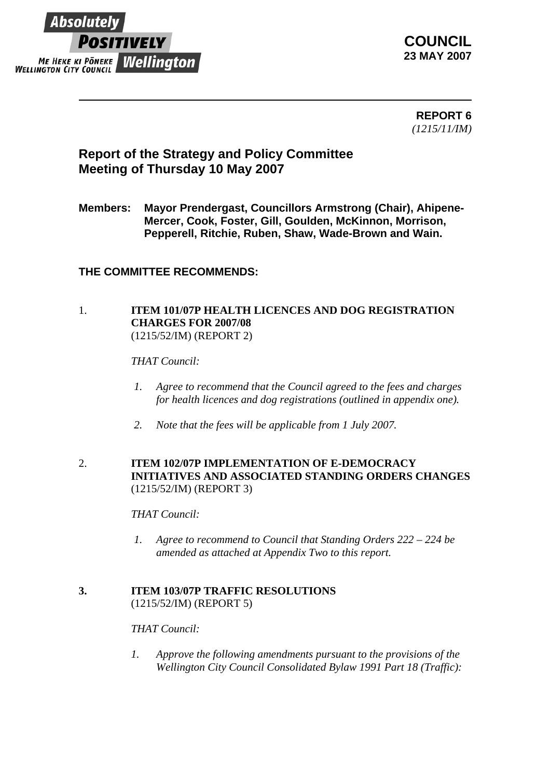

**COUNCIL 23 MAY 2007**

 **REPORT 6** *(1215/11/IM)* 

# **Report of the Strategy and Policy Committee Meeting of Thursday 10 May 2007**

**Members: Mayor Prendergast, Councillors Armstrong (Chair), Ahipene-Mercer, Cook, Foster, Gill, Goulden, McKinnon, Morrison, Pepperell, Ritchie, Ruben, Shaw, Wade-Brown and Wain.** 

## **THE COMMITTEE RECOMMENDS:**

## 1. **ITEM 101/07P HEALTH LICENCES AND DOG REGISTRATION CHARGES FOR 2007/08**  (1215/52/IM) (REPORT 2)

*THAT Council:*

- *1. Agree to recommend that the Council agreed to the fees and charges for health licences and dog registrations (outlined in appendix one).*
- *2. Note that the fees will be applicable from 1 July 2007.*

### 2. **ITEM 102/07P IMPLEMENTATION OF E-DEMOCRACY INITIATIVES AND ASSOCIATED STANDING ORDERS CHANGES**  (1215/52/IM) (REPORT 3)

*THAT Council:* 

*1. Agree to recommend to Council that Standing Orders 222 – 224 be amended as attached at Appendix Two to this report.* 

#### **3. ITEM 103/07P TRAFFIC RESOLUTIONS** (1215/52/IM) (REPORT 5)

## *THAT Council:*

*1. Approve the following amendments pursuant to the provisions of the Wellington City Council Consolidated Bylaw 1991 Part 18 (Traffic):*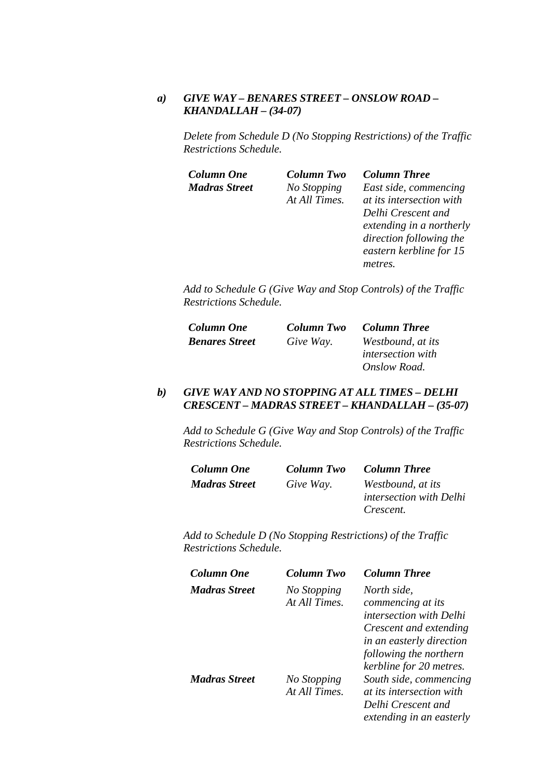#### *a) GIVE WAY – BENARES STREET – ONSLOW ROAD – KHANDALLAH – (34-07)*

*Delete from Schedule D (No Stopping Restrictions) of the Traffic Restrictions Schedule.* 

| <b>Column One</b>    | <b>Column Two</b> | <b>Column Three</b>      |
|----------------------|-------------------|--------------------------|
| <b>Madras Street</b> | No Stopping       | East side, commencing    |
|                      | At All Times.     | at its intersection with |
|                      |                   | Delhi Crescent and       |
|                      |                   | extending in a northerly |
|                      |                   | direction following the  |
|                      |                   | eastern kerbline for 15  |
|                      |                   | metres.                  |

*Add to Schedule G (Give Way and Stop Controls) of the Traffic Restrictions Schedule.* 

| <b>Column One</b>     | Column Two | <b>Column Three</b>      |
|-----------------------|------------|--------------------------|
| <b>Benares Street</b> | Give Way.  | Westbound, at its        |
|                       |            | <i>intersection with</i> |
|                       |            | Onslow Road.             |

#### *b) GIVE WAY AND NO STOPPING AT ALL TIMES – DELHI CRESCENT – MADRAS STREET – KHANDALLAH – (35-07)*

*Add to Schedule G (Give Way and Stop Controls) of the Traffic Restrictions Schedule.* 

| <b>Column One</b>    | Column Two | Column Three                                 |
|----------------------|------------|----------------------------------------------|
| <b>Madras Street</b> | Give Way.  | Westbound, at its<br>intersection with Delhi |
|                      |            | Crescent.                                    |

| Column One           | Column Two                   | <b>Column Three</b>                                                                                         |
|----------------------|------------------------------|-------------------------------------------------------------------------------------------------------------|
| Madras Street        | No Stopping<br>At All Times. | North side,<br>commencing at its<br><i>intersection with Delhi</i>                                          |
|                      |                              | Crescent and extending<br>in an easterly direction<br>following the northern<br>kerbline for 20 metres.     |
| <b>Madras Street</b> | No Stopping<br>At All Times. | South side, commencing<br><i>at its intersection with</i><br>Delhi Crescent and<br>extending in an easterly |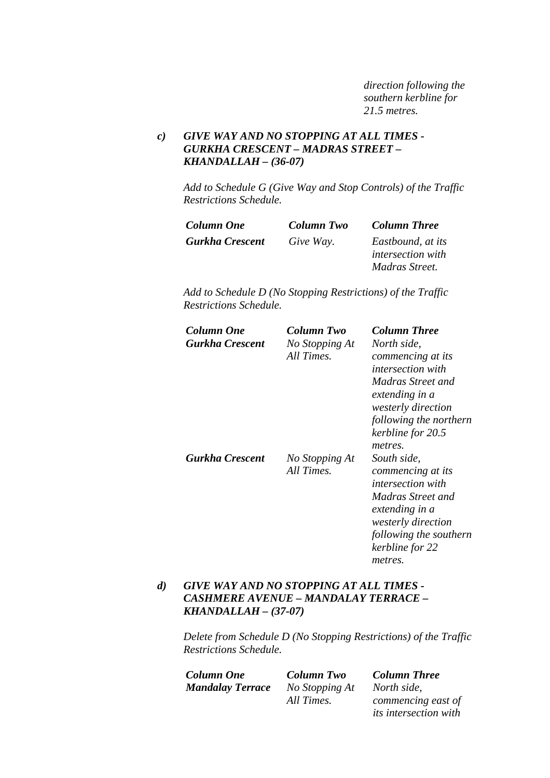*direction following the southern kerbline for 21.5 metres.* 

## *c) GIVE WAY AND NO STOPPING AT ALL TIMES - GURKHA CRESCENT – MADRAS STREET – KHANDALLAH – (36-07)*

*Add to Schedule G (Give Way and Stop Controls) of the Traffic Restrictions Schedule.* 

| <b>Column One</b>      | Column Two | <b>Column Three</b>      |
|------------------------|------------|--------------------------|
| <b>Gurkha Crescent</b> | Give Way.  | Eastbound, at its        |
|                        |            | <i>intersection with</i> |
|                        |            | Madras Street.           |

*Add to Schedule D (No Stopping Restrictions) of the Traffic Restrictions Schedule.* 

| Column One<br>Gurkha Crescent | Column Two<br>No Stopping At<br>All Times. | <b>Column Three</b><br>North side,<br>commencing at its<br><i>intersection with</i><br>Madras Street and<br>extending in a<br><i>westerly direction</i><br>following the northern                                        |
|-------------------------------|--------------------------------------------|--------------------------------------------------------------------------------------------------------------------------------------------------------------------------------------------------------------------------|
| <b>Gurkha Crescent</b>        | No Stopping At<br>All Times.               | kerbline for 20.5<br>metres.<br>South side,<br>commencing at its<br><i>intersection with</i><br>Madras Street and<br>extending in a<br><i>westerly direction</i><br>following the southern<br>kerbline for 22<br>metres. |

#### *d) GIVE WAY AND NO STOPPING AT ALL TIMES - CASHMERE AVENUE – MANDALAY TERRACE – KHANDALLAH – (37-07)*

| <b>Column One</b>       | <b>Column Two</b> | <b>Column Three</b>          |
|-------------------------|-------------------|------------------------------|
| <b>Mandalay Terrace</b> | No Stopping At    | North side.                  |
|                         | All Times.        | commencing east of           |
|                         |                   | <i>its intersection with</i> |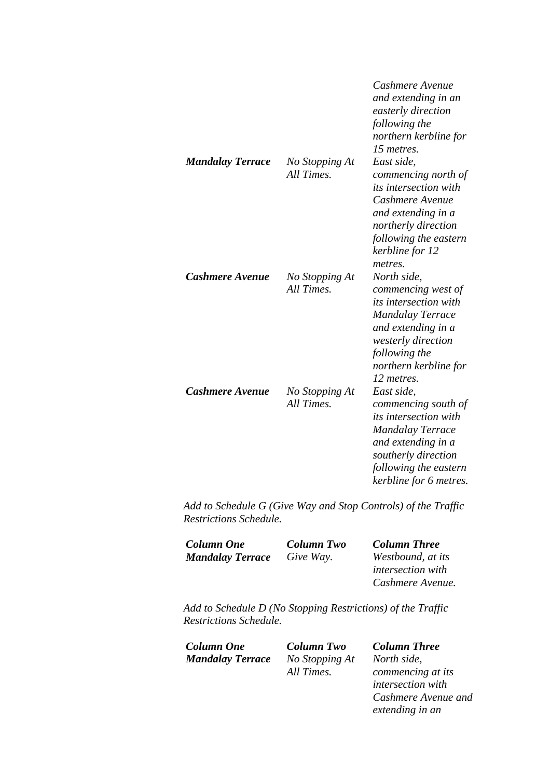|                         |                              | Cashmere Avenue<br>and extending in an<br>easterly direction<br>following the<br>northern kerbline for<br>15 metres.                                                                         |
|-------------------------|------------------------------|----------------------------------------------------------------------------------------------------------------------------------------------------------------------------------------------|
| <b>Mandalay Terrace</b> | No Stopping At<br>All Times. | East side.<br>commencing north of<br><i>its intersection with</i><br>Cashmere Avenue<br>and extending in a<br>northerly direction<br>following the eastern<br>kerbline for 12<br>metres.     |
| Cashmere Avenue         | No Stopping At<br>All Times. | North side,<br>commencing west of<br>its intersection with<br><b>Mandalay Terrace</b><br>and extending in a<br>westerly direction<br>following the<br>northern kerbline for<br>12 metres.    |
| <b>Cashmere Avenue</b>  | No Stopping At<br>All Times. | East side,<br>commencing south of<br><i>its intersection with</i><br><b>Mandalay Terrace</b><br>and extending in a<br>southerly direction<br>following the eastern<br>kerbline for 6 metres. |

| <b>Column One</b>       | Column Two | <b>Column Three</b>      |
|-------------------------|------------|--------------------------|
| <b>Mandalay Terrace</b> | Give Way.  | Westbound, at its        |
|                         |            | <i>intersection with</i> |
|                         |            | Cashmere Avenue.         |

*Add to Schedule D (No Stopping Restrictions) of the Traffic Restrictions Schedule.* 

| <b>Column One</b>       | <b>Column Two</b> | <b>Column Three</b>      |
|-------------------------|-------------------|--------------------------|
| <b>Mandalay Terrace</b> | No Stopping At    | North side.              |
|                         | All Times.        | commencing at its        |
|                         |                   | <i>intersection</i> with |

*Cashmere Avenue and* 

*extending in an*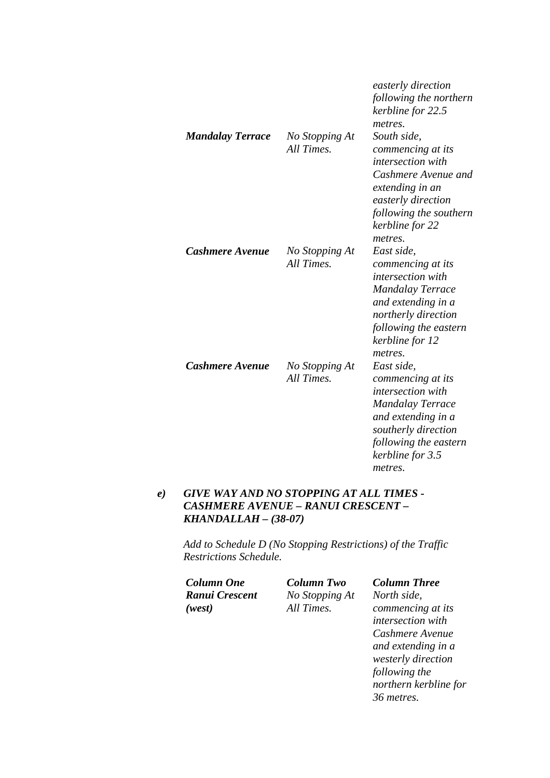|                         |                              | easterly direction<br>following the northern<br>kerbline for 22.5<br>metres.                                                                                                               |
|-------------------------|------------------------------|--------------------------------------------------------------------------------------------------------------------------------------------------------------------------------------------|
| <b>Mandalay Terrace</b> | No Stopping At<br>All Times. | South side,<br>commencing at its<br><i>intersection with</i><br>Cashmere Avenue and<br>extending in an<br>easterly direction<br>following the southern<br>kerbline for 22<br>metres.       |
| Cashmere Avenue         | No Stopping At<br>All Times. | East side,<br>commencing at its<br><i>intersection with</i><br><b>Mandalay Terrace</b><br>and extending in a<br>northerly direction<br>following the eastern<br>kerbline for 12<br>metres. |
| Cashmere Avenue         | No Stopping At<br>All Times. | East side,<br>commencing at its<br>intersection with<br><b>Mandalay Terrace</b><br>and extending in a<br>southerly direction<br>following the eastern<br>kerbline for 3.5<br>metres.       |

## *e) GIVE WAY AND NO STOPPING AT ALL TIMES - CASHMERE AVENUE – RANUI CRESCENT – KHANDALLAH – (38-07)*

| <b>Column One</b> | Column Two     | <b>Column Three</b>   |
|-------------------|----------------|-----------------------|
| Ranui Crescent    | No Stopping At | North side,           |
| (west)            | All Times.     | commencing at its     |
|                   |                | intersection with     |
|                   |                | Cashmere Avenue       |
|                   |                | and extending in a    |
|                   |                | westerly direction    |
|                   |                | following the         |
|                   |                | northern kerbline for |
|                   |                | 36 metres.            |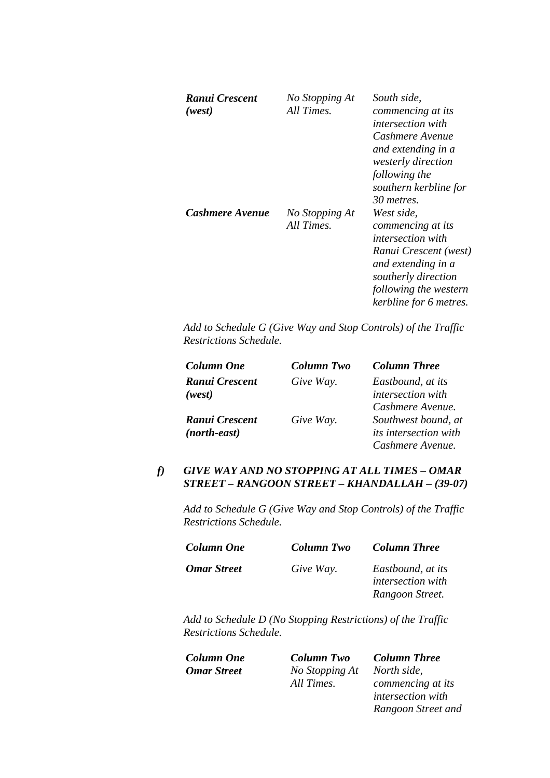| Ranui Crescent<br>(west) | No Stopping At<br>All Times. | South side,<br>commencing at its<br><i>intersection with</i><br>Cashmere Avenue<br>and extending in a<br>westerly direction<br>following the<br>southern kerbline for<br>30 metres.  |
|--------------------------|------------------------------|--------------------------------------------------------------------------------------------------------------------------------------------------------------------------------------|
| Cashmere Avenue          | No Stopping At<br>All Times. | West side,<br>commencing at its<br><i>intersection with</i><br>Ranui Crescent (west)<br>and extending in a<br>southerly direction<br>following the western<br>kerbline for 6 metres. |

| <b>Column One</b> | <b>Column Two</b> | <b>Column Three</b>          |
|-------------------|-------------------|------------------------------|
| Ranui Crescent    | Give Way.         | Eastbound, at its            |
| (west)            |                   | intersection with            |
|                   |                   | Cashmere Avenue.             |
| Ranui Crescent    | Give Way.         | Southwest bound, at          |
| (north-east)      |                   | <i>its intersection with</i> |
|                   |                   | Cashmere Avenue.             |

## *f) GIVE WAY AND NO STOPPING AT ALL TIMES – OMAR STREET – RANGOON STREET – KHANDALLAH – (39-07)*

*Add to Schedule G (Give Way and Stop Controls) of the Traffic Restrictions Schedule.* 

| <b>Column One</b>  | <b>Column Two</b> | <b>Column Three</b>      |
|--------------------|-------------------|--------------------------|
| <b>Omar Street</b> | Give Way.         | Eastbound, at its        |
|                    |                   | <i>intersection</i> with |
|                    |                   | Rangoon Street.          |

*Add to Schedule D (No Stopping Restrictions) of the Traffic Restrictions Schedule.* 

| Column One  | <b>Column Two</b> | <b>Column Three</b>      |
|-------------|-------------------|--------------------------|
| Omar Street | No Stopping At    | North side.              |
|             | All Times.        | commencing at its        |
|             |                   | <i>intersection with</i> |

*Rangoon Street and*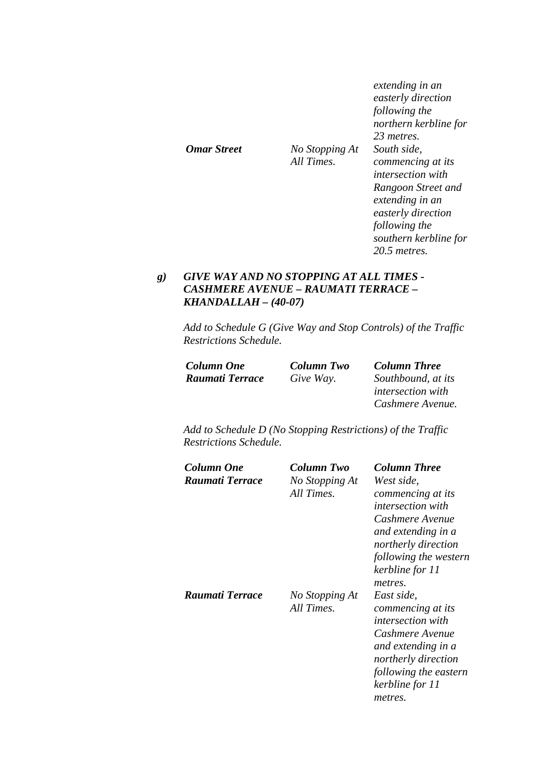|             |                              | extending in an<br>easterly direction<br>following the<br>northern kerbline for<br>23 metres. |
|-------------|------------------------------|-----------------------------------------------------------------------------------------------|
| Omar Street | No Stopping At<br>All Times. | South side.<br>commencing at its<br><i>intersection with</i>                                  |
|             |                              | Rangoon Street and<br>extending in an<br>easterly direction<br>following the                  |
|             |                              | southern kerbline for<br>$20.5$ metres.                                                       |

## *g) GIVE WAY AND NO STOPPING AT ALL TIMES - CASHMERE AVENUE – RAUMATI TERRACE – KHANDALLAH – (40-07)*

*Add to Schedule G (Give Way and Stop Controls) of the Traffic Restrictions Schedule.* 

| <b>Column One</b> | <b>Column Two</b> | <b>Column Three</b>      |
|-------------------|-------------------|--------------------------|
| Raumati Terrace   | Give Way.         | Southbound, at its       |
|                   |                   | <i>intersection with</i> |
|                   |                   | Cashmere Avenue.         |

| Column One<br>Raumati Terrace | Column Two<br>No Stopping At<br>All Times. | <b>Column Three</b><br>West side,<br>commencing at its<br><i>intersection with</i><br>Cashmere Avenue<br>and extending in a<br>northerly direction<br>following the western<br>kerbline for 11 |
|-------------------------------|--------------------------------------------|------------------------------------------------------------------------------------------------------------------------------------------------------------------------------------------------|
| Raumati Terrace               | No Stopping At<br>All Times.               | metres.<br>East side,<br>commencing at its<br><i>intersection with</i><br>Cashmere Avenue<br>and extending in a<br>northerly direction<br>following the eastern<br>kerbline for 11<br>metres.  |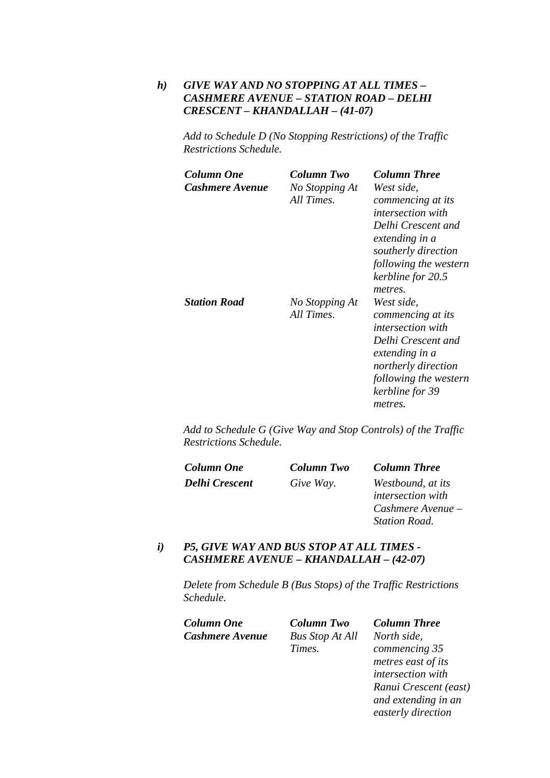## *h) GIVE WAY AND NO STOPPING AT ALL TIMES – CASHMERE AVENUE – STATION ROAD – DELHI CRESCENT – KHANDALLAH – (41-07)*

*Add to Schedule D (No Stopping Restrictions) of the Traffic Restrictions Schedule.* 

| Column One<br>Cashmere Avenue | Column Two<br>No Stopping At<br>All Times. | <b>Column Three</b><br>West side,<br>commencing at its<br><i>intersection with</i><br>Delhi Crescent and<br>extending in a<br>southerly direction<br>following the western<br>kerbline for 20.5<br>metres. |
|-------------------------------|--------------------------------------------|------------------------------------------------------------------------------------------------------------------------------------------------------------------------------------------------------------|
| <b>Station Road</b>           | No Stopping At<br>All Times.               | West side,<br>commencing at its<br><i>intersection with</i><br>Delhi Crescent and<br>extending in a<br>northerly direction<br>following the western<br>kerbline for 39<br>metres.                          |

*Add to Schedule G (Give Way and Stop Controls) of the Traffic Restrictions Schedule.* 

| <b>Column One</b>     | Column Two | <b>Column Three</b>      |
|-----------------------|------------|--------------------------|
| <b>Delhi Crescent</b> | Give Way.  | Westbound, at its        |
|                       |            | <i>intersection with</i> |
|                       |            | Cashmere Avenue –        |
|                       |            | <b>Station Road.</b>     |

#### *i) P5, GIVE WAY AND BUS STOP AT ALL TIMES - CASHMERE AVENUE – KHANDALLAH – (42-07)*

*Delete from Schedule B (Bus Stops) of the Traffic Restrictions Schedule.* 

| Column One             | <b>Column Two</b>      | <b>Column Three</b>   |
|------------------------|------------------------|-----------------------|
| <b>Cashmere Avenue</b> | <b>Bus Stop At All</b> | North side,           |
|                        | Times.                 | commencing 35         |
|                        |                        | metres east of its    |
|                        |                        | intersection with     |
|                        |                        | Ranui Crescent (east) |
|                        |                        | and extending in an   |
|                        |                        | easterly direction    |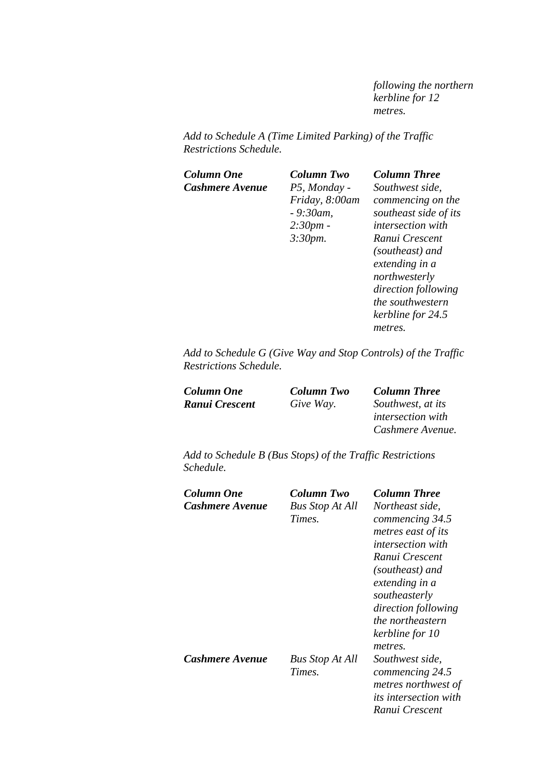*following the northern kerbline for 12 metres.* 

*Add to Schedule A (Time Limited Parking) of the Traffic Restrictions Schedule.* 

| <b>Column One</b> | Column Two     | <b>Column Three</b>      |
|-------------------|----------------|--------------------------|
| Cashmere Avenue   | P5, Monday -   | Southwest side,          |
|                   | Friday, 8:00am | commencing on the        |
|                   | $-9:30$ am,    | southeast side of its    |
|                   | 2:30pm         | <i>intersection with</i> |
|                   | 3:30pm.        | Ranui Crescent           |
|                   |                | (southeast) and          |
|                   |                | extending in a           |
|                   |                | northwesterly            |
|                   |                | direction following      |
|                   |                | the southwestern         |
|                   |                | kerbline for 24.5        |
|                   |                | metres.                  |
|                   |                |                          |

*Add to Schedule G (Give Way and Stop Controls) of the Traffic Restrictions Schedule.* 

| <b>Column One</b> | Column Two | <b>Column Three</b>      |
|-------------------|------------|--------------------------|
| Ranui Crescent    | Give Way.  | Southwest, at its        |
|                   |            | <i>intersection with</i> |
|                   |            | Cashmere Avenue.         |

*Add to Schedule B (Bus Stops) of the Traffic Restrictions Schedule.* 

| Column One<br>Cashmere Avenue | Column Two<br><b>Bus Stop At All</b><br>Times. | <b>Column Three</b><br>Northeast side.<br>commencing 34.5<br>metres east of its<br><i>intersection with</i><br>Ranui Crescent<br>(southeast) and<br>extending in a<br>southeasterly<br>direction following<br><i>the northeastern</i><br>kerbline for 10<br>metres. |
|-------------------------------|------------------------------------------------|---------------------------------------------------------------------------------------------------------------------------------------------------------------------------------------------------------------------------------------------------------------------|
| Cashmere Avenue               | <b>Bus Stop At All</b><br>Times.               | Southwest side.<br>commencing 24.5<br>metres northwest of<br><i>its intersection with</i><br>Ranui Crescent                                                                                                                                                         |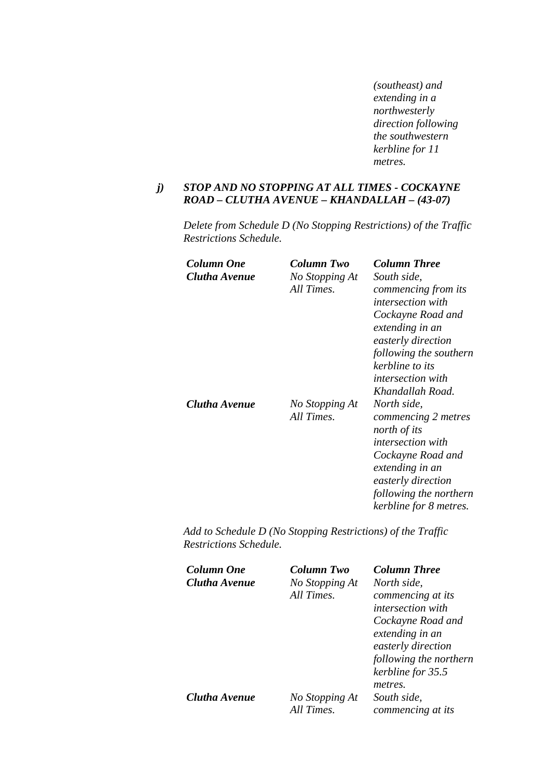*(southeast) and extending in a northwesterly direction following the southwestern kerbline for 11 metres.* 

#### *j) STOP AND NO STOPPING AT ALL TIMES - COCKAYNE ROAD – CLUTHA AVENUE – KHANDALLAH – (43-07)*

*Delete from Schedule D (No Stopping Restrictions) of the Traffic Restrictions Schedule.* 

| Column One    | Column Two                   | <b>Column Three</b>                                                                                                     |
|---------------|------------------------------|-------------------------------------------------------------------------------------------------------------------------|
| Clutha Avenue | No Stopping At<br>All Times. | South side,<br>commencing from its<br><i>intersection with</i>                                                          |
|               |                              | Cockayne Road and                                                                                                       |
|               |                              | extending in an<br>easterly direction                                                                                   |
|               |                              | following the southern<br>kerbline to its                                                                               |
|               |                              | <i>intersection with</i>                                                                                                |
| Clutha Avenue | No Stopping At<br>All Times. | Khandallah Road.<br>North side,<br>commencing 2 metres<br>north of its<br><i>intersection with</i><br>Cockayne Road and |
|               |                              | extending in an<br>easterly direction<br>following the northern                                                         |
|               |                              | kerbline for 8 metres.                                                                                                  |

| Column Two     | <b>Column Three</b>      |
|----------------|--------------------------|
| No Stopping At | North side,              |
| All Times.     | commencing at its        |
|                | <i>intersection with</i> |
|                | Cockayne Road and        |
|                | extending in an          |
|                | easterly direction       |
|                | following the northern   |
|                | kerbline for 35.5        |
|                | metres.                  |
| No Stopping At | South side,              |
| All Times.     | commencing at its        |
|                |                          |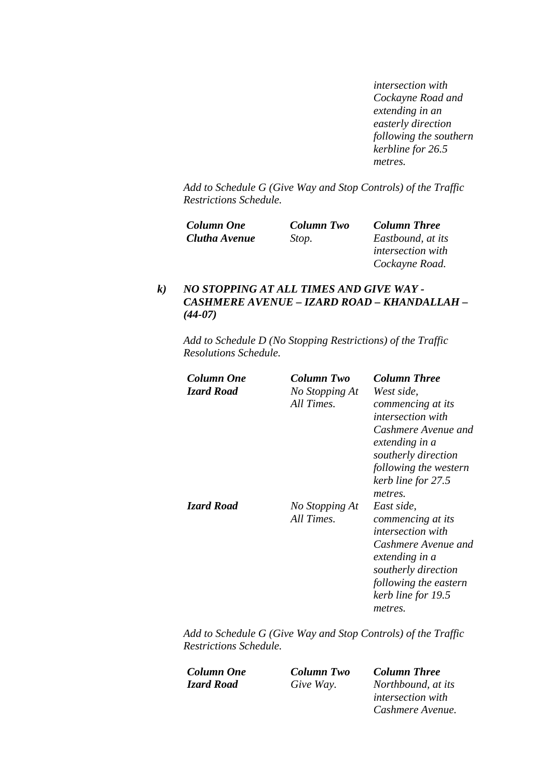*intersection with Cockayne Road and extending in an easterly direction following the southern kerbline for 26.5 metres.* 

*Add to Schedule G (Give Way and Stop Controls) of the Traffic Restrictions Schedule.* 

| Column One    | <b>Column Two</b> | <b>Column Three</b>      |
|---------------|-------------------|--------------------------|
| Clutha Avenue | Stop.             | Eastbound, at its        |
|               |                   | <i>intersection with</i> |
|               |                   | Cockayne Road.           |

## *k) NO STOPPING AT ALL TIMES AND GIVE WAY - CASHMERE AVENUE – IZARD ROAD – KHANDALLAH – (44-07)*

*Add to Schedule D (No Stopping Restrictions) of the Traffic Resolutions Schedule.* 

| Column One<br><b>Izard Road</b> | Column Two<br>No Stopping At<br>All Times. | <b>Column Three</b><br>West side.<br>commencing at its<br><i>intersection with</i><br>Cashmere Avenue and<br>extending in a<br>southerly direction<br>following the western<br>kerb line for 27.5 |
|---------------------------------|--------------------------------------------|---------------------------------------------------------------------------------------------------------------------------------------------------------------------------------------------------|
| <b>Izard Road</b>               | No Stopping At<br>All Times.               | metres.<br>East side,<br>commencing at its<br><i>intersection with</i><br>Cashmere Avenue and<br>extending in a<br>southerly direction<br>following the eastern<br>kerb line for 19.5<br>metres.  |

*Add to Schedule G (Give Way and Stop Controls) of the Traffic Restrictions Schedule.* 

*Column One Column Two Column Three* 

*Give Way.* Northbound, at its *intersection with Cashmere Avenue.*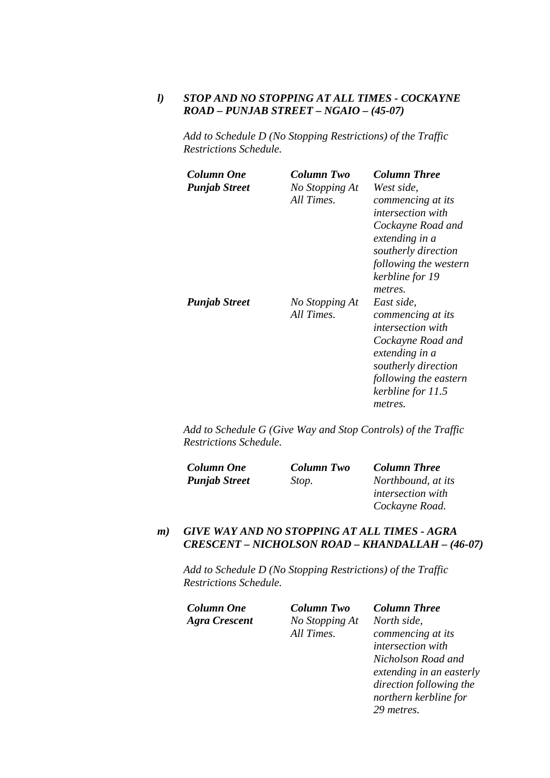### *l) STOP AND NO STOPPING AT ALL TIMES - COCKAYNE ROAD – PUNJAB STREET – NGAIO – (45-07)*

*Add to Schedule D (No Stopping Restrictions) of the Traffic Restrictions Schedule.* 

| Column One<br><b>Punjab Street</b> | Column Two<br>No Stopping At<br>All Times. | <b>Column Three</b><br>West side.<br>commencing at its<br><i>intersection with</i><br>Cockayne Road and<br>extending in a<br>southerly direction<br>following the western<br>kerbline for 19<br>metres. |
|------------------------------------|--------------------------------------------|---------------------------------------------------------------------------------------------------------------------------------------------------------------------------------------------------------|
| <b>Punjab Street</b>               | No Stopping At<br>All Times.               | East side,<br>commencing at its<br><i>intersection with</i><br>Cockayne Road and<br>extending in a<br>southerly direction<br>following the eastern<br>kerbline for 11.5<br>metres.                      |

*Add to Schedule G (Give Way and Stop Controls) of the Traffic Restrictions Schedule.* 

| <b>Column One</b>    | <b>Column Two</b> | <b>Column Three</b>      |
|----------------------|-------------------|--------------------------|
| <b>Punjab Street</b> | Stop.             | Northbound, at its       |
|                      |                   | <i>intersection with</i> |
|                      |                   | Cockayne Road.           |

#### *m) GIVE WAY AND NO STOPPING AT ALL TIMES - AGRA CRESCENT – NICHOLSON ROAD – KHANDALLAH – (46-07)*

| Column One    | <b>Column Two</b> | <b>Column Three</b>      |
|---------------|-------------------|--------------------------|
| Agra Crescent | No Stopping At    | North side,              |
|               | All Times.        | commencing at its        |
|               |                   | intersection with        |
|               |                   | Nicholson Road and       |
|               |                   | extending in an easterly |
|               |                   | direction following the  |
|               |                   | northern kerbline for    |
|               |                   | 29 metres.               |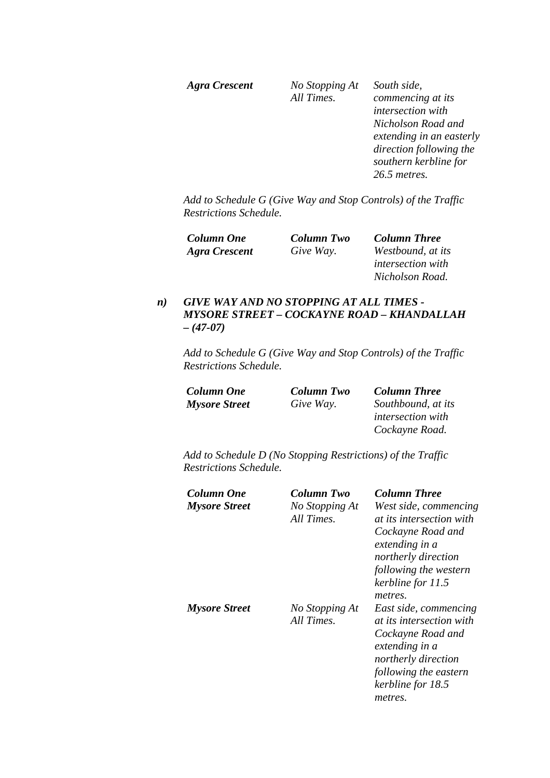| Agra Crescent | No Stopping At<br>All Times. | South side,<br>commencing at its<br><i>intersection with</i><br>Nicholson Road and<br>extending in an easterly<br>direction following the<br>southern kerbline for |
|---------------|------------------------------|--------------------------------------------------------------------------------------------------------------------------------------------------------------------|
|               |                              | 26.5 metres.                                                                                                                                                       |

| <b>Column One</b> | <b>Column Two</b> | <b>Column Three</b>      |
|-------------------|-------------------|--------------------------|
| Agra Crescent     | Give Way.         | Westbound, at its        |
|                   |                   | <i>intersection with</i> |
|                   |                   | Nicholson Road.          |

## *n) GIVE WAY AND NO STOPPING AT ALL TIMES - MYSORE STREET – COCKAYNE ROAD – KHANDALLAH – (47-07)*

*Add to Schedule G (Give Way and Stop Controls) of the Traffic Restrictions Schedule.* 

| Column One           | <b>Column Two</b> | <b>Column Three</b>      |
|----------------------|-------------------|--------------------------|
| <b>Mysore Street</b> | Give Way.         | Southbound, at its       |
|                      |                   | <i>intersection with</i> |
|                      |                   | Cockayne Road.           |

| Column One<br><b>Mysore Street</b> | Column Two<br>No Stopping At<br>All Times. | <b>Column Three</b><br>West side, commencing<br><i>at its intersection with</i><br>Cockayne Road and<br>extending in a<br>northerly direction<br>following the western<br>kerbline for 11.5<br>metres. |
|------------------------------------|--------------------------------------------|--------------------------------------------------------------------------------------------------------------------------------------------------------------------------------------------------------|
| <b>Mysore Street</b>               | No Stopping At<br>All Times.               | East side, commencing<br><i>at its intersection with</i><br>Cockayne Road and<br>extending in a<br>northerly direction<br>following the eastern<br>kerbline for 18.5<br>metres.                        |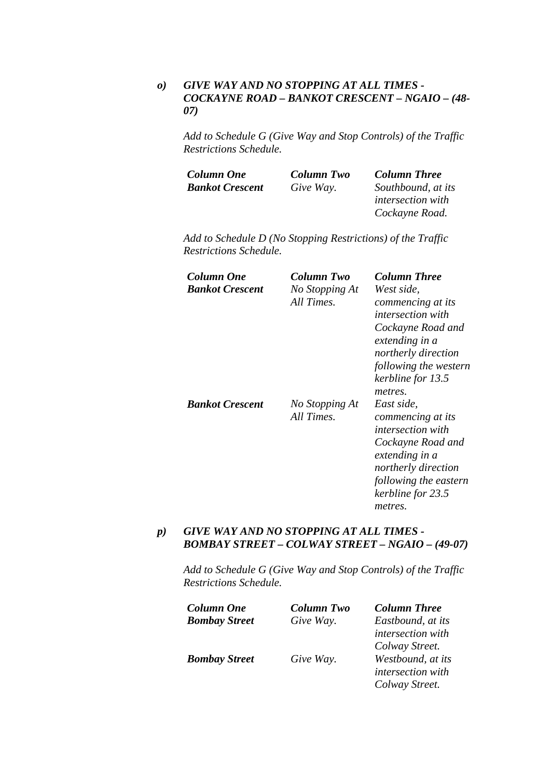## *o) GIVE WAY AND NO STOPPING AT ALL TIMES - COCKAYNE ROAD – BANKOT CRESCENT – NGAIO – (48- 07)*

*Add to Schedule G (Give Way and Stop Controls) of the Traffic Restrictions Schedule.* 

| Column One             | <b>Column Two</b> | <b>Column Three</b>      |
|------------------------|-------------------|--------------------------|
| <b>Bankot Crescent</b> | Give Way.         | Southbound, at its       |
|                        |                   | <i>intersection with</i> |
|                        |                   | Cockayne Road.           |

*Add to Schedule D (No Stopping Restrictions) of the Traffic Restrictions Schedule.* 

| Column One<br><b>Bankot Crescent</b> | Column Two<br>No Stopping At<br>All Times. | <b>Column Three</b><br>West side,<br>commencing at its<br><i>intersection with</i><br>Cockayne Road and<br>extending in a<br>northerly direction |
|--------------------------------------|--------------------------------------------|--------------------------------------------------------------------------------------------------------------------------------------------------|
| <b>Bankot Crescent</b>               | No Stopping At<br>All Times.               | following the western<br>kerbline for 13.5<br>metres.<br>East side,<br>commencing at its<br><i>intersection with</i>                             |
|                                      |                                            | Cockayne Road and<br>extending in a<br>northerly direction<br>following the eastern<br>kerbline for 23.5<br>metres.                              |

#### *p) GIVE WAY AND NO STOPPING AT ALL TIMES - BOMBAY STREET – COLWAY STREET – NGAIO – (49-07)*

*Add to Schedule G (Give Way and Stop Controls) of the Traffic Restrictions Schedule.* 

| <b>Column One</b>    | Column Two | <b>Column Three</b> |
|----------------------|------------|---------------------|
| <b>Bombay Street</b> | Give Way.  | Eastbound, at its   |
|                      |            | intersection with   |
|                      |            | Colway Street.      |
| <b>Bombay Street</b> | Give Way.  | Westbound, at its   |
|                      |            | intersection with   |
|                      |            | Colway Street.      |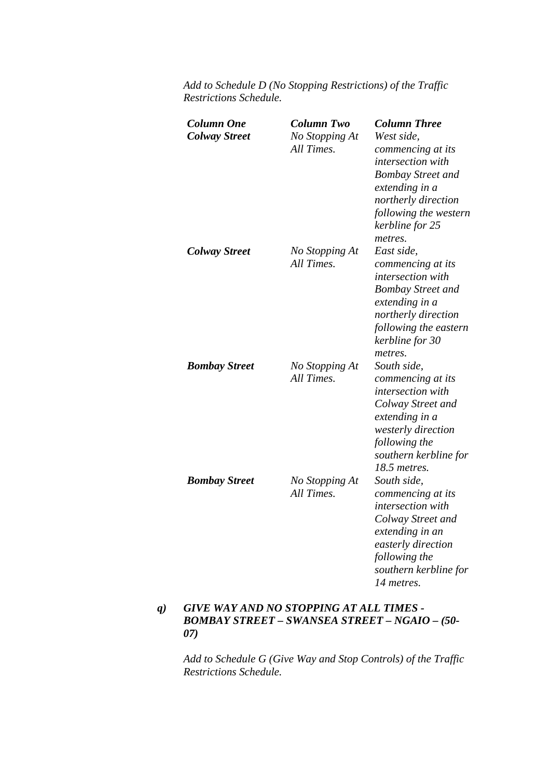| <b>Column One</b><br><b>Colway Street</b> | <b>Column Two</b><br>No Stopping At<br>All Times. | <b>Column Three</b><br>West side,<br>commencing at its<br>intersection with<br><b>Bombay Street and</b><br>extending in a<br>northerly direction<br>following the western<br>kerbline for 25<br>metres. |
|-------------------------------------------|---------------------------------------------------|---------------------------------------------------------------------------------------------------------------------------------------------------------------------------------------------------------|
| <b>Colway Street</b>                      | No Stopping At<br>All Times.                      | East side,<br>commencing at its<br>intersection with<br><b>Bombay Street and</b><br>extending in a<br>northerly direction<br>following the eastern<br>kerbline for 30<br>metres.                        |
| <b>Bombay Street</b>                      | No Stopping At<br>All Times.                      | South side,<br>commencing at its<br>intersection with<br>Colway Street and<br>extending in a<br>westerly direction<br>following the<br>southern kerbline for<br>18.5 metres.                            |
| <b>Bombay Street</b>                      | No Stopping At<br>All Times.                      | South side,<br>commencing at its<br>intersection with<br>Colway Street and<br>extending in an<br>easterly direction<br>following the<br>southern kerbline for<br>14 metres.                             |

*Add to Schedule D (No Stopping Restrictions) of the Traffic Restrictions Schedule.* 

## *q) GIVE WAY AND NO STOPPING AT ALL TIMES - BOMBAY STREET – SWANSEA STREET – NGAIO – (50- 07)*

*Add to Schedule G (Give Way and Stop Controls) of the Traffic Restrictions Schedule.*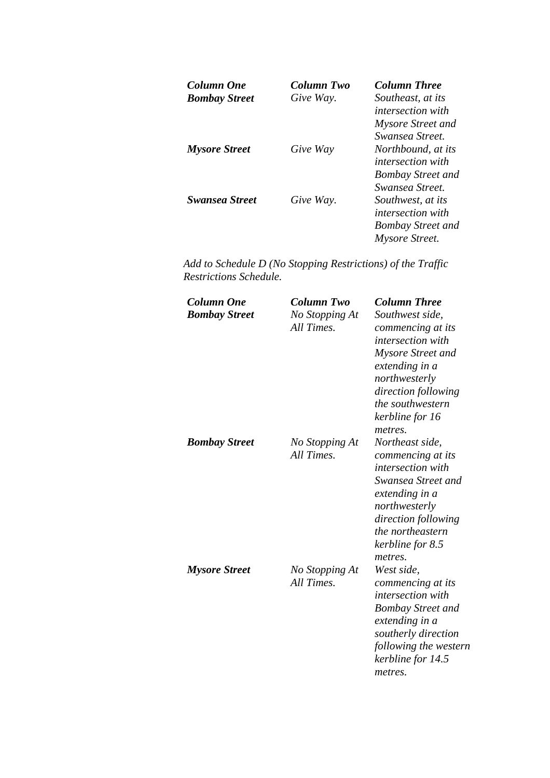| Column One            | Column Two | <b>Column Three</b>      |
|-----------------------|------------|--------------------------|
| <b>Bombay Street</b>  | Give Way.  | Southeast, at its        |
|                       |            | <i>intersection with</i> |
|                       |            | Mysore Street and        |
|                       |            | Swansea Street.          |
| <b>Mysore Street</b>  | Give Way   | Northbound, at its       |
|                       |            | <i>intersection with</i> |
|                       |            | <b>Bombay Street and</b> |
|                       |            | Swansea Street.          |
| <b>Swansea Street</b> | Give Way.  | Southwest, at its        |
|                       |            | <i>intersection with</i> |
|                       |            | <b>Bombay Street and</b> |
|                       |            | Mysore Street.           |

| <b>Column One</b><br><b>Bombay Street</b> | Column Two<br>No Stopping At<br>All Times. | <b>Column Three</b><br>Southwest side,<br>commencing at its<br>intersection with<br>Mysore Street and<br>extending in a<br>northwesterly<br>direction following<br>the southwestern<br>kerbline for 16     |
|-------------------------------------------|--------------------------------------------|------------------------------------------------------------------------------------------------------------------------------------------------------------------------------------------------------------|
| <b>Bombay Street</b>                      | No Stopping At<br>All Times.               | metres.<br>Northeast side,<br>commencing at its<br><i>intersection with</i><br>Swansea Street and<br>extending in a<br>northwesterly<br>direction following<br><i>the northeastern</i><br>kerbline for 8.5 |
| <b>Mysore Street</b>                      | No Stopping At<br>All Times.               | metres.<br>West side,<br>commencing at its<br><i>intersection with</i><br><b>Bombay Street and</b><br>extending in a<br>southerly direction<br>following the western<br>kerbline for 14.5<br>metres.       |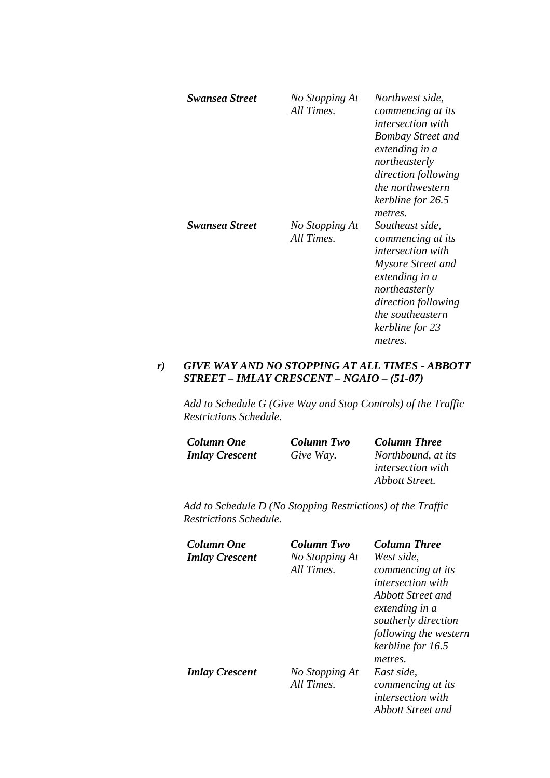| <b>Swansea Street</b> | No Stopping At<br>All Times. | Northwest side,<br>commencing at its<br><i>intersection with</i><br><b>Bombay Street and</b><br>extending in a<br>northeasterly<br>direction following<br>the northwestern<br>kerbline for 26.5<br>metres. |
|-----------------------|------------------------------|------------------------------------------------------------------------------------------------------------------------------------------------------------------------------------------------------------|
| <b>Swansea Street</b> | No Stopping At<br>All Times. | Southeast side,<br>commencing at its<br><i>intersection with</i><br>Mysore Street and<br>extending in a<br>northeasterly<br>direction following<br><i>the southeastern</i><br>kerbline for 23<br>metres.   |

## *r) GIVE WAY AND NO STOPPING AT ALL TIMES - ABBOTT STREET – IMLAY CRESCENT – NGAIO – (51-07)*

*Add to Schedule G (Give Way and Stop Controls) of the Traffic Restrictions Schedule.* 

| <b>Column One</b>     | <b>Column Two</b> | <b>Column Three</b>      |
|-----------------------|-------------------|--------------------------|
| <b>Imlay Crescent</b> | Give Way.         | Northbound, at its       |
|                       |                   | <i>intersection with</i> |
|                       |                   | Abbott Street.           |

| Column One<br><b>Imlay Crescent</b> | Column Two<br>No Stopping At<br>All Times. | <b>Column Three</b><br>West side,<br>commencing at its<br><i>intersection with</i><br>Abbott Street and<br>extending in a<br>southerly direction |
|-------------------------------------|--------------------------------------------|--------------------------------------------------------------------------------------------------------------------------------------------------|
| <b>Imlay Crescent</b>               | No Stopping At<br>All Times.               | following the western<br>kerbline for 16.5<br>metres.<br>East side.<br>commencing at its<br><i>intersection with</i><br>Abbott Street and        |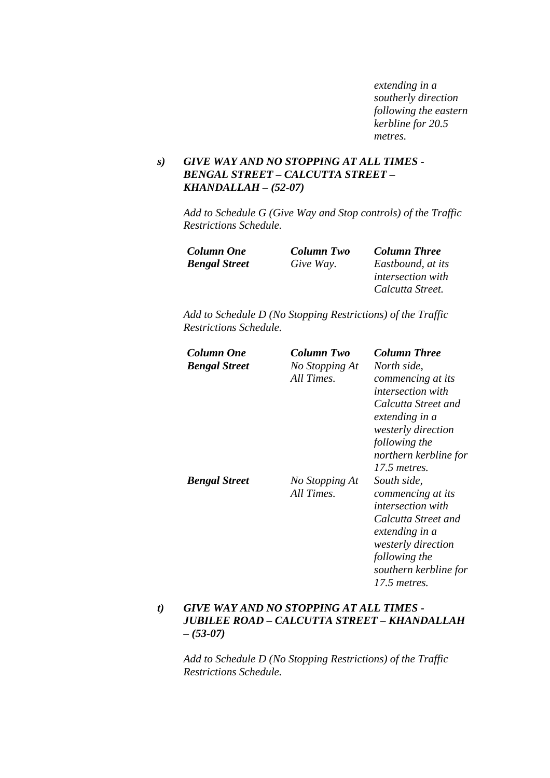*extending in a southerly direction following the eastern kerbline for 20.5 metres.* 

## *s) GIVE WAY AND NO STOPPING AT ALL TIMES - BENGAL STREET – CALCUTTA STREET – KHANDALLAH – (52-07)*

*Add to Schedule G (Give Way and Stop controls) of the Traffic Restrictions Schedule.* 

| <b>Column Two</b> | <b>Column Three</b>      |
|-------------------|--------------------------|
| Give Way.         | Eastbound, at its        |
|                   | <i>intersection with</i> |
|                   | Calcutta Street.         |
|                   |                          |

*Add to Schedule D (No Stopping Restrictions) of the Traffic Restrictions Schedule.* 

| Column One           | Column Two     | <b>Column Three</b>                   |
|----------------------|----------------|---------------------------------------|
| <b>Bengal Street</b> | No Stopping At | North side.                           |
|                      | All Times.     | commencing at its                     |
|                      |                | <i>intersection with</i>              |
|                      |                | Calcutta Street and<br>extending in a |
|                      |                | westerly direction                    |
|                      |                | following the                         |
|                      |                | northern kerbline for                 |
|                      |                | 17.5 metres.                          |
| <b>Bengal Street</b> | No Stopping At | South side,                           |
|                      | All Times.     | commencing at its                     |
|                      |                | <i>intersection with</i>              |
|                      |                | Calcutta Street and<br>extending in a |
|                      |                | westerly direction                    |
|                      |                | following the                         |
|                      |                | southern kerbline for                 |
|                      |                | 17.5 metres.                          |

## *t) GIVE WAY AND NO STOPPING AT ALL TIMES - JUBILEE ROAD – CALCUTTA STREET – KHANDALLAH – (53-07)*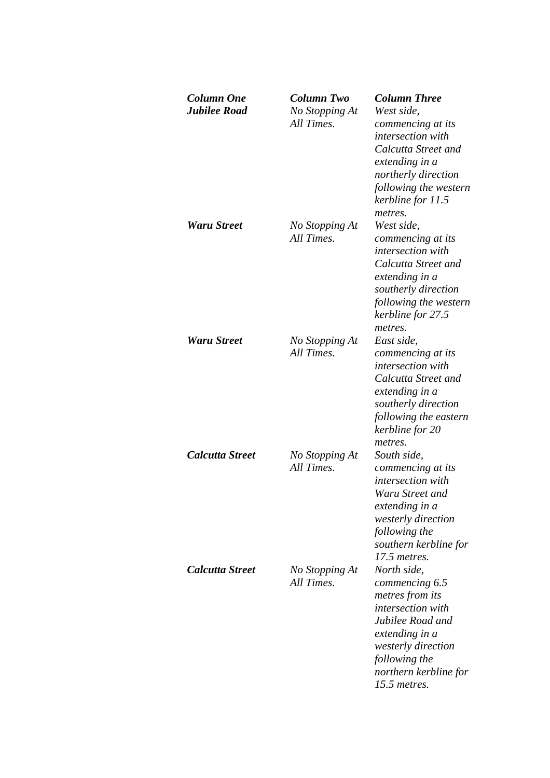| Column One<br><b>Jubilee Road</b> | Column Two<br>No Stopping At<br>All Times. | <b>Column Three</b><br>West side.<br>commencing at its<br>intersection with<br>Calcutta Street and<br>extending in a<br>northerly direction<br>following the western<br>kerbline for 11.5       |
|-----------------------------------|--------------------------------------------|-------------------------------------------------------------------------------------------------------------------------------------------------------------------------------------------------|
| Waru Street                       | No Stopping At<br>All Times.               | metres.<br>West side,<br>commencing at its<br><i>intersection with</i><br>Calcutta Street and<br>extending in a<br>southerly direction<br>following the western<br>kerbline for 27.5<br>metres. |
| <b>Waru Street</b>                | No Stopping At<br>All Times.               | East side,<br>commencing at its<br>intersection with<br>Calcutta Street and<br>extending in a<br>southerly direction<br>following the eastern<br>kerbline for 20<br>metres.                     |
| <b>Calcutta Street</b>            | No Stopping At<br>All Times.               | South side,<br>commencing at its<br><i>intersection with</i><br>Waru Street and<br>extending in a<br>westerly direction<br>following the<br>southern kerbline for<br>17.5 metres.               |
| Calcutta Street                   | No Stopping At<br>All Times.               | North side,<br>commencing 6.5<br>metres from its<br>intersection with<br>Jubilee Road and<br>extending in a<br>westerly direction<br>following the<br>northern kerbline for<br>15.5 metres.     |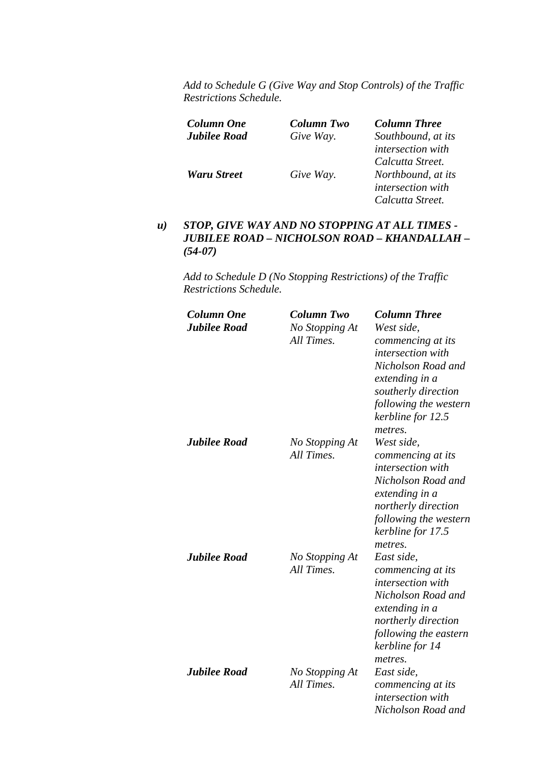| Column One         | <b>Column Two</b> | <b>Column Three</b>      |
|--------------------|-------------------|--------------------------|
| Jubilee Road       | Give Way.         | Southbound, at its       |
|                    |                   | intersection with        |
|                    |                   | Calcutta Street.         |
| <b>Waru Street</b> | Give Way.         | Northbound, at its       |
|                    |                   | <i>intersection with</i> |
|                    |                   | Calcutta Street.         |

#### *u) STOP, GIVE WAY AND NO STOPPING AT ALL TIMES - JUBILEE ROAD – NICHOLSON ROAD – KHANDALLAH – (54-07)*

| <b>Column One</b>   | <b>Column Two</b>            | <b>Column Three</b>                                                                                                                                                               |
|---------------------|------------------------------|-----------------------------------------------------------------------------------------------------------------------------------------------------------------------------------|
| <b>Jubilee Road</b> | No Stopping At<br>All Times. | West side,<br>commencing at its<br>intersection with                                                                                                                              |
|                     |                              | Nicholson Road and<br>extending in a<br>southerly direction<br>following the western<br>kerbline for 12.5<br>metres.                                                              |
| <b>Jubilee Road</b> | No Stopping At<br>All Times. | West side.<br>commencing at its<br>intersection with<br>Nicholson Road and<br>extending in a<br>northerly direction<br>following the western<br>kerbline for 17.5<br>metres.      |
| <b>Jubilee Road</b> | No Stopping At<br>All Times. | East side,<br>commencing at its<br><i>intersection with</i><br>Nicholson Road and<br>extending in a<br>northerly direction<br>following the eastern<br>kerbline for 14<br>metres. |
| <b>Jubilee Road</b> | No Stopping At<br>All Times. | East side,<br>commencing at its<br><i>intersection with</i><br>Nicholson Road and                                                                                                 |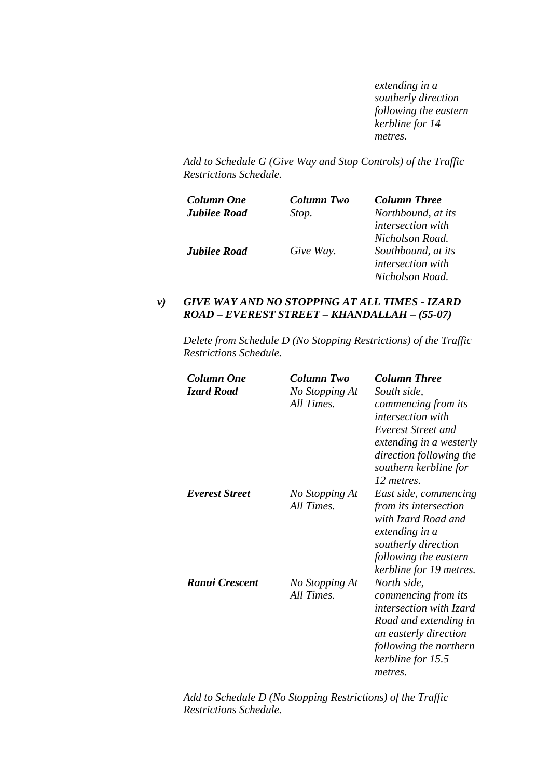*extending in a southerly direction following the eastern kerbline for 14 metres.* 

*Add to Schedule G (Give Way and Stop Controls) of the Traffic Restrictions Schedule.* 

| Column One          | Column Two | <b>Column Three</b>      |
|---------------------|------------|--------------------------|
| <b>Jubilee Road</b> | Stop.      | Northbound, at its       |
|                     |            | <i>intersection with</i> |
|                     |            | Nicholson Road.          |
| <b>Jubilee Road</b> | Give Way.  | Southbound, at its       |
|                     |            | <i>intersection with</i> |
|                     |            | Nicholson Road.          |

## *v) GIVE WAY AND NO STOPPING AT ALL TIMES - IZARD ROAD – EVEREST STREET – KHANDALLAH – (55-07)*

*Delete from Schedule D (No Stopping Restrictions) of the Traffic Restrictions Schedule.* 

| Column One        | Column Two                   | <b>Column Three</b>                                                                                                                                                              |
|-------------------|------------------------------|----------------------------------------------------------------------------------------------------------------------------------------------------------------------------------|
| <b>Izard Road</b> | No Stopping At<br>All Times. | South side,<br>commencing from its                                                                                                                                               |
|                   |                              | <i>intersection with</i><br>Everest Street and<br>extending in a westerly<br>direction following the<br>southern kerbline for<br>12 metres.                                      |
| Everest Street    | No Stopping At<br>All Times. | East side, commencing<br>from its intersection<br>with Izard Road and<br>extending in a<br>southerly direction<br>following the eastern<br>kerbline for 19 metres.               |
| Ranui Crescent    | No Stopping At<br>All Times. | North side,<br>commencing from its<br><i>intersection with Izard</i><br>Road and extending in<br>an easterly direction<br>following the northern<br>kerbline for 15.5<br>metres. |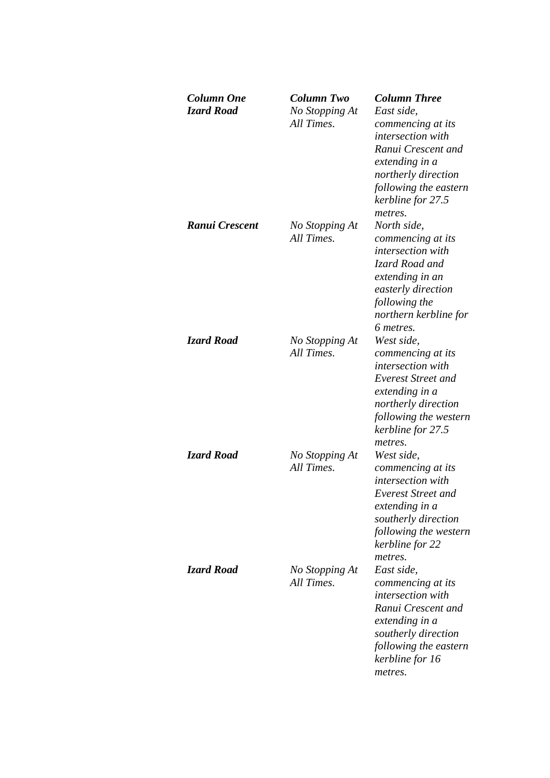| Column One<br><b>Izard Road</b> | Column Two<br>No Stopping At<br>All Times. | <b>Column Three</b><br>East side.<br>commencing at its<br>intersection with<br>Ranui Crescent and<br>extending in a<br>northerly direction<br>following the eastern<br>kerbline for 27.5<br>metres. |
|---------------------------------|--------------------------------------------|-----------------------------------------------------------------------------------------------------------------------------------------------------------------------------------------------------|
| Ranui Crescent                  | No Stopping At<br>All Times.               | North side,<br>commencing at its<br><i>intersection with</i><br>Izard Road and<br>extending in an<br>easterly direction<br>following the<br>northern kerbline for<br>6 metres.                      |
| <b>Izard Road</b>               | No Stopping At<br>All Times.               | West side,<br>commencing at its<br>intersection with<br>Everest Street and<br>extending in a<br>northerly direction<br>following the western<br>kerbline for 27.5<br>metres.                        |
| <b>Izard Road</b>               | No Stopping At<br>All Times.               | West side,<br>commencing at its<br><i>intersection with</i><br><b>Everest Street and</b><br>extending in a<br>southerly direction<br>following the western<br>kerbline for 22<br>metres.            |
| <b>Izard Road</b>               | No Stopping At<br>All Times.               | East side.<br>commencing at its<br>intersection with<br>Ranui Crescent and<br>extending in a<br>southerly direction<br>following the eastern<br>kerbline for 16<br>metres.                          |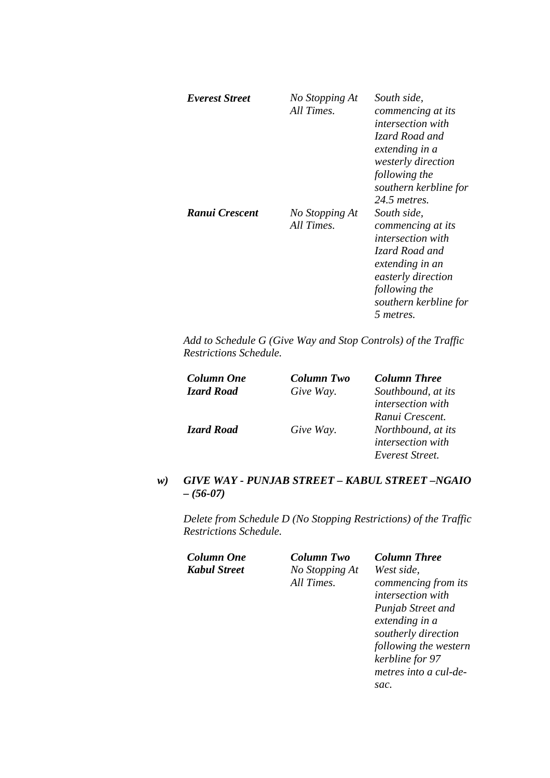| Everest Street | No Stopping At<br>All Times. | South side,<br>commencing at its<br><i>intersection with</i><br>Izard Road and<br>extending in a<br><i>westerly direction</i><br>following the<br>southern kerbline for<br>$24.5$ metres. |
|----------------|------------------------------|-------------------------------------------------------------------------------------------------------------------------------------------------------------------------------------------|
| Ranui Crescent | No Stopping At<br>All Times. | South side,<br>commencing at its<br><i>intersection with</i><br>Izard Road and<br>extending in an<br>easterly direction<br>following the<br>southern kerbline for<br>5 metres.            |

| <b>Column One</b> | Column Two | <b>Column Three</b>      |
|-------------------|------------|--------------------------|
| <b>Izard Road</b> | Give Way.  | Southbound, at its       |
|                   |            | <i>intersection with</i> |
|                   |            | Ranui Crescent.          |
| <b>Izard Road</b> | Give Way.  | Northbound, at its       |
|                   |            | <i>intersection with</i> |
|                   |            | Everest Street.          |

## *w) GIVE WAY - PUNJAB STREET – KABUL STREET –NGAIO – (56-07)*

*Delete from Schedule D (No Stopping Restrictions) of the Traffic Restrictions Schedule.* 

*Column One Column Two Column Three Kabul Street No Stopping At* 

*All Times.* 

*West side, commencing from its intersection with Punjab Street and extending in a southerly direction following the western* 

*kerbline for 97 metres into a cul-desac.*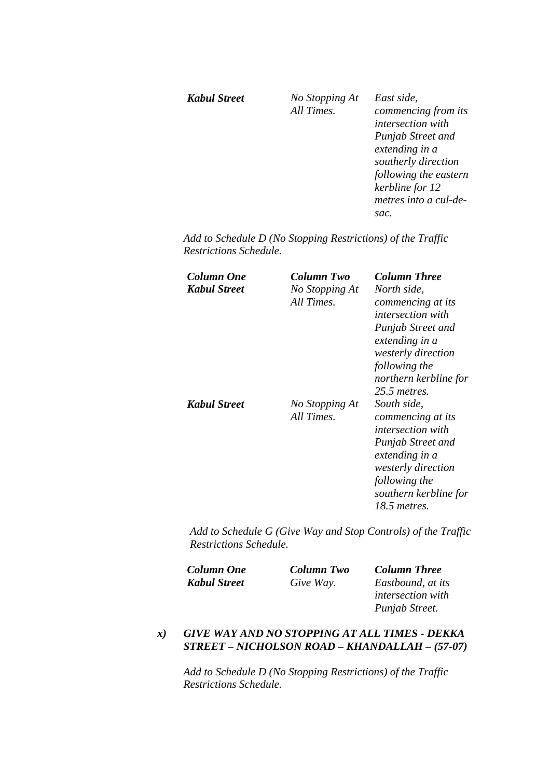#### *Kabul Street No Stopping At All Times. East side, commencing from its intersection with Punjab Street and extending in a southerly direction following the eastern kerbline for 12 metres into a cul-desac.*

*Add to Schedule D (No Stopping Restrictions) of the Traffic Restrictions Schedule.* 

| Column One<br>Kabul Street | <b>Column Two</b><br>No Stopping At<br>All Times. | <b>Column Three</b><br>North side,<br>commencing at its<br><i>intersection with</i><br><b>Punjab Street and</b><br>extending in a<br><i>westerly direction</i><br>following the<br>northern kerbline for<br>$25.5$ metres. |
|----------------------------|---------------------------------------------------|----------------------------------------------------------------------------------------------------------------------------------------------------------------------------------------------------------------------------|
| Kabul Street               | No Stopping At<br>All Times.                      | South side.<br>commencing at its<br><i>intersection with</i><br>Punjab Street and<br>extending in a<br><i>westerly direction</i><br>following the<br>southern kerbline for<br>18.5 metres.                                 |

*Add to Schedule G (Give Way and Stop Controls) of the Traffic Restrictions Schedule.* 

| <b>Column One</b>   | <b>Column Two</b> | <b>Column Three</b>      |
|---------------------|-------------------|--------------------------|
| <b>Kabul Street</b> | Give Way.         | Eastbound, at its        |
|                     |                   | <i>intersection</i> with |
|                     |                   | Punjab Street.           |

## *x) GIVE WAY AND NO STOPPING AT ALL TIMES - DEKKA STREET – NICHOLSON ROAD – KHANDALLAH – (57-07)*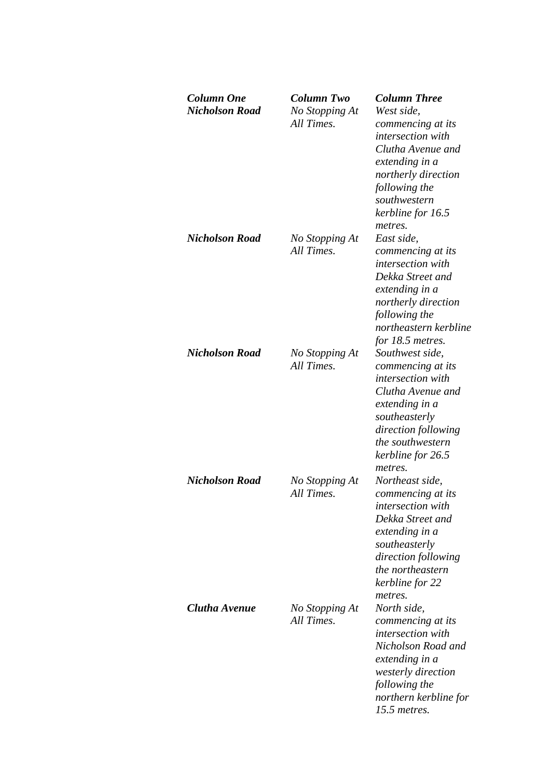| <b>Column One</b><br><b>Nicholson Road</b> | Column Two<br>No Stopping At<br>All Times. | <b>Column Three</b><br>West side,<br>commencing at its<br><i>intersection with</i><br>Clutha Avenue and<br>extending in a<br>northerly direction<br>following the<br>southwestern<br>kerbline for 16.5<br>metres. |
|--------------------------------------------|--------------------------------------------|-------------------------------------------------------------------------------------------------------------------------------------------------------------------------------------------------------------------|
| <b>Nicholson Road</b>                      | No Stopping At<br>All Times.               | East side,<br>commencing at its<br><i>intersection with</i><br>Dekka Street and<br>extending in a<br>northerly direction<br>following the<br>northeastern kerbline<br>for 18.5 metres.                            |
| <b>Nicholson Road</b>                      | No Stopping At<br>All Times.               | Southwest side,<br>commencing at its<br>intersection with<br>Clutha Avenue and<br>extending in a<br>southeasterly<br>direction following<br>the southwestern<br>kerbline for 26.5<br>metres.                      |
| <b>Nicholson Road</b>                      | No Stopping At<br>All Times.               | Northeast side,<br>commencing at its<br><i>intersection with</i><br>Dekka Street and<br>extending in a<br>southeasterly<br>direction following<br>the northeastern<br>kerbline for 22<br>metres.                  |
| Clutha Avenue                              | No Stopping At<br>All Times.               | North side,<br>commencing at its<br><i>intersection with</i><br>Nicholson Road and<br>extending in a<br>westerly direction<br>following the<br>northern kerbline for<br>$15.5$ metres.                            |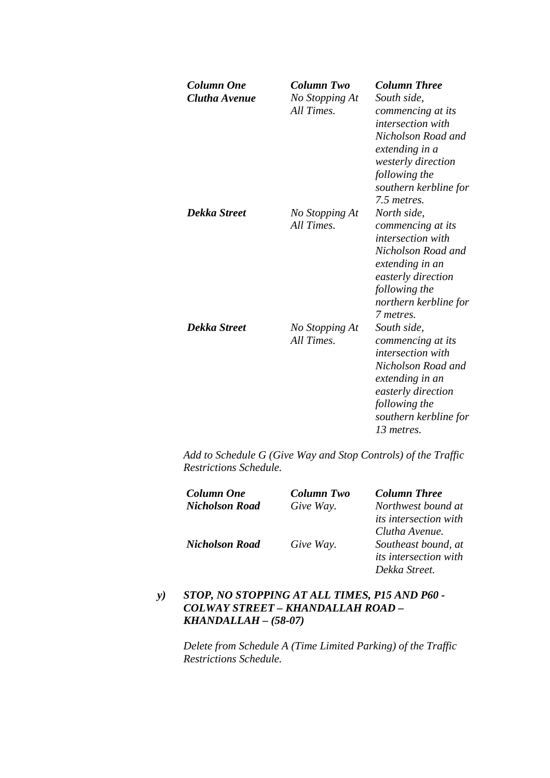| Column One<br>Clutha Avenue | Column Two<br>No Stopping At<br>All Times. | <b>Column Three</b><br>South side,<br>commencing at its<br><i>intersection with</i><br>Nicholson Road and<br>extending in a<br>westerly direction<br>following the<br>southern kerbline for<br>7.5 metres. |
|-----------------------------|--------------------------------------------|------------------------------------------------------------------------------------------------------------------------------------------------------------------------------------------------------------|
| Dekka Street                | No Stopping At<br>All Times.               | North side,<br>commencing at its<br><i>intersection with</i><br>Nicholson Road and<br>extending in an<br>easterly direction<br>following the<br>northern kerbline for<br>7 metres.                         |
| Dekka Street                | No Stopping At<br>All Times.               | South side,<br>commencing at its<br><i>intersection with</i><br>Nicholson Road and<br>extending in an<br>easterly direction<br>following the<br>southern kerbline for<br>13 metres.                        |

| Column One            | <b>Column Two</b> | <b>Column Three</b>          |
|-----------------------|-------------------|------------------------------|
| <b>Nicholson Road</b> | Give Way.         | Northwest bound at           |
|                       |                   | <i>its intersection with</i> |
|                       |                   | Clutha Avenue.               |
| <b>Nicholson Road</b> | Give Way.         | Southeast bound, at          |
|                       |                   | <i>its intersection with</i> |
|                       |                   | Dekka Street.                |

## *y) STOP, NO STOPPING AT ALL TIMES, P15 AND P60 - COLWAY STREET – KHANDALLAH ROAD – KHANDALLAH – (58-07)*

*Delete from Schedule A (Time Limited Parking) of the Traffic Restrictions Schedule.*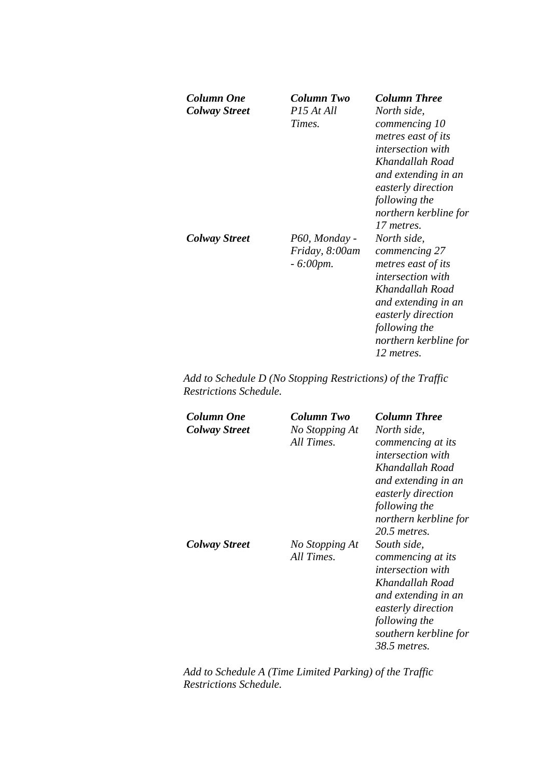| Column One<br><b>Colway Street</b> | Column Two<br>P <sub>15</sub> At All<br>Times. | <b>Column Three</b><br>North side,<br>commencing 10<br>metres east of its<br><i>intersection with</i><br>Khandallah Road<br>and extending in an<br>easterly direction<br>following the<br>northern kerbline for      |
|------------------------------------|------------------------------------------------|----------------------------------------------------------------------------------------------------------------------------------------------------------------------------------------------------------------------|
| Colway Street                      | P60, Monday -<br>Friday, 8:00am<br>$-6:00$ pm. | 17 metres.<br>North side,<br>commencing 27<br>metres east of its<br><i>intersection with</i><br>Khandallah Road<br>and extending in an<br>easterly direction<br>following the<br>northern kerbline for<br>12 metres. |

*Add to Schedule D (No Stopping Restrictions) of the Traffic Restrictions Schedule.* 

| <b>Column One</b><br><b>Colway Street</b> | Column Two<br>No Stopping At<br>All Times. | <b>Column Three</b><br>North side,<br>commencing at its<br><i>intersection with</i><br>Khandallah Road<br>and extending in an<br>easterly direction<br>following the<br>northern kerbline for<br>$20.5$ metres. |
|-------------------------------------------|--------------------------------------------|-----------------------------------------------------------------------------------------------------------------------------------------------------------------------------------------------------------------|
| <b>Colway Street</b>                      | No Stopping At<br>All Times.               | South side,<br>commencing at its<br><i>intersection with</i><br>Khandallah Road<br>and extending in an<br>easterly direction<br>following the<br>southern kerbline for<br>38.5 <i>metres</i> .                  |

*Add to Schedule A (Time Limited Parking) of the Traffic Restrictions Schedule.*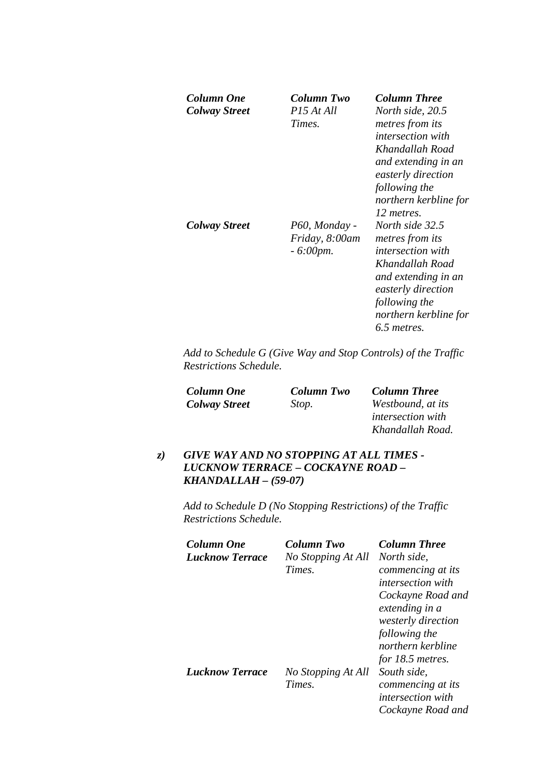| Column One<br><b>Colway Street</b> | Column Two<br>P <sub>15</sub> At All<br>Times.        | <b>Column Three</b><br>North side, 20.5<br>metres from its<br><i>intersection with</i><br>Khandallah Road<br>and extending in an<br>easterly direction<br>following the<br>northern kerbline for<br>12 metres. |
|------------------------------------|-------------------------------------------------------|----------------------------------------------------------------------------------------------------------------------------------------------------------------------------------------------------------------|
| Colway Street                      | P60, Monday -<br>Friday, 8:00am<br>$-6:00 \text{pm}.$ | North side 32.5<br><i>metres from its</i><br><i>intersection with</i><br>Khandallah Road<br>and extending in an<br>easterly direction<br>following the<br>northern kerbline for<br>6.5 metres.                 |

| <b>Column One</b>    | <b>Column Two</b> | <b>Column Three</b> |
|----------------------|-------------------|---------------------|
| <b>Colway Street</b> | Stop.             | Westbound, at its   |
|                      |                   |                     |

*intersection with Khandallah Road.* 

## *z) GIVE WAY AND NO STOPPING AT ALL TIMES - LUCKNOW TERRACE – COCKAYNE ROAD – KHANDALLAH – (59-07)*

| Column One             | Column Two         | <b>Column Three</b>      |
|------------------------|--------------------|--------------------------|
| <b>Lucknow Terrace</b> | No Stopping At All | North side.              |
|                        | Times.             | commencing at its        |
|                        |                    | <i>intersection with</i> |
|                        |                    | Cockayne Road and        |
|                        |                    | extending in a           |
|                        |                    | westerly direction       |
|                        |                    | following the            |
|                        |                    | northern kerbline        |
|                        |                    | for 18.5 metres.         |
| <b>Lucknow Terrace</b> | No Stopping At All | South side,              |
|                        | Times.             | commencing at its        |
|                        |                    | <i>intersection with</i> |
|                        |                    | Cockayne Road and        |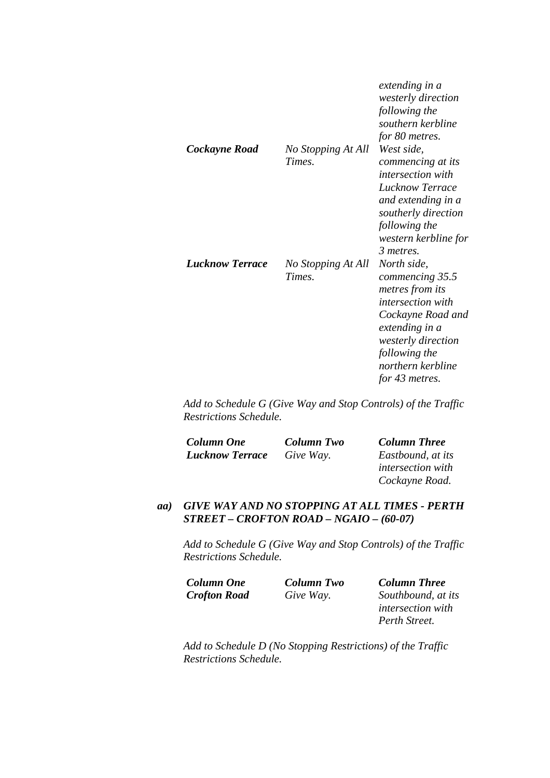| Cockayne Road          | No Stopping At All<br>Times. | extending in a<br>westerly direction<br>following the<br>southern kerbline<br>for 80 metres.<br>West side,<br>commencing at its<br><i>intersection with</i><br>Lucknow Terrace<br>and extending in a<br>southerly direction<br>following the<br>western kerbline for<br>3 metres. |
|------------------------|------------------------------|-----------------------------------------------------------------------------------------------------------------------------------------------------------------------------------------------------------------------------------------------------------------------------------|
| <b>Lucknow Terrace</b> | No Stopping At All<br>Times. | North side,<br>commencing 35.5<br>metres from its<br><i>intersection with</i><br>Cockayne Road and<br>extending in a<br><i>westerly direction</i><br>following the<br>northern kerbline<br>for 43 metres.                                                                         |

| Column One             | <b>Column Two</b> | <b>Column Three</b>      |
|------------------------|-------------------|--------------------------|
| <b>Lucknow Terrace</b> | Give Way.         | Eastbound, at its        |
|                        |                   | <i>intersection with</i> |
|                        |                   | Cockayne Road.           |

#### *aa) GIVE WAY AND NO STOPPING AT ALL TIMES - PERTH STREET – CROFTON ROAD – NGAIO – (60-07)*

*Add to Schedule G (Give Way and Stop Controls) of the Traffic Restrictions Schedule.* 

| Column One          | <b>Column Two</b> | <b>Column Three</b>      |
|---------------------|-------------------|--------------------------|
| <b>Crofton Road</b> | Give Way.         | Southbound, at its       |
|                     |                   | <i>intersection with</i> |
|                     |                   | Perth Street.            |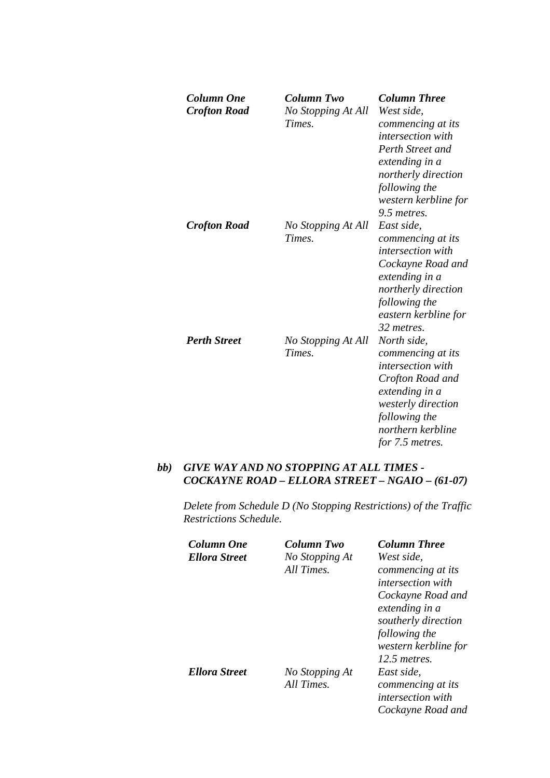| <b>Column One</b><br><b>Crofton Road</b> | <b>Column Two</b><br>No Stopping At All<br>Times. | <b>Column Three</b><br>West side,<br>commencing at its<br><i>intersection with</i><br>Perth Street and<br>extending in a<br>northerly direction<br>following the<br>western kerbline for<br>9.5 metres. |
|------------------------------------------|---------------------------------------------------|---------------------------------------------------------------------------------------------------------------------------------------------------------------------------------------------------------|
| <b>Crofton Road</b>                      | No Stopping At All<br>Times.                      | East side,<br>commencing at its<br><i>intersection with</i><br>Cockayne Road and<br>extending in a<br>northerly direction<br>following the<br>eastern kerbline for<br>32 metres.                        |
| <b>Perth Street</b>                      | No Stopping At All<br>Times.                      | North side,<br>commencing at its<br><i>intersection with</i><br>Crofton Road and<br>extending in a<br>westerly direction<br>following the<br>northern kerbline<br>for 7.5 metres.                       |

#### *bb) GIVE WAY AND NO STOPPING AT ALL TIMES - COCKAYNE ROAD – ELLORA STREET – NGAIO – (61-07)*

| Column One           | Column Two     | <b>Column Three</b>      |
|----------------------|----------------|--------------------------|
| <b>Ellora Street</b> | No Stopping At | West side,               |
|                      | All Times.     | commencing at its        |
|                      |                | <i>intersection with</i> |
|                      |                | Cockayne Road and        |
|                      |                | extending in a           |
|                      |                | southerly direction      |
|                      |                | following the            |
|                      |                | western kerbline for     |
|                      |                | $12.5$ metres.           |
| <b>Ellora Street</b> | No Stopping At | East side.               |
|                      | All Times.     | commencing at its        |
|                      |                | <i>intersection with</i> |
|                      |                | Cockayne Road and        |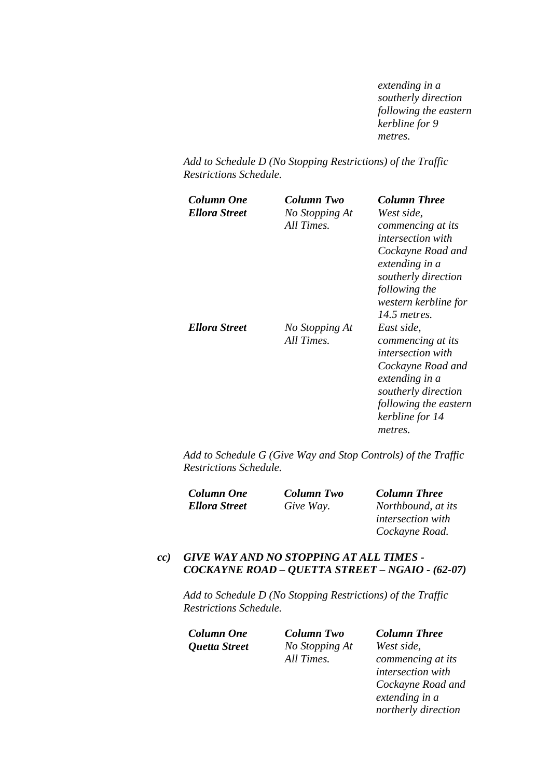*extending in a southerly direction following the eastern kerbline for 9 metres.* 

*Add to Schedule D (No Stopping Restrictions) of the Traffic Restrictions Schedule.* 

| Column One<br>Ellora Street | Column Two<br>No Stopping At<br>All Times. | <b>Column Three</b><br>West side,<br>commencing at its<br><i>intersection with</i><br>Cockayne Road and<br>extending in a<br>southerly direction<br>following the<br>western kerbline for<br>14.5 metres. |
|-----------------------------|--------------------------------------------|-----------------------------------------------------------------------------------------------------------------------------------------------------------------------------------------------------------|
| Ellora Street               | No Stopping At<br>All Times.               | East side,<br>commencing at its<br><i>intersection with</i><br>Cockayne Road and<br>extending in a<br>southerly direction<br>following the eastern<br>kerbline for 14<br>metres.                          |

*Add to Schedule G (Give Way and Stop Controls) of the Traffic Restrictions Schedule.* 

| <b>Column One</b>    | Column Two | <b>Column Three</b>      |
|----------------------|------------|--------------------------|
| <b>Ellora Street</b> | Give Way.  | Northbound, at its       |
|                      |            | <i>intersection with</i> |
|                      |            | Cockayne Road.           |

#### *cc) GIVE WAY AND NO STOPPING AT ALL TIMES - COCKAYNE ROAD – QUETTA STREET – NGAIO - (62-07)*

*Add to Schedule D (No Stopping Restrictions) of the Traffic Restrictions Schedule.* 

*Column One Column Two Column Three Quetta Street No Stopping At All Times. West side,* 

*commencing at its intersection with Cockayne Road and extending in a northerly direction*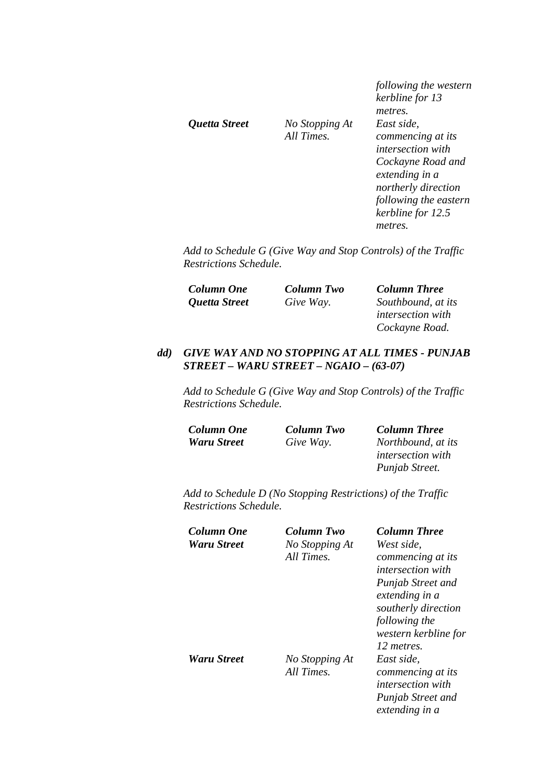*Quetta Street No Stopping At* 

*All Times.* 

*following the western kerbline for 13 metres. East side, commencing at its intersection with Cockayne Road and extending in a northerly direction following the eastern kerbline for 12.5 metres.* 

*Punjab Street.* 

*Add to Schedule G (Give Way and Stop Controls) of the Traffic Restrictions Schedule.* 

| <b>Column One</b> | <b>Column Two</b> | <b>Column Three</b>      |
|-------------------|-------------------|--------------------------|
| Quetta Street     | Give Way.         | Southbound, at its       |
|                   |                   | <i>intersection with</i> |
|                   |                   | Cockayne Road.           |

#### *dd) GIVE WAY AND NO STOPPING AT ALL TIMES - PUNJAB STREET – WARU STREET – NGAIO – (63-07)*

*Add to Schedule G (Give Way and Stop Controls) of the Traffic Restrictions Schedule.* 

| <b>Column One</b>  | <b>Column Two</b> | <b>Column Three</b>      |
|--------------------|-------------------|--------------------------|
| <b>Waru Street</b> | Give Way.         | Northbound, at its       |
|                    |                   | <i>intersection with</i> |

| Column One  | Column Two     | <b>Column Three</b>      |
|-------------|----------------|--------------------------|
| Waru Street | No Stopping At | West side.               |
|             | All Times.     | commencing at its        |
|             |                | <i>intersection with</i> |
|             |                | <b>Punjab Street and</b> |
|             |                | extending in a           |
|             |                | southerly direction      |
|             |                | following the            |
|             |                | western kerbline for     |
|             |                | 12 metres.               |
| Waru Street | No Stopping At | East side,               |
|             | All Times.     | commencing at its        |
|             |                | <i>intersection with</i> |
|             |                | <b>Punjab Street and</b> |
|             |                | extending in a           |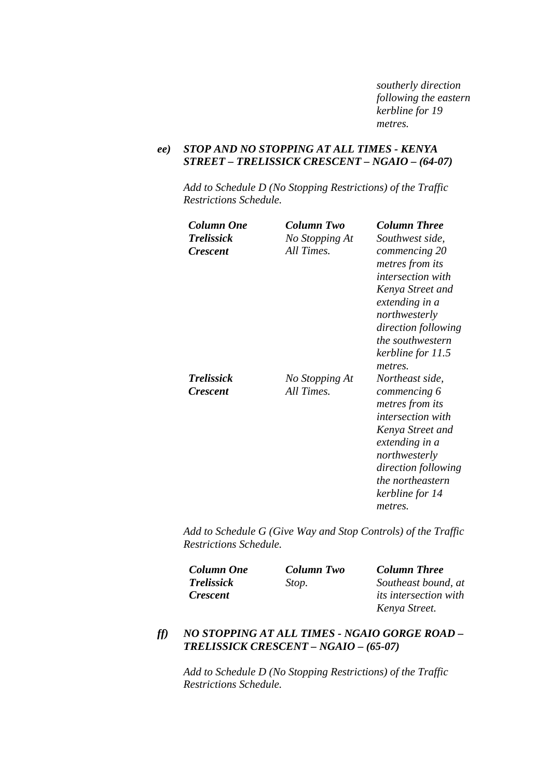*southerly direction following the eastern kerbline for 19 metres.* 

#### *ee) STOP AND NO STOPPING AT ALL TIMES - KENYA STREET – TRELISSICK CRESCENT – NGAIO – (64-07)*

*Add to Schedule D (No Stopping Restrictions) of the Traffic Restrictions Schedule.* 

| Column One<br><b>Trelissick</b><br><b>Crescent</b> | Column Two<br>No Stopping At<br>All Times. | <b>Column Three</b><br>Southwest side,<br>commencing 20<br>metres from its<br><i>intersection with</i><br>Kenya Street and<br>extending in a<br>northwesterly<br>direction following<br><i>the southwestern</i><br>kerbline for 11.5 |
|----------------------------------------------------|--------------------------------------------|--------------------------------------------------------------------------------------------------------------------------------------------------------------------------------------------------------------------------------------|
| <b>Trelissick</b><br><b>Crescent</b>               | No Stopping At<br>All Times.               | metres.<br>Northeast side,<br>commencing 6<br>metres from its<br><i>intersection with</i><br>Kenya Street and<br>extending in a<br>northwesterly<br>direction following<br>the northeastern<br>kerbline for 14<br>metres.            |

*Add to Schedule G (Give Way and Stop Controls) of the Traffic Restrictions Schedule.* 

| <b>Column One</b> | Column Two | <b>Column Three</b>          |
|-------------------|------------|------------------------------|
| <b>Trelissick</b> | Stop.      | Southeast bound, at          |
| <i>Crescent</i>   |            | <i>its intersection with</i> |
|                   |            | Kenya Street.                |

## *ff) NO STOPPING AT ALL TIMES - NGAIO GORGE ROAD – TRELISSICK CRESCENT – NGAIO – (65-07)*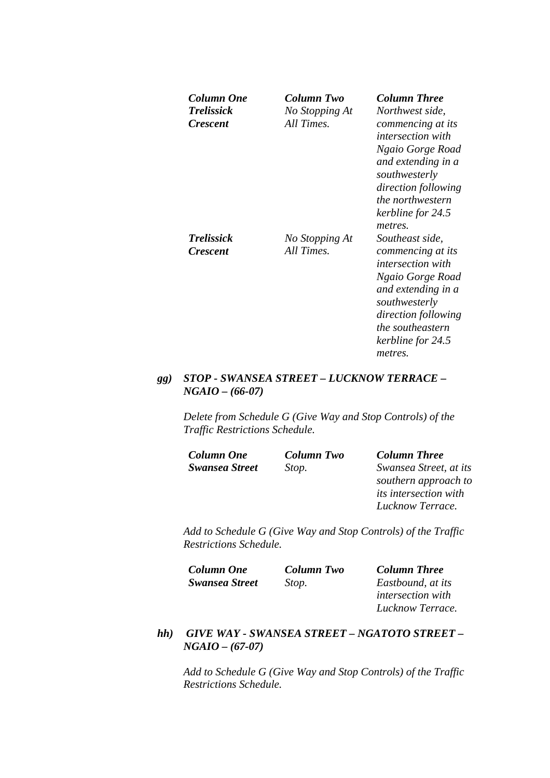| Column One<br><b>Trelissick</b><br><i><b>Crescent</b></i> | Column Two<br>No Stopping At<br>All Times. | <b>Column Three</b><br>Northwest side,<br>commencing at its<br><i>intersection with</i><br>Ngaio Gorge Road<br>and extending in a<br>southwesterly<br>direction following<br><i>the northwestern</i><br>kerbline for 24.5<br>metres. |
|-----------------------------------------------------------|--------------------------------------------|--------------------------------------------------------------------------------------------------------------------------------------------------------------------------------------------------------------------------------------|
| <b>Trelissick</b><br><i><b>Crescent</b></i>               | No Stopping At<br>All Times.               | Southeast side,<br>commencing at its<br><i>intersection with</i><br>Ngaio Gorge Road<br>and extending in a<br>southwesterly<br>direction following<br>the southeastern<br>kerbline for 24.5<br>metres.                               |

## *gg) STOP - SWANSEA STREET – LUCKNOW TERRACE – NGAIO – (66-07)*

*Delete from Schedule G (Give Way and Stop Controls) of the Traffic Restrictions Schedule.* 

| Column One            | <b>Column Two</b> | <b>Column Three</b>          |
|-----------------------|-------------------|------------------------------|
| <b>Swansea Street</b> | Stop.             | Swansea Street, at its       |
|                       |                   | southern approach to         |
|                       |                   | <i>its intersection with</i> |
|                       |                   | Lucknow Terrace.             |

*Add to Schedule G (Give Way and Stop Controls) of the Traffic Restrictions Schedule.* 

| Column One            | Column Two | <b>Column Three</b>      |
|-----------------------|------------|--------------------------|
| <b>Swansea Street</b> | Stop.      | Eastbound, at its        |
|                       |            | <i>intersection with</i> |
|                       |            | Lucknow Terrace.         |

### *hh) GIVE WAY - SWANSEA STREET – NGATOTO STREET – NGAIO – (67-07)*

*Add to Schedule G (Give Way and Stop Controls) of the Traffic Restrictions Schedule.*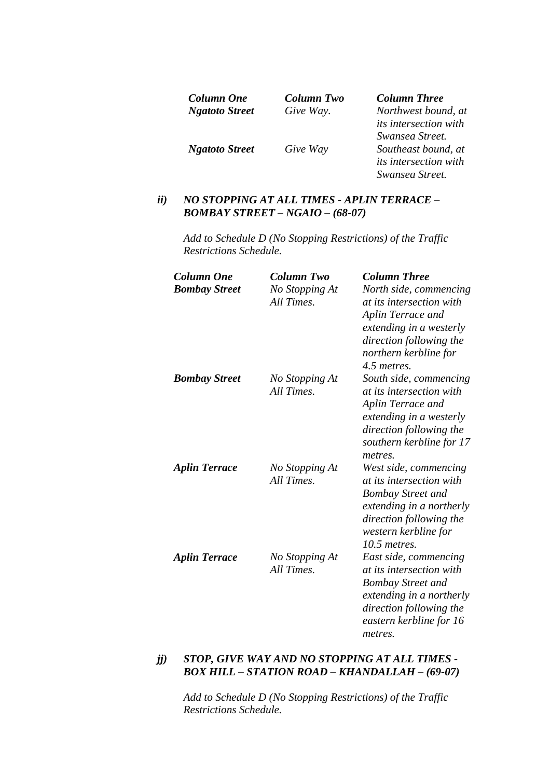| Column One            | <b>Column Two</b> | <b>Column Three</b>          |
|-----------------------|-------------------|------------------------------|
| <b>Ngatoto Street</b> | Give Way.         | Northwest bound, at          |
|                       |                   | <i>its intersection with</i> |
|                       |                   | Swansea Street.              |
| <b>Ngatoto Street</b> | Give Way          | Southeast bound, at          |
|                       |                   | <i>its intersection with</i> |
|                       |                   | Swansea Street.              |

#### *ii) NO STOPPING AT ALL TIMES - APLIN TERRACE – BOMBAY STREET – NGAIO – (68-07)*

*Add to Schedule D (No Stopping Restrictions) of the Traffic Restrictions Schedule.* 

| <b>Column One</b>    | <b>Column Two</b>            | <b>Column Three</b>                                                                                                                                                            |
|----------------------|------------------------------|--------------------------------------------------------------------------------------------------------------------------------------------------------------------------------|
| <b>Bombay Street</b> | No Stopping At<br>All Times. | North side, commencing<br>at its intersection with                                                                                                                             |
|                      |                              | <b>Aplin Terrace and</b><br>extending in a westerly<br>direction following the<br>northern kerbline for<br>4.5 metres.                                                         |
| <b>Bombay Street</b> | No Stopping At<br>All Times. | South side, commencing<br>at its intersection with<br>Aplin Terrace and<br>extending in a westerly<br>direction following the<br>southern kerbline for 17<br>metres.           |
| <b>Aplin Terrace</b> | No Stopping At<br>All Times. | West side, commencing<br>at its intersection with<br><b>Bombay Street and</b><br>extending in a northerly<br>direction following the<br>western kerbline for<br>$10.5$ metres. |
| <b>Aplin Terrace</b> | No Stopping At<br>All Times. | East side, commencing<br>at its intersection with<br><b>Bombay Street and</b><br>extending in a northerly<br>direction following the<br>eastern kerbline for 16<br>metres.     |

#### *jj) STOP, GIVE WAY AND NO STOPPING AT ALL TIMES - BOX HILL – STATION ROAD – KHANDALLAH – (69-07)*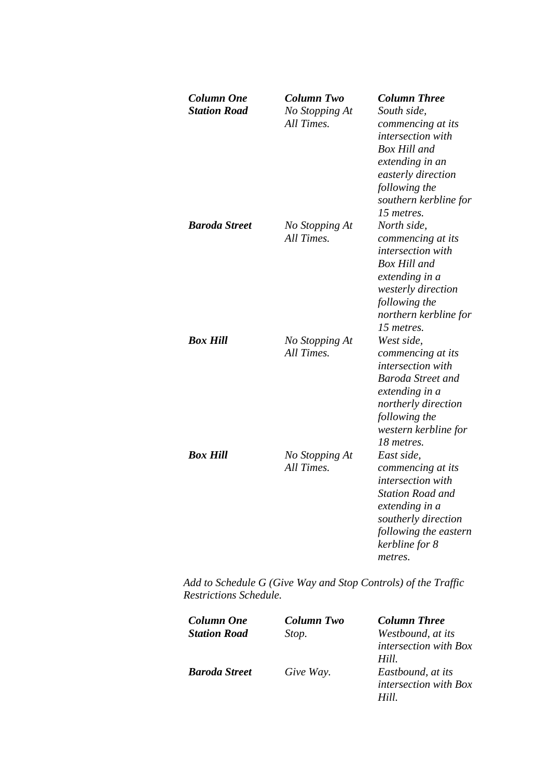| Column One<br><b>Station Road</b> | Column Two<br>No Stopping At<br>All Times. | <b>Column Three</b><br>South side,<br>commencing at its<br>intersection with<br><b>Box Hill and</b><br>extending in an<br>easterly direction<br>following the<br>southern kerbline for<br>15 metres. |
|-----------------------------------|--------------------------------------------|------------------------------------------------------------------------------------------------------------------------------------------------------------------------------------------------------|
| <b>Baroda Street</b>              | No Stopping At<br>All Times.               | North side,<br>commencing at its<br>intersection with<br><b>Box Hill and</b><br>extending in a<br>westerly direction<br>following the<br>northern kerbline for<br>15 metres.                         |
| Box Hill                          | No Stopping At<br>All Times.               | West side,<br>commencing at its<br>intersection with<br><b>Baroda Street and</b><br>extending in a<br>northerly direction<br>following the<br>western kerbline for<br>18 metres.                     |
| Box Hill                          | No Stopping At<br>All Times.               | East side,<br>commencing at its<br>intersection with<br><b>Station Road and</b><br>extending in a<br>southerly direction<br>following the eastern<br>kerbline for 8<br>metres.                       |

| Column One           | Column Two | <b>Column Three</b>          |
|----------------------|------------|------------------------------|
| <b>Station Road</b>  | Stop.      | Westbound, at its            |
|                      |            | <i>intersection with Box</i> |
|                      |            | Hill.                        |
| <b>Baroda Street</b> | Give Way.  | Eastbound, at its            |
|                      |            | <i>intersection with Box</i> |
|                      |            | Hill                         |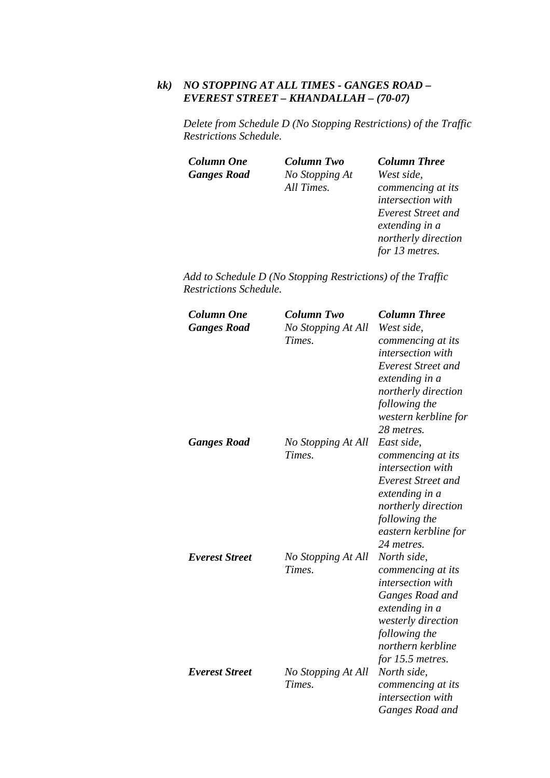## *kk) NO STOPPING AT ALL TIMES - GANGES ROAD – EVEREST STREET – KHANDALLAH – (70-07)*

*Delete from Schedule D (No Stopping Restrictions) of the Traffic Restrictions Schedule.* 

*Column One Column Two Column Three Ganges Road No Stopping At* 

*All Times.* 

*West side, commencing at its intersection with Everest Street and extending in a northerly direction for 13 metres.* 

| <b>Column One</b><br><b>Ganges Road</b> | <b>Column Two</b><br>No Stopping At All<br>Times. | <b>Column Three</b><br>West side,<br>commencing at its<br><i>intersection with</i><br><b>Everest Street and</b><br>extending in a<br>northerly direction<br>following the<br>western kerbline for<br>28 metres. |
|-----------------------------------------|---------------------------------------------------|-----------------------------------------------------------------------------------------------------------------------------------------------------------------------------------------------------------------|
| <b>Ganges Road</b>                      | No Stopping At All<br>Times.                      | East side,<br>commencing at its<br><i>intersection with</i><br><b>Everest Street and</b><br>extending in a<br>northerly direction<br>following the<br>eastern kerbline for<br>24 metres.                        |
| <b>Everest Street</b>                   | No Stopping At All<br>Times.                      | North side,<br>commencing at its<br>intersection with<br>Ganges Road and<br>extending in a<br>westerly direction<br>following the<br>northern kerbline<br>for 15.5 metres.                                      |
| <b>Everest Street</b>                   | No Stopping At All<br>Times.                      | North side,<br>commencing at its<br><i>intersection</i> with<br>Ganges Road and                                                                                                                                 |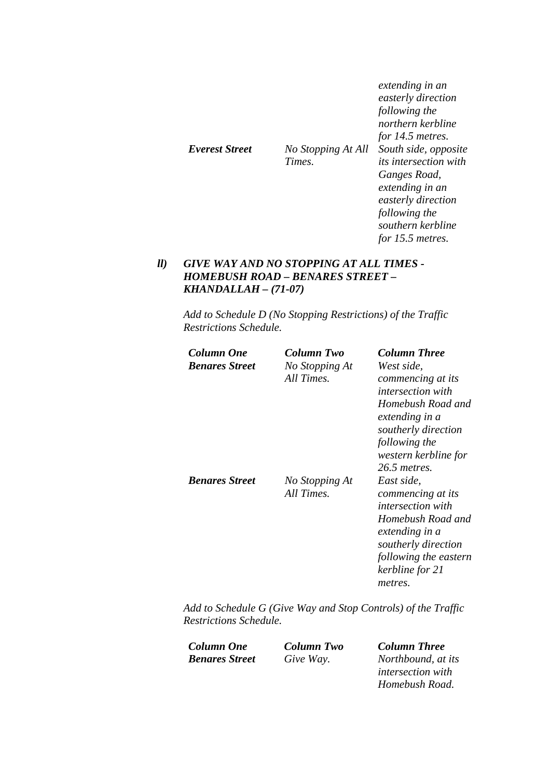| extending in an<br>easterly direction<br>following the |
|--------------------------------------------------------|
| northern kerbline                                      |
| for 14.5 metres.                                       |
| South side, opposite                                   |
| <i>its intersection with</i>                           |
| Ganges Road,                                           |
| extending in an                                        |
| easterly direction                                     |
| following the                                          |
| southern kerbline                                      |
| No Stopping At All<br>Times.                           |

## *ll) GIVE WAY AND NO STOPPING AT ALL TIMES - HOMEBUSH ROAD – BENARES STREET – KHANDALLAH – (71-07)*

*Add to Schedule D (No Stopping Restrictions) of the Traffic Restrictions Schedule.* 

| Column One            | Column Two     | <b>Column Three</b>                   |
|-----------------------|----------------|---------------------------------------|
| <b>Benares Street</b> | No Stopping At | West side.                            |
|                       | All Times.     | commencing at its                     |
|                       |                | <i>intersection with</i>              |
|                       |                | Homebush Road and                     |
|                       |                | extending in a<br>southerly direction |
|                       |                | following the                         |
|                       |                | western kerbline for                  |
|                       |                | 26.5 metres.                          |
| <b>Benares Street</b> | No Stopping At | East side,                            |
|                       | All Times.     | commencing at its                     |
|                       |                | <i>intersection with</i>              |
|                       |                | Homebush Road and                     |
|                       |                | extending in a                        |
|                       |                | southerly direction                   |
|                       |                | following the eastern                 |
|                       |                | kerbline for 21                       |
|                       |                | metres.                               |

*Add to Schedule G (Give Way and Stop Controls) of the Traffic Restrictions Schedule.* 

*Column One Column Two Column Three Benares Street Give Way. Northbound, at its* 

*intersection with Homebush Road.* 

*for 15.5 metres.*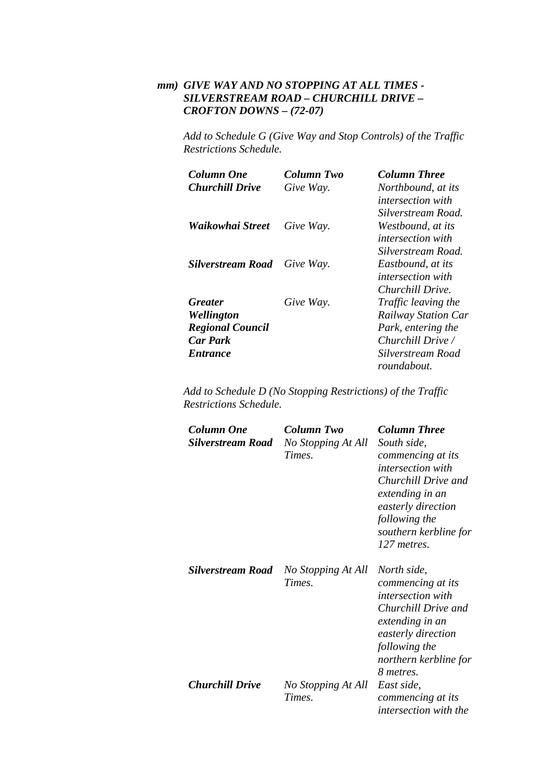## *mm) GIVE WAY AND NO STOPPING AT ALL TIMES - SILVERSTREAM ROAD – CHURCHILL DRIVE – CROFTON DOWNS – (72-07)*

*Add to Schedule G (Give Way and Stop Controls) of the Traffic Restrictions Schedule.* 

| Column One               | Column Two | <b>Column Three</b>        |
|--------------------------|------------|----------------------------|
| <b>Churchill Drive</b>   | Give Way.  | Northbound, at its         |
|                          |            | <i>intersection with</i>   |
|                          |            | Silverstream Road.         |
| Waikowhai Street         | Give Way.  | Westbound, at its          |
|                          |            | <i>intersection with</i>   |
|                          |            | Silverstream Road.         |
| <b>Silverstream Road</b> | Give Way.  | Eastbound, at its          |
|                          |            | <i>intersection with</i>   |
|                          |            | Churchill Drive.           |
| <b>Greater</b>           | Give Way.  | Traffic leaving the        |
| Wellington               |            | <b>Railway Station Car</b> |
| <b>Regional Council</b>  |            | Park, entering the         |
| <b>Car Park</b>          |            | Churchill Drive /          |
| <b>Entrance</b>          |            | Silverstream Road          |
|                          |            | roundabout.                |

| <b>Column One</b><br><b>Silverstream Road</b> | <b>Column Two</b><br>No Stopping At All<br>Times. | <b>Column Three</b><br>South side,<br>commencing at its<br><i>intersection with</i><br>Churchill Drive and<br>extending in an<br>easterly direction<br>following the<br>southern kerbline for<br>127 metres. |
|-----------------------------------------------|---------------------------------------------------|--------------------------------------------------------------------------------------------------------------------------------------------------------------------------------------------------------------|
| <b>Silverstream Road</b>                      | No Stopping At All<br>Times.                      | North side,<br>commencing at its<br><i>intersection with</i><br>Churchill Drive and<br>extending in an<br>easterly direction<br>following the<br>northern kerbline for<br>8 metres.                          |
| <b>Churchill Drive</b>                        | No Stopping At All<br>Times.                      | East side,<br>commencing at its<br><i>intersection with the</i>                                                                                                                                              |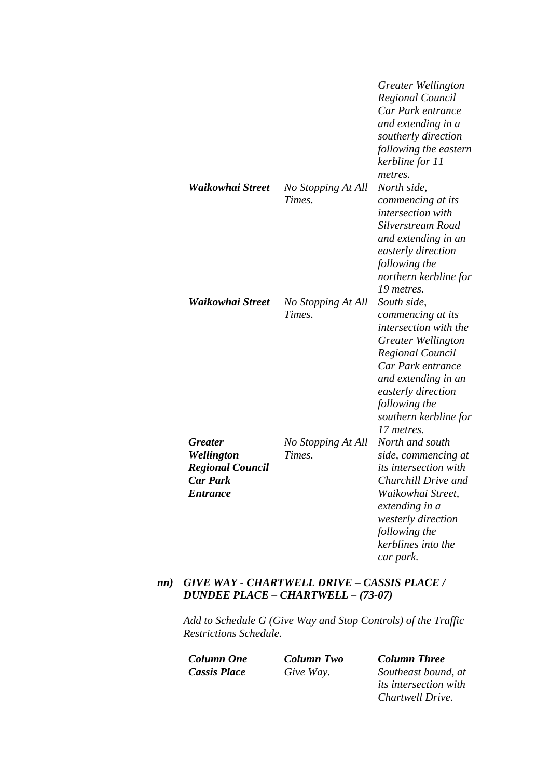|                                                                                               |                              | Greater Wellington<br>Regional Council<br>Car Park entrance<br>and extending in a<br>southerly direction<br>following the eastern<br>kerbline for 11<br>metres.                                                                             |
|-----------------------------------------------------------------------------------------------|------------------------------|---------------------------------------------------------------------------------------------------------------------------------------------------------------------------------------------------------------------------------------------|
| Waikowhai Street                                                                              | No Stopping At All<br>Times. | North side,<br>commencing at its<br>intersection with<br>Silverstream Road<br>and extending in an<br>easterly direction<br>following the<br>northern kerbline for<br>19 metres.                                                             |
| Waikowhai Street                                                                              | No Stopping At All<br>Times. | South side,<br>commencing at its<br>intersection with the<br><b>Greater Wellington</b><br><b>Regional Council</b><br>Car Park entrance<br>and extending in an<br>easterly direction<br>following the<br>southern kerbline for<br>17 metres. |
| <b>Greater</b><br>Wellington<br><b>Regional Council</b><br><b>Car Park</b><br><b>Entrance</b> | No Stopping At All<br>Times. | North and south<br>side, commencing at<br><i>its intersection with</i><br>Churchill Drive and<br>Waikowhai Street,<br>extending in a<br>westerly direction<br>following the<br>kerblines into the<br>car park.                              |

## *nn) GIVE WAY - CHARTWELL DRIVE – CASSIS PLACE / DUNDEE PLACE – CHARTWELL – (73-07)*

*Add to Schedule G (Give Way and Stop Controls) of the Traffic Restrictions Schedule.* 

*Column One Column Two Column Three Cassis Place Give Way. Southeast bound, at its intersection with Chartwell Drive.*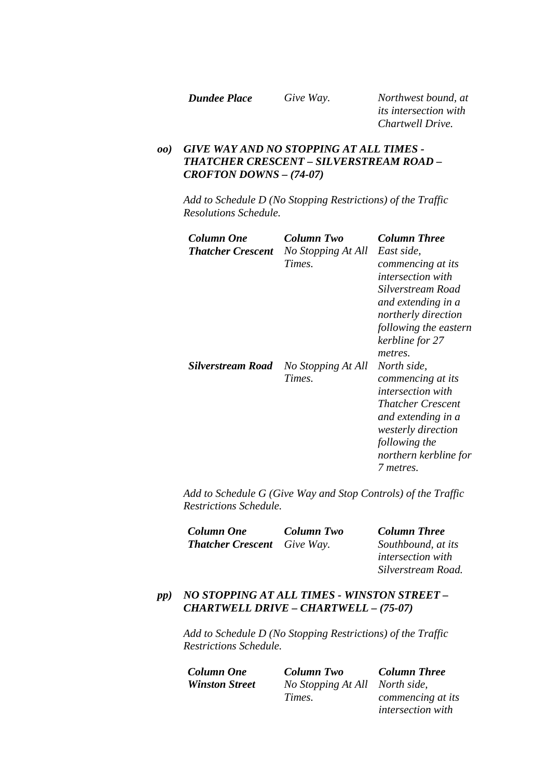*Dundee Place Give Way. Northwest bound, at its intersection with Chartwell Drive.* 

## *oo) GIVE WAY AND NO STOPPING AT ALL TIMES - THATCHER CRESCENT – SILVERSTREAM ROAD – CROFTON DOWNS – (74-07)*

*Add to Schedule D (No Stopping Restrictions) of the Traffic Resolutions Schedule.* 

| Column One<br><b>Thatcher Crescent</b> | Column Two<br>No Stopping At All<br>Times. | <b>Column Three</b><br>East side.<br>commencing at its<br><i>intersection with</i><br>Silverstream Road<br>and extending in a<br>northerly direction<br>following the eastern<br>kerbline for 27              |
|----------------------------------------|--------------------------------------------|---------------------------------------------------------------------------------------------------------------------------------------------------------------------------------------------------------------|
| <b>Silverstream Road</b>               | No Stopping At All<br>Times.               | metres.<br>North side,<br>commencing at its<br><i>intersection with</i><br><i>Thatcher Crescent</i><br>and extending in a<br><i>westerly direction</i><br>following the<br>northern kerbline for<br>7 metres. |

*Add to Schedule G (Give Way and Stop Controls) of the Traffic Restrictions Schedule.* 

| <b>Column One</b>                  | Column Two | <b>Column Three</b> |
|------------------------------------|------------|---------------------|
| <b>Thatcher Crescent</b> Give Way. |            | Southbound, at its  |

*intersection with Silverstream Road.* 

## *pp) NO STOPPING AT ALL TIMES - WINSTON STREET – CHARTWELL DRIVE – CHARTWELL – (75-07)*

*Add to Schedule D (No Stopping Restrictions) of the Traffic Restrictions Schedule.* 

*Column One Column Two Column Three Winston Street No Stopping At All North side, Times.* 

*commencing at its intersection with*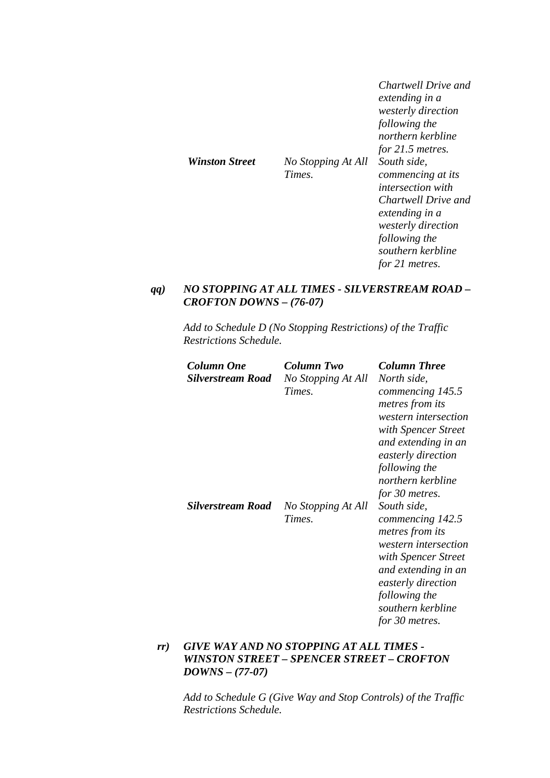|                       |                              | Chartwell Drive and<br>extending in a<br><i>westerly direction</i><br>following the<br>northern kerbline<br>for $21.5$ metres.                                                             |
|-----------------------|------------------------------|--------------------------------------------------------------------------------------------------------------------------------------------------------------------------------------------|
| <b>Winston Street</b> | No Stopping At All<br>Times. | South side.<br>commencing at its<br><i>intersection with</i><br>Chartwell Drive and<br>extending in a<br><i>westerly direction</i><br>following the<br>southern kerbline<br>for 21 metres. |

## *qq) NO STOPPING AT ALL TIMES - SILVERSTREAM ROAD – CROFTON DOWNS – (76-07)*

*Add to Schedule D (No Stopping Restrictions) of the Traffic Restrictions Schedule.* 

| <b>Column One</b><br><b>Silverstream Road</b> | Column Two<br>No Stopping At All<br>Times. | Column Three<br>North side,<br>commencing 145.5<br>metres from its<br>western intersection<br>with Spencer Street<br>and extending in an<br>easterly direction<br>following the<br>northern kerbline                     |
|-----------------------------------------------|--------------------------------------------|--------------------------------------------------------------------------------------------------------------------------------------------------------------------------------------------------------------------------|
| Silverstream Road                             | No Stopping At All<br>Times.               | for 30 metres.<br>South side,<br>commencing 142.5<br>metres from its<br>western intersection<br>with Spencer Street<br>and extending in an<br>easterly direction<br>following the<br>southern kerbline<br>for 30 metres. |

## *rr) GIVE WAY AND NO STOPPING AT ALL TIMES - WINSTON STREET – SPENCER STREET – CROFTON DOWNS – (77-07)*

*Add to Schedule G (Give Way and Stop Controls) of the Traffic Restrictions Schedule.*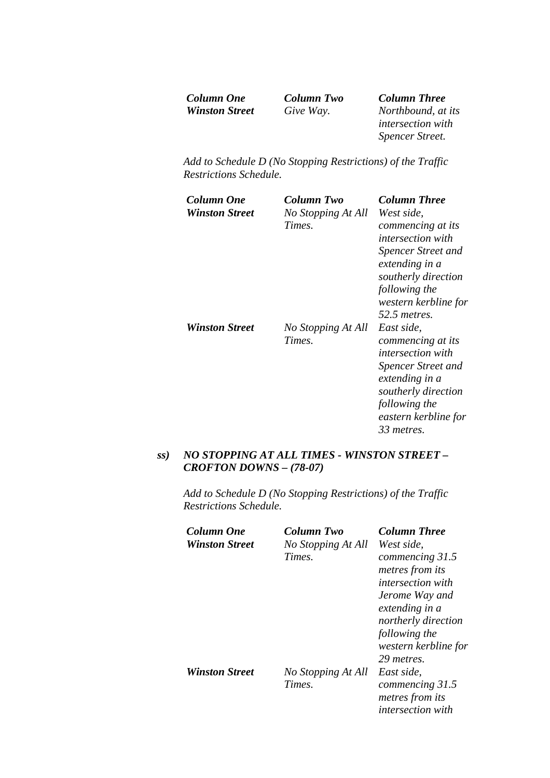| Column One            |  |
|-----------------------|--|
| <b>Winston Street</b> |  |

**Column Two Column Three**<br>*Give Way. Northbound, at Winston Street Give Way. Northbound, at its intersection with Spencer Street.* 

*Add to Schedule D (No Stopping Restrictions) of the Traffic Restrictions Schedule.* 

| Column One<br><b>Winston Street</b> | Column Two<br>No Stopping At All<br>Times. | <b>Column Three</b><br>West side,<br>commencing at its<br><i>intersection with</i><br><b>Spencer Street and</b><br>extending in a<br>southerly direction<br>following the<br>western kerbline for                |
|-------------------------------------|--------------------------------------------|------------------------------------------------------------------------------------------------------------------------------------------------------------------------------------------------------------------|
| <b>Winston Street</b>               | No Stopping At All<br>Times.               | 52.5 <i>metres</i> .<br>East side,<br>commencing at its<br><i>intersection with</i><br><b>Spencer Street and</b><br>extending in a<br>southerly direction<br>following the<br>eastern kerbline for<br>33 metres. |

## *ss) NO STOPPING AT ALL TIMES - WINSTON STREET – CROFTON DOWNS – (78-07)*

| Column One            | Column Two         | <b>Column Three</b>                |
|-----------------------|--------------------|------------------------------------|
| <b>Winston Street</b> | No Stopping At All | West side.                         |
|                       | Times.             | commencing 31.5<br>metres from its |
|                       |                    | <i>intersection with</i>           |
|                       |                    |                                    |
|                       |                    | Jerome Way and                     |
|                       |                    | extending in a                     |
|                       |                    | northerly direction                |
|                       |                    | following the                      |
|                       |                    | western kerbline for               |
|                       |                    | 29 metres.                         |
| <b>Winston Street</b> | No Stopping At All | East side.                         |
|                       | Times.             | commencing 31.5                    |
|                       |                    | metres from its                    |
|                       |                    | <i>intersection with</i>           |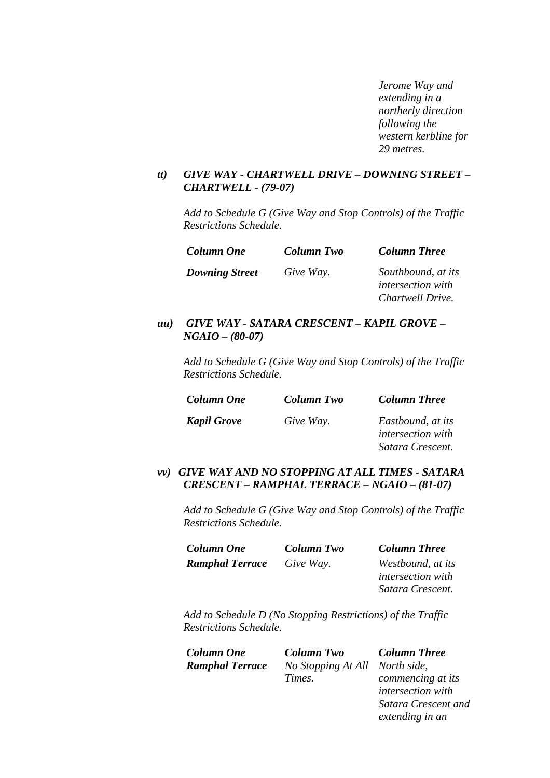*Jerome Way and extending in a northerly direction following the western kerbline for 29 metres.* 

### *tt) GIVE WAY - CHARTWELL DRIVE – DOWNING STREET – CHARTWELL - (79-07)*

*Add to Schedule G (Give Way and Stop Controls) of the Traffic Restrictions Schedule.* 

| <b>Column One</b>     | Column Two | <b>Column Three</b>                                                |
|-----------------------|------------|--------------------------------------------------------------------|
| <b>Downing Street</b> | Give Way.  | Southbound, at its<br><i>intersection with</i><br>Chartwell Drive. |

#### *uu) GIVE WAY - SATARA CRESCENT – KAPIL GROVE – NGAIO – (80-07)*

*Add to Schedule G (Give Way and Stop Controls) of the Traffic Restrictions Schedule.* 

| <b>Column One</b>  | Column Two | <b>Column Three</b>                                               |
|--------------------|------------|-------------------------------------------------------------------|
| <b>Kapil Grove</b> | Give Way.  | Eastbound, at its<br><i>intersection with</i><br>Satara Crescent. |

### *vv) GIVE WAY AND NO STOPPING AT ALL TIMES - SATARA CRESCENT – RAMPHAL TERRACE – NGAIO – (81-07)*

*Add to Schedule G (Give Way and Stop Controls) of the Traffic Restrictions Schedule.* 

| <b>Column One</b>      | <b>Column Two</b> | <b>Column Three</b>      |
|------------------------|-------------------|--------------------------|
| <b>Ramphal Terrace</b> | Give Way.         | Westbound, at its        |
|                        |                   | <i>intersection with</i> |
|                        |                   | Satara Crescent.         |

*Add to Schedule D (No Stopping Restrictions) of the Traffic Restrictions Schedule.* 

| Column One             | <b>Column Two</b>              | <b>Column Three</b> |
|------------------------|--------------------------------|---------------------|
| <b>Ramphal Terrace</b> | No Stopping At All North side, |                     |
|                        | Times.                         | commencing at it.   |
|                        |                                |                     |

*commencing at its intersection with Satara Crescent and extending in an*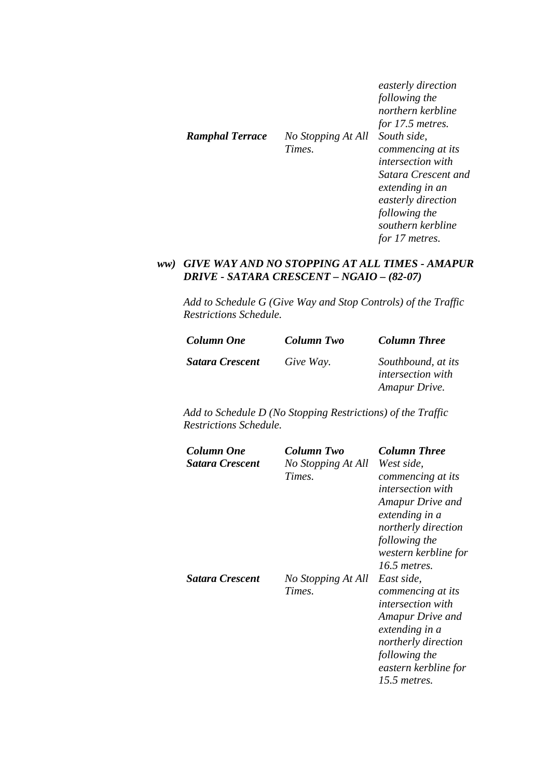|                 |                              | easterly direction<br>following the<br>northern kerbline<br>for 17.5 metres.                                                                                                         |
|-----------------|------------------------------|--------------------------------------------------------------------------------------------------------------------------------------------------------------------------------------|
| Ramphal Terrace | No Stopping At All<br>Times. | South side.<br>commencing at its<br><i>intersection with</i><br>Satara Crescent and<br>extending in an<br>easterly direction<br>following the<br>southern kerbline<br>for 17 metres. |

## *ww) GIVE WAY AND NO STOPPING AT ALL TIMES - AMAPUR DRIVE - SATARA CRESCENT – NGAIO – (82-07)*

*Add to Schedule G (Give Way and Stop Controls) of the Traffic Restrictions Schedule.* 

| <b>Column One</b>      | <b>Column Two</b> | <b>Column Three</b>                                             |
|------------------------|-------------------|-----------------------------------------------------------------|
| <b>Satara Crescent</b> | Give Way.         | Southbound, at its<br><i>intersection with</i><br>Amapur Drive. |

| Column One<br>Satara Crescent | Column Two<br>No Stopping At All<br>Times. | <b>Column Three</b><br>West side.<br>commencing at its<br><i>intersection with</i><br>Amapur Drive and<br>extending in a<br>northerly direction<br>following the<br>western kerbline for<br>$16.5$ metres. |
|-------------------------------|--------------------------------------------|------------------------------------------------------------------------------------------------------------------------------------------------------------------------------------------------------------|
| Satara Crescent               | No Stopping At All<br>Times.               | East side,<br>commencing at its<br><i>intersection with</i><br>Amapur Drive and<br>extending in a<br>northerly direction<br>following the<br>eastern kerbline for<br>15.5 metres.                          |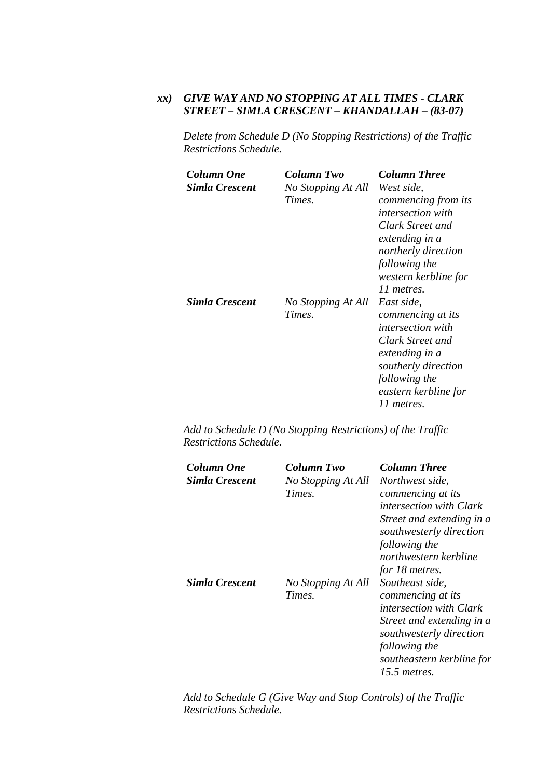## *xx) GIVE WAY AND NO STOPPING AT ALL TIMES - CLARK STREET – SIMLA CRESCENT – KHANDALLAH – (83-07)*

*Delete from Schedule D (No Stopping Restrictions) of the Traffic Restrictions Schedule.* 

| Column One<br>Simla Crescent | Column Two<br>No Stopping At All<br>Times. | <b>Column Three</b><br>West side,<br>commencing from its<br><i>intersection with</i><br>Clark Street and<br>extending in a<br>northerly direction<br>following the<br>western kerbline for<br>11 metres. |
|------------------------------|--------------------------------------------|----------------------------------------------------------------------------------------------------------------------------------------------------------------------------------------------------------|
| Simla Crescent               | No Stopping At All<br>Times.               | East side,<br>commencing at its<br><i>intersection with</i><br>Clark Street and<br>extending in a<br>southerly direction<br>following the<br>eastern kerbline for<br>11 metres.                          |

*Add to Schedule D (No Stopping Restrictions) of the Traffic Restrictions Schedule.* 

| Column One<br>Simla Crescent | Column Two<br>No Stopping At All<br>Times. | <b>Column Three</b><br>Northwest side,<br>commencing at its<br><i>intersection with Clark</i><br>Street and extending in a<br>southwesterly direction<br>following the<br>northwestern kerbline<br>for 18 metres. |
|------------------------------|--------------------------------------------|-------------------------------------------------------------------------------------------------------------------------------------------------------------------------------------------------------------------|
| Simla Crescent               | No Stopping At All<br>Times.               | Southeast side,<br>commencing at its<br><i>intersection with Clark</i><br>Street and extending in a<br>southwesterly direction<br>following the<br>southeastern kerbline for<br>15.5 metres.                      |

*Add to Schedule G (Give Way and Stop Controls) of the Traffic Restrictions Schedule.*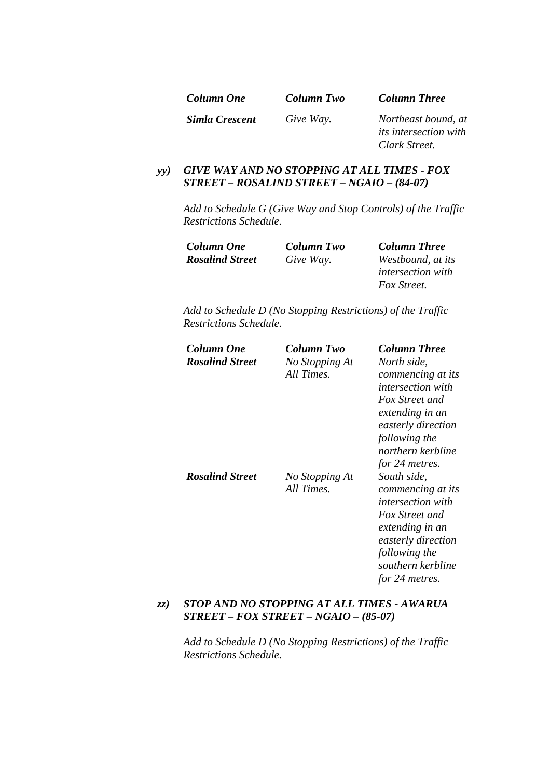| Column One            | Column Two | <b>Column Three</b>                                                  |
|-----------------------|------------|----------------------------------------------------------------------|
| <b>Simla Crescent</b> | Give Way.  | Northeast bound, at<br><i>its intersection with</i><br>Clark Street. |

# *yy) GIVE WAY AND NO STOPPING AT ALL TIMES - FOX STREET – ROSALIND STREET – NGAIO – (84-07)*

*Add to Schedule G (Give Way and Stop Controls) of the Traffic Restrictions Schedule.* 

| Column One             | Column Two | <b>Column Three</b>      |
|------------------------|------------|--------------------------|
| <b>Rosalind Street</b> | Give Way.  | Westbound, at its        |
|                        |            | <i>intersection with</i> |
|                        |            | Fox Street.              |

*Add to Schedule D (No Stopping Restrictions) of the Traffic Restrictions Schedule.* 

| Column One<br><b>Rosalind Street</b> | Column Two<br>No Stopping At<br>All Times. | <b>Column Three</b><br>North side,<br>commencing at its<br><i>intersection with</i><br><b>Fox Street and</b><br>extending in an<br>easterly direction<br>following the                                                 |
|--------------------------------------|--------------------------------------------|------------------------------------------------------------------------------------------------------------------------------------------------------------------------------------------------------------------------|
| <b>Rosalind Street</b>               | No Stopping At<br>All Times.               | northern kerbline<br>for 24 metres.<br>South side,<br>commencing at its<br><i>intersection with</i><br>Fox Street and<br>extending in an<br>easterly direction<br>following the<br>southern kerbline<br>for 24 metres. |

## *zz) STOP AND NO STOPPING AT ALL TIMES - AWARUA STREET – FOX STREET – NGAIO – (85-07)*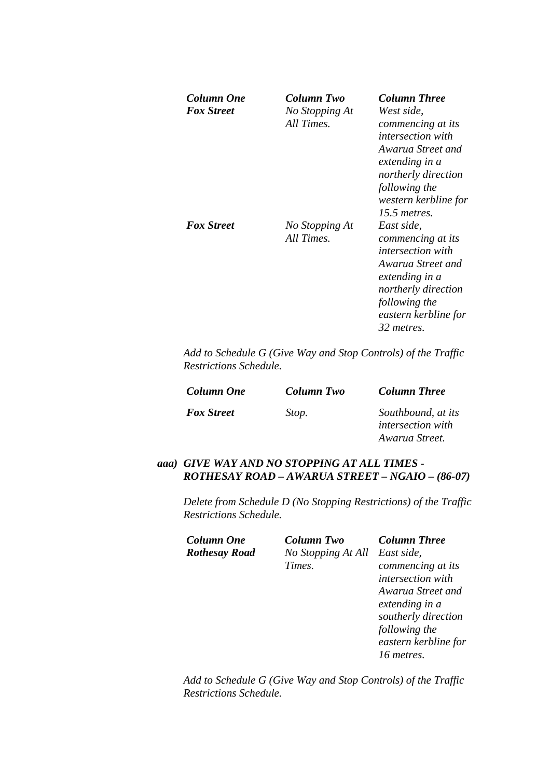| Column One<br><b>Fox Street</b> | Column Two<br>No Stopping At<br>All Times. | <b>Column Three</b><br>West side,<br>commencing at its                                                                                                                                                                                                                                                                              |
|---------------------------------|--------------------------------------------|-------------------------------------------------------------------------------------------------------------------------------------------------------------------------------------------------------------------------------------------------------------------------------------------------------------------------------------|
| <i><b>Fox Street</b></i>        | No Stopping At<br>All Times.               | <i>intersection with</i><br>Awarua Street and<br>extending in a<br>northerly direction<br>following the<br>western kerbline for<br>15.5 metres.<br>East side,<br>commencing at its<br><i>intersection with</i><br>Awarua Street and<br>extending in a<br>northerly direction<br>following the<br>eastern kerbline for<br>32 metres. |

*Add to Schedule G (Give Way and Stop Controls) of the Traffic Restrictions Schedule.* 

| Column Two | <b>Column Three</b>                                              |
|------------|------------------------------------------------------------------|
| Stop.      | Southbound, at its<br><i>intersection with</i><br>Awarua Street. |
|            |                                                                  |

## *aaa) GIVE WAY AND NO STOPPING AT ALL TIMES - ROTHESAY ROAD – AWARUA STREET – NGAIO – (86-07)*

*Delete from Schedule D (No Stopping Restrictions) of the Traffic Restrictions Schedule.* 

| Column One           | <b>Column Two</b>  | <b>Column Three</b>      |
|----------------------|--------------------|--------------------------|
| <b>Rothesay Road</b> | No Stopping At All | East side,               |
|                      | Times.             | commencing at its        |
|                      |                    | <i>intersection with</i> |
|                      |                    | Awarua Street and        |
|                      |                    | extending in a           |
|                      |                    | southerly direction      |
|                      |                    | following the            |
|                      |                    | eastern kerbline for     |
|                      |                    | 16 metres.               |
|                      |                    |                          |

*Add to Schedule G (Give Way and Stop Controls) of the Traffic Restrictions Schedule.*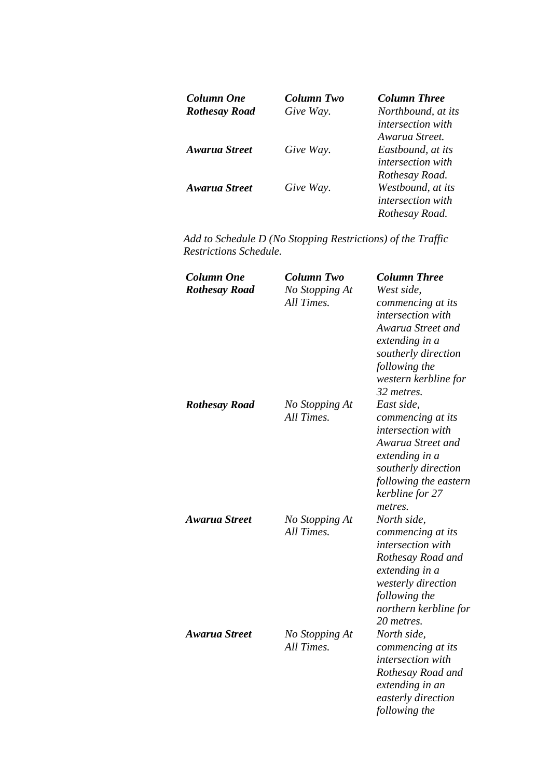| <b>Column One</b>    | Column Two | <b>Column Three</b>      |
|----------------------|------------|--------------------------|
| <b>Rothesay Road</b> | Give Way.  | Northbound, at its       |
|                      |            | <i>intersection with</i> |
|                      |            | Awarua Street.           |
| <b>Awarua Street</b> | Give Way.  | Eastbound, at its        |
|                      |            | <i>intersection with</i> |
|                      |            | Rothesay Road.           |
| Awarua Street        | Give Way.  | Westbound, at its        |
|                      |            | <i>intersection with</i> |
|                      |            | Rothesay Road.           |

| <b>Column One</b><br><b>Rothesay Road</b> | <b>Column Two</b><br>No Stopping At<br>All Times. | <b>Column Three</b><br>West side,<br>commencing at its<br>intersection with<br>Awarua Street and<br>extending in a<br>southerly direction<br>following the<br>western kerbline for<br>32 metres. |
|-------------------------------------------|---------------------------------------------------|--------------------------------------------------------------------------------------------------------------------------------------------------------------------------------------------------|
| <b>Rothesay Road</b>                      | No Stopping At<br>All Times.                      | East side,<br>commencing at its<br><i>intersection</i> with<br>Awarua Street and<br>extending in a<br>southerly direction<br>following the eastern<br>kerbline for 27<br>metres.                 |
| <b>Awarua Street</b>                      | No Stopping At<br>All Times.                      | North side,<br>commencing at its<br><i>intersection</i> with<br>Rothesay Road and<br>extending in a<br>westerly direction<br>following the<br>northern kerbline for<br>20 metres.                |
| Awarua Street                             | No Stopping At<br>All Times.                      | North side,<br>commencing at its<br>intersection with<br>Rothesay Road and<br>extending in an<br>easterly direction<br>following the                                                             |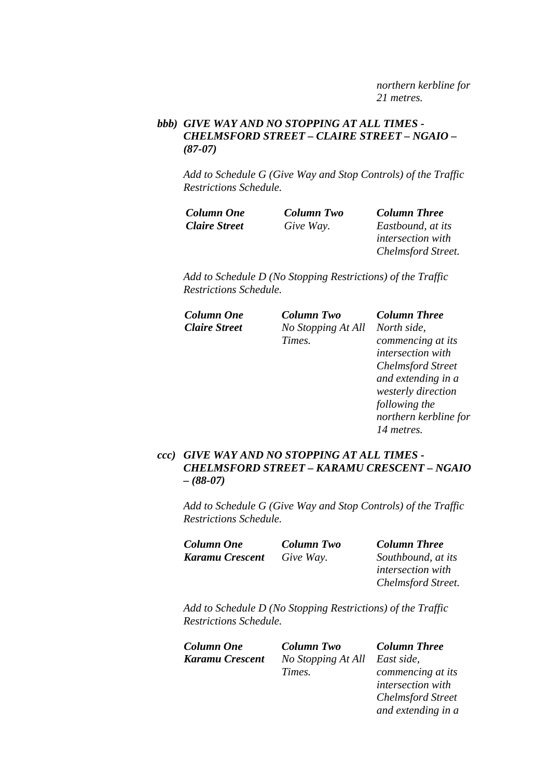*northern kerbline for 21 metres.* 

## *bbb) GIVE WAY AND NO STOPPING AT ALL TIMES - CHELMSFORD STREET – CLAIRE STREET – NGAIO – (87-07)*

*Add to Schedule G (Give Way and Stop Controls) of the Traffic Restrictions Schedule.* 

| <b>Column One</b>    | Column Two | <b>Column Three</b>       |
|----------------------|------------|---------------------------|
| <b>Claire Street</b> | Give Way.  | Eastbound, at its         |
|                      |            | <i>intersection with</i>  |
|                      |            | <b>Chelmsford Street.</b> |

*Add to Schedule D (No Stopping Restrictions) of the Traffic Restrictions Schedule.* 

| Column One           | Column Two         | <b>Column Three</b>      |
|----------------------|--------------------|--------------------------|
| <b>Claire Street</b> | No Stopping At All | North side,              |
|                      | Times.             | commencing at its        |
|                      |                    | intersection with        |
|                      |                    | <b>Chelmsford Street</b> |
|                      |                    | and extending in a       |
|                      |                    | westerly direction       |
|                      |                    | following the            |
|                      |                    | northern kerbline for    |
|                      |                    | 14 metres.               |
|                      |                    |                          |

## *ccc) GIVE WAY AND NO STOPPING AT ALL TIMES - CHELMSFORD STREET – KARAMU CRESCENT – NGAIO – (88-07)*

*Add to Schedule G (Give Way and Stop Controls) of the Traffic Restrictions Schedule.* 

| <b>Column One</b> | Column Two | <b>Column Three</b>      |
|-------------------|------------|--------------------------|
| Karamu Crescent   | Give Way.  | Southbound, at its       |
|                   |            | <i>intersection with</i> |
|                   |            | Chelmsford Street.       |

*Add to Schedule D (No Stopping Restrictions) of the Traffic Restrictions Schedule.* 

| <b>Column One</b> | <b>Column Two</b>             | <b>Column Three</b>      |
|-------------------|-------------------------------|--------------------------|
| Karamu Crescent   | No Stopping At All East side, |                          |
|                   | Times.                        | commencing at its        |
|                   |                               | <i>intersection with</i> |

*intersection with Chelmsford Street and extending in a*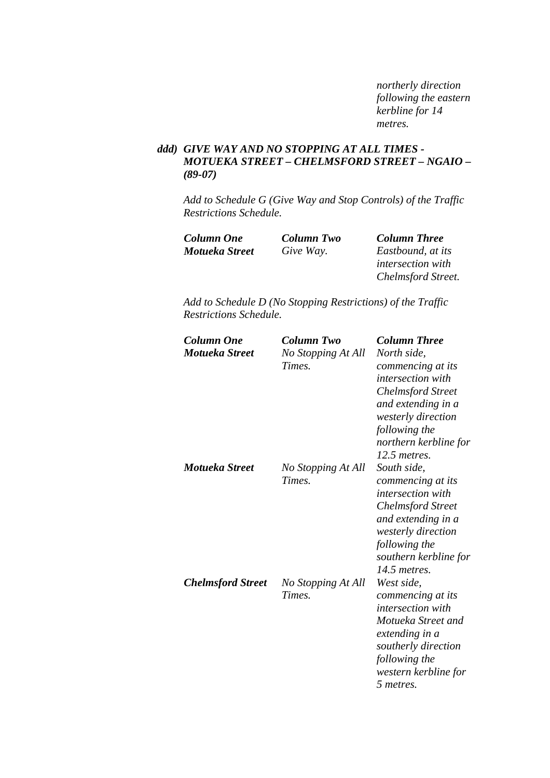*northerly direction following the eastern kerbline for 14 metres.* 

## *ddd) GIVE WAY AND NO STOPPING AT ALL TIMES - MOTUEKA STREET – CHELMSFORD STREET – NGAIO – (89-07)*

*Add to Schedule G (Give Way and Stop Controls) of the Traffic Restrictions Schedule.* 

| Column One     | Column Two | <b>Column Three</b>      |
|----------------|------------|--------------------------|
| Motueka Street | Give Way.  | Eastbound, at its        |
|                |            | <i>intersection with</i> |
|                |            | Chelmsford Street.       |

| <b>Column One</b><br>Motueka Street | <b>Column Two</b><br>No Stopping At All<br>Times. | <b>Column Three</b><br>North side,<br>commencing at its<br><i>intersection with</i><br><b>Chelmsford Street</b><br>and extending in a<br>westerly direction<br>following the<br>northern kerbline for |
|-------------------------------------|---------------------------------------------------|-------------------------------------------------------------------------------------------------------------------------------------------------------------------------------------------------------|
| Motueka Street                      | No Stopping At All<br>Times.                      | 12.5 metres.<br>South side,<br>commencing at its<br>intersection with<br><b>Chelmsford Street</b><br>and extending in a<br>westerly direction<br>following the<br>southern kerbline for               |
| <b>Chelmsford Street</b>            | No Stopping At All<br>Times.                      | 14.5 metres.<br>West side,<br>commencing at its<br>intersection with<br>Motueka Street and<br>extending in a<br>southerly direction<br>following the<br>western kerbline for<br>5 metres.             |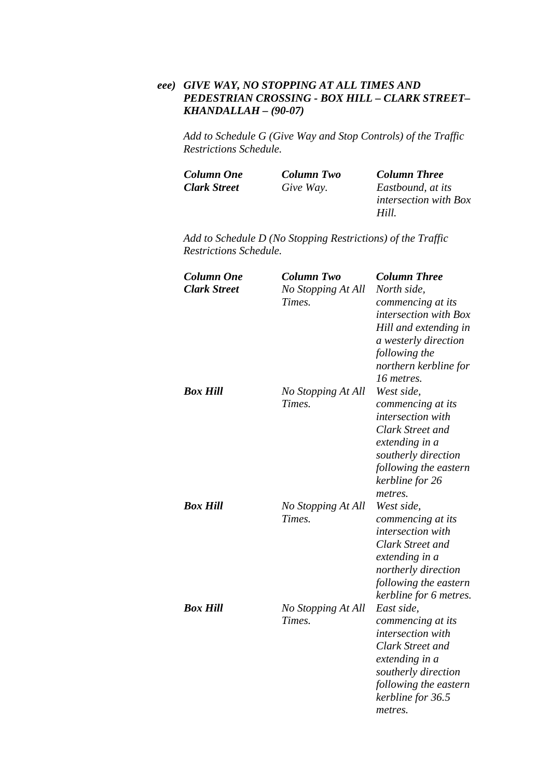## *eee) GIVE WAY, NO STOPPING AT ALL TIMES AND PEDESTRIAN CROSSING - BOX HILL – CLARK STREET– KHANDALLAH – (90-07)*

*Add to Schedule G (Give Way and Stop Controls) of the Traffic Restrictions Schedule.* 

| Column One          | <b>Column Two</b> | <b>Column Three</b>          |
|---------------------|-------------------|------------------------------|
| <b>Clark Street</b> | Give Way.         | Eastbound, at its            |
|                     |                   | <i>intersection with Box</i> |
|                     |                   | Hill.                        |

| <b>Column One</b><br><b>Clark Street</b> | <b>Column Two</b><br>No Stopping At All<br>Times. | <b>Column Three</b><br>North side,<br>commencing at its<br>intersection with Box<br>Hill and extending in<br>a westerly direction<br>following the<br>northern kerbline for<br>16 metres. |
|------------------------------------------|---------------------------------------------------|-------------------------------------------------------------------------------------------------------------------------------------------------------------------------------------------|
| <b>Box Hill</b>                          | No Stopping At All<br>Times.                      | West side,<br>commencing at its<br><i>intersection</i> with<br>Clark Street and<br>extending in a<br>southerly direction<br>following the eastern<br>kerbline for 26<br>metres.           |
| <b>Box Hill</b>                          | No Stopping At All<br>Times.                      | West side,<br>commencing at its<br>intersection with<br><b>Clark Street and</b><br>extending in a<br>northerly direction<br>following the eastern<br>kerbline for 6 metres.               |
| <b>Box Hill</b>                          | No Stopping At All<br>Times.                      | East side,<br>commencing at its<br>intersection with<br><b>Clark Street and</b><br>extending in a<br>southerly direction<br>following the eastern<br>kerbline for 36.5<br>metres.         |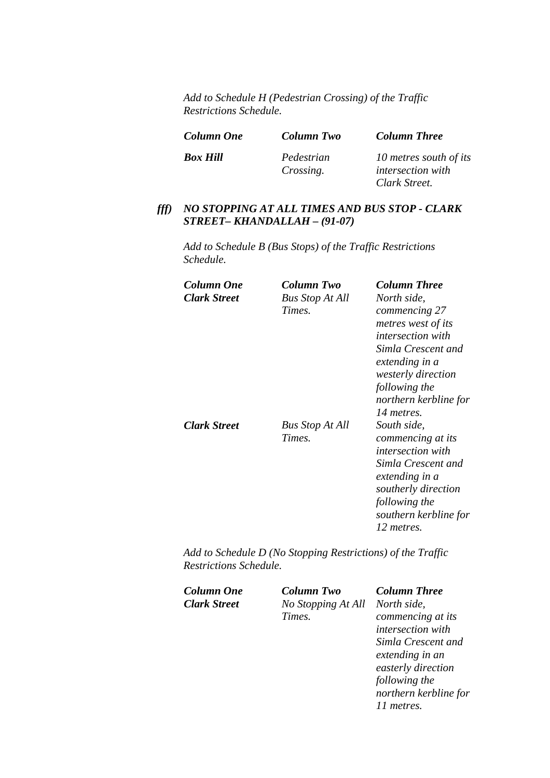*Add to Schedule H (Pedestrian Crossing) of the Traffic Restrictions Schedule.* 

| <b>Column One</b> | Column Two              | <b>Column Three</b>                                |
|-------------------|-------------------------|----------------------------------------------------|
| <b>Box Hill</b>   | Pedestrian<br>Crossing. | 10 metres south of its<br><i>intersection with</i> |
|                   |                         | Clark Street.                                      |

# *fff) NO STOPPING AT ALL TIMES AND BUS STOP - CLARK STREET– KHANDALLAH – (91-07)*

*Add to Schedule B (Bus Stops) of the Traffic Restrictions Schedule.* 

| Column One          | Column Two             | <b>Column Three</b>       |
|---------------------|------------------------|---------------------------|
| <b>Clark Street</b> | <b>Bus Stop At All</b> | North side,               |
|                     | Times.                 | commencing 27             |
|                     |                        | metres west of its        |
|                     |                        | <i>intersection with</i>  |
|                     |                        | Simla Crescent and        |
|                     |                        | extending in a            |
|                     |                        | <i>westerly direction</i> |
|                     |                        | following the             |
|                     |                        | northern kerbline for     |
|                     |                        | 14 metres.                |
| <b>Clark Street</b> | <b>Bus Stop At All</b> | South side,               |
|                     | Times.                 | commencing at its         |
|                     |                        | <i>intersection with</i>  |
|                     |                        | Simla Crescent and        |
|                     |                        | extending in a            |
|                     |                        | southerly direction       |
|                     |                        | following the             |
|                     |                        | southern kerbline for     |
|                     |                        | 12 metres.                |
|                     |                        |                           |

| Column One          | <b>Column Two</b>  | <b>Column Three</b>      |
|---------------------|--------------------|--------------------------|
| <b>Clark Street</b> | No Stopping At All | North side,              |
|                     | Times.             | commencing at its        |
|                     |                    | <i>intersection with</i> |
|                     |                    | Simla Crescent and       |
|                     |                    | extending in an          |
|                     |                    | easterly direction       |
|                     |                    | following the            |
|                     |                    | northern kerbline for    |
|                     |                    | 11 metres.               |
|                     |                    |                          |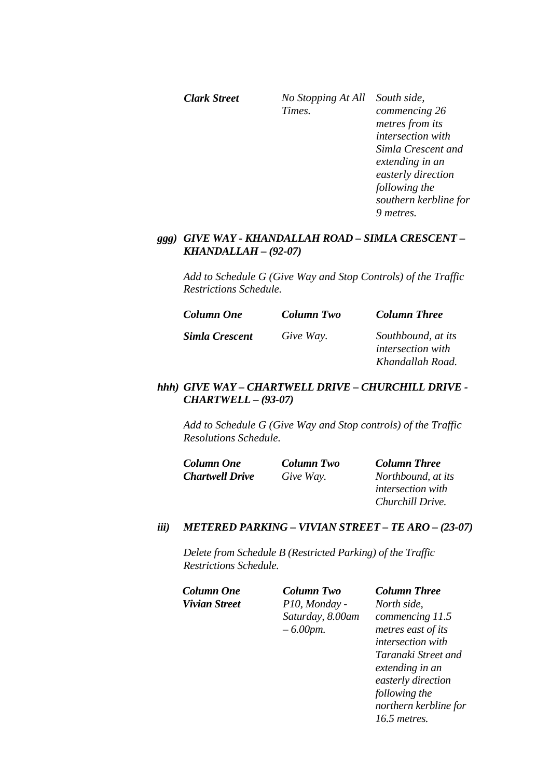*Clark Street No Stopping At All South side, Times. commencing 26 metres from its intersection with Simla Crescent and extending in an easterly direction following the southern kerbline for 9 metres.* 

### *ggg) GIVE WAY - KHANDALLAH ROAD – SIMLA CRESCENT – KHANDALLAH – (92-07)*

*Add to Schedule G (Give Way and Stop Controls) of the Traffic Restrictions Schedule.* 

| <b>Column One</b>     | Column Two | <b>Column Three</b>                                                |
|-----------------------|------------|--------------------------------------------------------------------|
| <b>Simla Crescent</b> | Give Way.  | Southbound, at its<br><i>intersection with</i><br>Khandallah Road. |

### *hhh) GIVE WAY – CHARTWELL DRIVE – CHURCHILL DRIVE - CHARTWELL – (93-07)*

*Add to Schedule G (Give Way and Stop controls) of the Traffic Resolutions Schedule.* 

| <b>Column One</b>      | Column Two | <b>Column Three</b>      |
|------------------------|------------|--------------------------|
| <b>Chartwell Drive</b> | Give Way.  | Northbound, at its       |
|                        |            | <i>intersection with</i> |
|                        |            | Churchill Drive.         |

### *iii) METERED PARKING – VIVIAN STREET – TE ARO – (23-07)*

*Delete from Schedule B (Restricted Parking) of the Traffic Restrictions Schedule.* 

*Column One Column Two Column Three Vivian Street P10, Monday - Saturday, 8.00am – 6.00pm.* 

*North side, commencing 11.5 metres east of its intersection with Taranaki Street and extending in an easterly direction following the northern kerbline for 16.5 metres.*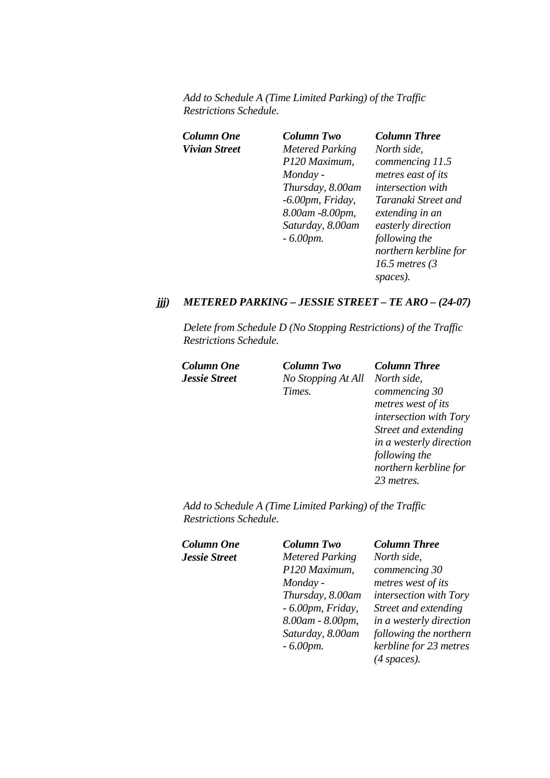*Add to Schedule A (Time Limited Parking) of the Traffic Restrictions Schedule.* 

| Column One    | Column Two             | <b>Column Three</b>   |
|---------------|------------------------|-----------------------|
| Vivian Street | <b>Metered Parking</b> | North side,           |
|               | P120 Maximum,          | commencing 11.5       |
|               | Monday -               | metres east of its    |
|               | Thursday, 8.00am       | intersection with     |
|               | $-6.00$ pm, Friday,    | Taranaki Street and   |
|               | 8.00am -8.00pm,        | extending in an       |
|               | Saturday, 8.00am       | easterly direction    |
|               | $-6.00$ pm.            | following the         |
|               |                        | northern kerbline for |
|               |                        | 16.5 metres $(3)$     |
|               |                        | spaces).              |

### *jjj) METERED PARKING – JESSIE STREET – TE ARO – (24-07)*

*Delete from Schedule D (No Stopping Restrictions) of the Traffic Restrictions Schedule.* 

*Column One Column Two Column Three Jessie Street No Stopping At All North side, Times.* 

*commencing 30 metres west of its intersection with Tory Street and extending in a westerly direction following the northern kerbline for 23 metres.* 

*Add to Schedule A (Time Limited Parking) of the Traffic Restrictions Schedule.* 

| Column One           | <b>Column Two</b>      | <b>Column Three</b>     |
|----------------------|------------------------|-------------------------|
| <b>Jessie Street</b> | <b>Metered Parking</b> | North side,             |
|                      | P120 Maximum,          | commencing 30           |
|                      | Monday -               | metres west of its      |
|                      | Thursday, 8.00am       | intersection with Tory  |
|                      | $-6.00$ pm, Friday,    | Street and extending    |
|                      | 8.00am - 8.00pm,       | in a westerly direction |
|                      | Saturday, 8.00am       | following the northern  |
|                      | $-6.00$ <i>pm</i> .    | kerbline for 23 metres  |
|                      |                        | $(4$ spaces).           |
|                      |                        |                         |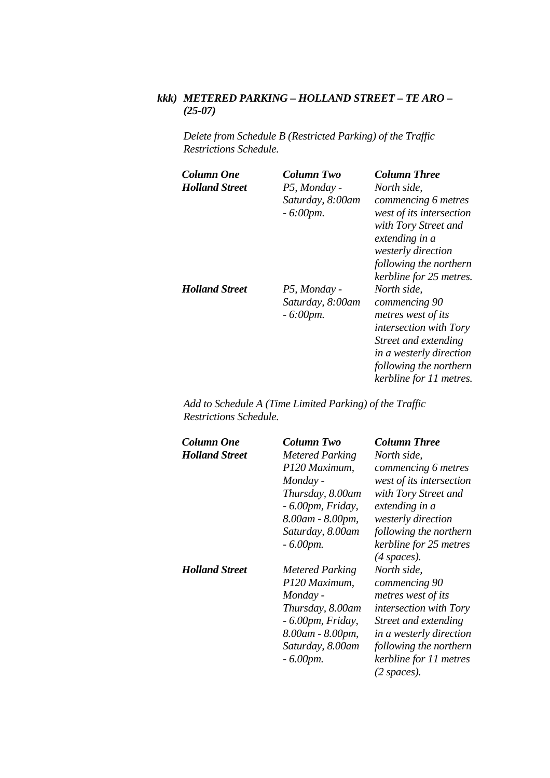# *kkk) METERED PARKING – HOLLAND STREET – TE ARO – (25-07)*

*Delete from Schedule B (Restricted Parking) of the Traffic Restrictions Schedule.* 

| Column One            | Column Two                                      | <b>Column Three</b>                                                                                                                                                                         |
|-----------------------|-------------------------------------------------|---------------------------------------------------------------------------------------------------------------------------------------------------------------------------------------------|
| <b>Holland Street</b> | P5, Monday -                                    | North side,                                                                                                                                                                                 |
|                       | Saturday, 8:00am<br>$-6:00$ pm.                 | commencing 6 metres<br>west of its intersection<br>with Tory Street and                                                                                                                     |
|                       |                                                 | extending in a<br>westerly direction<br>following the northern                                                                                                                              |
|                       |                                                 | kerbline for 25 metres.                                                                                                                                                                     |
| <b>Holland Street</b> | P5, Monday -<br>Saturday, 8:00am<br>$-6:00$ pm. | North side.<br>commencing 90<br>metres west of its<br><i>intersection with Tory</i><br>Street and extending<br>in a westerly direction<br>following the northern<br>kerbline for 11 metres. |

*Add to Schedule A (Time Limited Parking) of the Traffic Restrictions Schedule.* 

| Column One            | Column Two                              | <b>Column Three</b>                     |
|-----------------------|-----------------------------------------|-----------------------------------------|
| <b>Holland Street</b> | <b>Metered Parking</b>                  | North side,                             |
|                       | P120 Maximum,                           | commencing 6 metres                     |
|                       | Monday -                                | west of its intersection                |
|                       | Thursday, 8.00am<br>$-6.00$ pm, Friday, | with Tory Street and<br>extending in a  |
|                       | 8.00am - 8.00pm,                        | westerly direction                      |
|                       | Saturday, 8.00am                        | following the northern                  |
|                       | $-6.00$ pm.                             | kerbline for 25 metres<br>$(4$ spaces). |
| <b>Holland Street</b> | Metered Parking                         | North side,                             |
|                       | P120 Maximum,                           | commencing 90                           |
|                       | Monday -                                | metres west of its                      |
|                       | Thursday, 8.00am                        | intersection with Tory                  |
|                       | $-6.00$ pm, Friday,                     | Street and extending                    |
|                       | 8.00am - 8.00pm,                        | in a westerly direction                 |
|                       | Saturday, 8.00am                        | following the northern                  |
|                       | $-6.00$ pm.                             | kerbline for 11 metres                  |
|                       |                                         | (2 spaces).                             |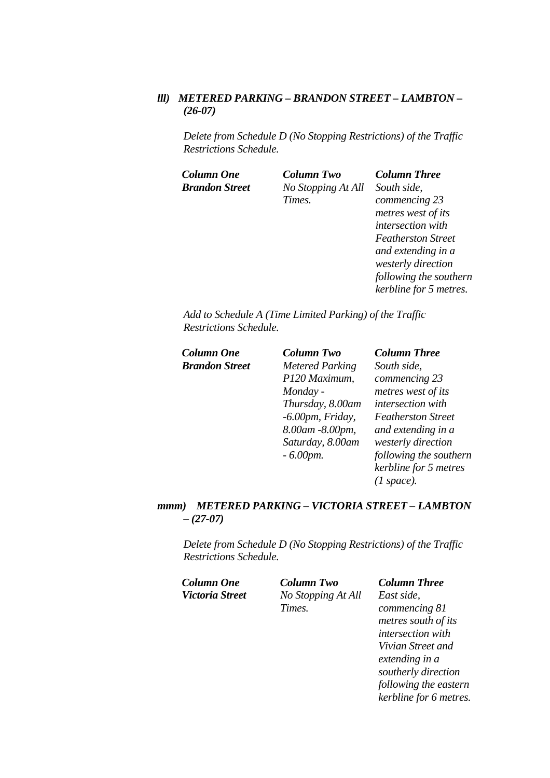# *lll) METERED PARKING – BRANDON STREET – LAMBTON – (26-07)*

*Delete from Schedule D (No Stopping Restrictions) of the Traffic Restrictions Schedule.* 

| <b>Column One</b>     | <b>Column Two</b>  | <b>Column Three</b>       |
|-----------------------|--------------------|---------------------------|
| <b>Brandon Street</b> | No Stopping At All | South side,               |
|                       | Times.             | commencing 23             |
|                       |                    | metres west of its        |
|                       |                    | intersection with         |
|                       |                    | <b>Featherston Street</b> |
|                       |                    | and extending in a        |
|                       |                    | westerly direction        |
|                       |                    | following the southern    |
|                       |                    | kerbline for 5 metres.    |

*Add to Schedule A (Time Limited Parking) of the Traffic Restrictions Schedule.* 

| <b>Column Two</b>      | <b>Column Three</b>       |
|------------------------|---------------------------|
| <b>Metered Parking</b> | South side,               |
| P120 Maximum,          | commencing 23             |
| Monday -               | metres west of its        |
| Thursday, 8.00am       | intersection with         |
| $-6.00$ pm, Friday,    | <b>Featherston Street</b> |
| 8.00am -8.00pm,        | and extending in a        |
| Saturday, 8.00am       | westerly direction        |
| $-6.00$ pm.            | following the southern    |
|                        | kerbline for 5 metres     |
|                        | (1 space).                |
|                        |                           |

### *mmm) METERED PARKING – VICTORIA STREET – LAMBTON – (27-07)*

| <b>Column Two</b>  | <b>Column Three</b>    |
|--------------------|------------------------|
| No Stopping At All | East side,             |
| Times.             | commencing 81          |
|                    | metres south of its    |
|                    | intersection with      |
|                    | Vivian Street and      |
|                    | extending in a         |
|                    | southerly direction    |
|                    | following the eastern  |
|                    | kerbline for 6 metres. |
|                    |                        |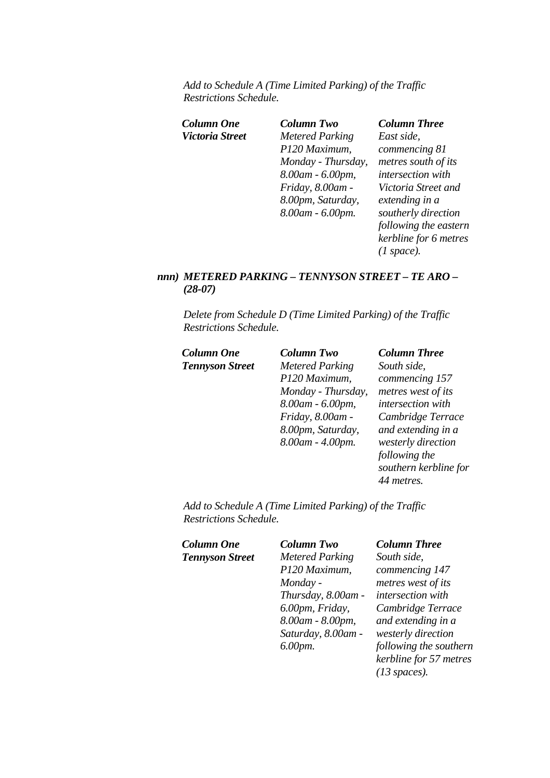*Add to Schedule A (Time Limited Parking) of the Traffic Restrictions Schedule.* 

| Column One      | Column Two             | <b>Column Three</b>   |
|-----------------|------------------------|-----------------------|
| Victoria Street | <b>Metered Parking</b> | East side,            |
|                 | P120 Maximum,          | commencing 81         |
|                 | Monday - Thursday,     | metres south of its   |
|                 | 8.00am - 6.00pm,       | intersection with     |
|                 | Friday, 8.00am -       | Victoria Street and   |
|                 | 8.00pm, Saturday,      | extending in a        |
|                 | 8.00am - 6.00pm.       | southerly direction   |
|                 |                        | following the eastern |
|                 |                        | kerbline for 6 metres |
|                 |                        | (1 space).            |
|                 |                        |                       |

## *nnn) METERED PARKING – TENNYSON STREET – TE ARO – (28-07)*

*Delete from Schedule D (Time Limited Parking) of the Traffic Restrictions Schedule.* 

| Column One             | <b>Column Two</b>      | <b>Column Three</b>   |
|------------------------|------------------------|-----------------------|
| <b>Tennyson Street</b> | <b>Metered Parking</b> | South side,           |
|                        | P120 Maximum,          | commencing 157        |
|                        | Monday - Thursday,     | metres west of its    |
|                        | 8.00am - 6.00pm,       | intersection with     |
|                        | Friday, 8.00am -       | Cambridge Terrace     |
|                        | 8.00pm, Saturday,      | and extending in a    |
|                        | 8.00am - 4.00pm.       | westerly direction    |
|                        |                        | following the         |
|                        |                        | southern kerbline for |
|                        |                        | 44 metres.            |
|                        |                        |                       |

*Add to Schedule A (Time Limited Parking) of the Traffic Restrictions Schedule.* 

| <b>Column One</b>      |  |
|------------------------|--|
| <b>Tennyson Street</b> |  |

*Column One Column Two Column Three Metered Parking P120 Maximum, Monday - Thursday, 8.00am - 6.00pm, Friday, 8.00am - 8.00pm, Saturday, 8.00am - 6.00pm.* 

*South side, commencing 147 metres west of its intersection with Cambridge Terrace and extending in a westerly direction following the southern kerbline for 57 metres (13 spaces).*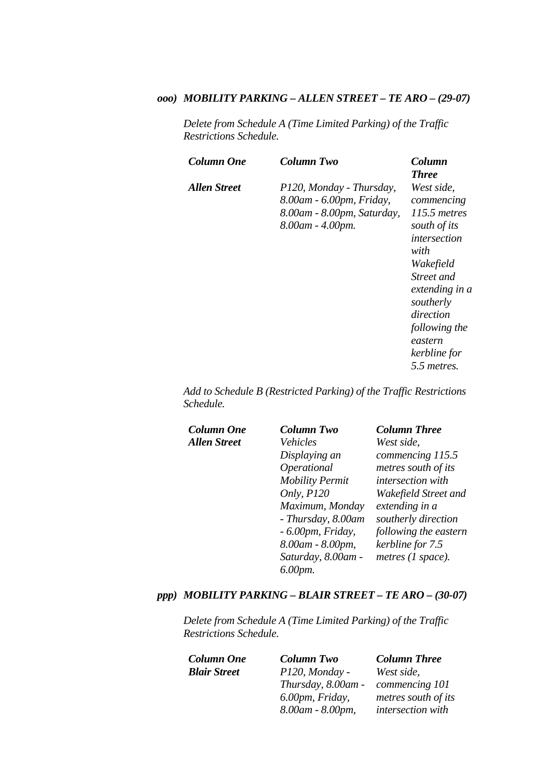### *ooo) MOBILITY PARKING – ALLEN STREET – TE ARO – (29-07)*

*Delete from Schedule A (Time Limited Parking) of the Traffic Restrictions Schedule.* 

| Column One   | Column Two                                                                                             | Column<br><b>Three</b>                                                                                                                                                                                             |
|--------------|--------------------------------------------------------------------------------------------------------|--------------------------------------------------------------------------------------------------------------------------------------------------------------------------------------------------------------------|
| Allen Street | P120, Monday - Thursday,<br>8.00am - 6.00pm, Friday,<br>8.00am - 8.00pm, Saturday,<br>8.00am - 4.00pm. | West side,<br>commencing<br>115.5 metres<br>south of its<br>intersection<br>with<br>Wakefield<br>Street and<br>extending in a<br>southerly<br>direction<br>following the<br>eastern<br>kerbline for<br>5.5 metres. |

*Add to Schedule B (Restricted Parking) of the Traffic Restrictions Schedule.* 

 $Column One$ *Allen Street* 

| <b>Column Two</b>      | <b>Column Three</b>      |
|------------------------|--------------------------|
| Vehicles               | West side,               |
| Displaying an          | commencing 115.5         |
| Operational            | metres south of its      |
| <b>Mobility Permit</b> | <i>intersection</i> with |
| Only, P120             | Wakefield Street and     |
| Maximum, Monday        | extending in a           |
| - Thursday, 8.00am     | southerly direction      |
| $-6.00$ pm, Friday,    | following the eastern    |
| 8.00am - 8.00pm,       | kerbline for 7.5         |
| Saturday, 8.00am -     | metres (1 space).        |
| 6.00pm.                |                          |

### *ppp) MOBILITY PARKING – BLAIR STREET – TE ARO – (30-07)*

*Delete from Schedule A (Time Limited Parking) of the Traffic Restrictions Schedule.* 

*Blair Street P120, Monday -* 

*Thursday, 8.00am - 6.00pm, Friday, 8.00am - 8.00pm,* 

*Column One Column Two Column Three West side, commencing 101 metres south of its intersection with*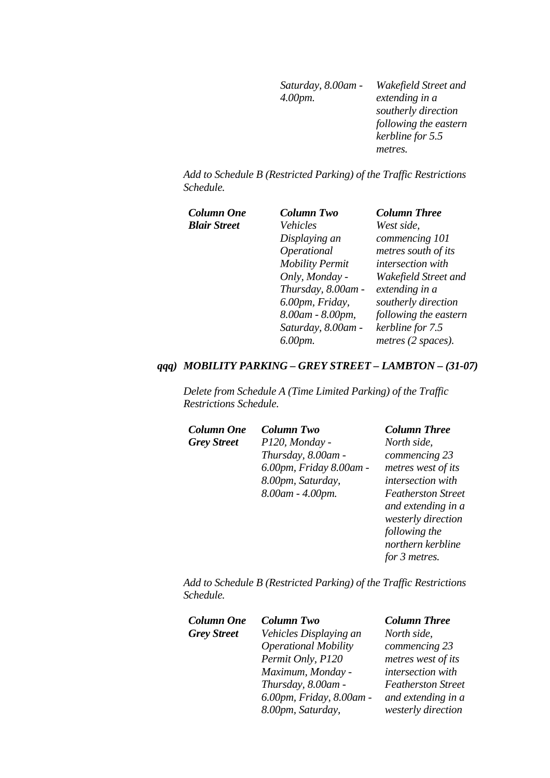*Saturday, 8.00am - 4.00pm. Wakefield Street and extending in a southerly direction following the eastern kerbline for 5.5 metres.* 

*Add to Schedule B (Restricted Parking) of the Traffic Restrictions Schedule.* 

 $Column One$ *Blair Street* 

| <b>Column Two</b>      | <b>Column Three</b>      |
|------------------------|--------------------------|
| Vehicles               | West side,               |
| Displaying an          | commencing 101           |
| Operational            | metres south of its      |
| <b>Mobility Permit</b> | <i>intersection</i> with |
| Only, Monday -         | Wakefield Street and     |
| Thursday, 8.00am -     | extending in a           |
| 6.00pm, Friday,        | southerly direction      |
| 8.00am - 8.00pm,       | following the eastern    |
| Saturday, 8.00am -     | kerbline for 7.5         |
| 6.00pm.                | metres (2 spaces).       |

#### *qqq) MOBILITY PARKING – GREY STREET – LAMBTON – (31-07)*

*Delete from Schedule A (Time Limited Parking) of the Traffic Restrictions Schedule.* 

| <b>Column One</b>  | <b>Column Two</b>       | <b>Column Three</b>    |
|--------------------|-------------------------|------------------------|
| <b>Grey Street</b> | P120, Monday -          | North side,            |
|                    | Thursday, 8.00am -      | commencing 23          |
|                    | 6.00pm, Friday 8.00am - | metres west of i       |
|                    | 8.00pm, Saturday,       | intersection wit       |
|                    | 8.00am - 4.00pm.        | <b>Featherston Str</b> |
|                    |                         | and extending in       |
|                    |                         | westerly direction     |

*North side, commencing 23 metres west of its intersection with Featherston Street and extending in a westerly direction following the northern kerbline for 3 metres.* 

*Add to Schedule B (Restricted Parking) of the Traffic Restrictions Schedule.* 

| <b>Column One</b>  | <b>Column Two</b>           | <b>Column Three</b>       |
|--------------------|-----------------------------|---------------------------|
| <b>Grey Street</b> | Vehicles Displaying an      | North side,               |
|                    | <b>Operational Mobility</b> | commencing 23             |
|                    | Permit Only, P120           | metres west of its        |
|                    | Maximum, Monday -           | intersection with         |
|                    | Thursday, 8.00am -          | <b>Featherston Street</b> |
|                    | 6.00pm, Friday, 8.00am -    | and extending in a        |
|                    | 8.00pm, Saturday,           | westerly direction        |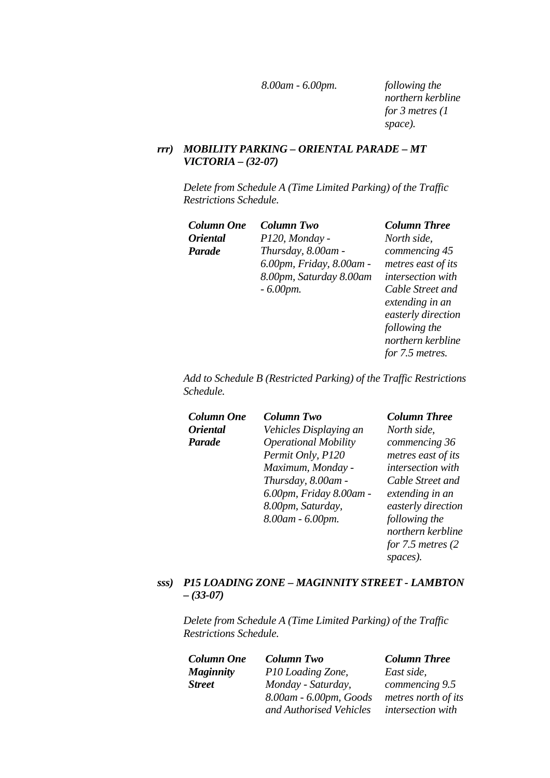*8.00am - 6.00pm. following the* 

*northern kerbline for 3 metres (1 space).* 

## *rrr) MOBILITY PARKING – ORIENTAL PARADE – MT VICTORIA – (32-07)*

*Delete from Schedule A (Time Limited Parking) of the Traffic Restrictions Schedule.* 

| Column One             | <b>Column Two</b>        | <b>Column Three</b> |
|------------------------|--------------------------|---------------------|
| <i><b>Oriental</b></i> | P120, Monday -           | North side,         |
| Parade                 | Thursday, 8.00am -       | commencing 45       |
|                        | 6.00pm, Friday, 8.00am - | metres east of in   |
|                        | 8.00pm, Saturday 8.00am  | intersection wit    |
|                        | $-6.00$ <i>pm</i> .      | Cable Street an     |

*North side, commencing 45 metres east of its intersection with Cable Street and extending in an easterly direction following the northern kerbline for 7.5 metres.* 

*Add to Schedule B (Restricted Parking) of the Traffic Restrictions Schedule.* 

| <b>Column One</b>      | <b>Column Two</b>           | <b>Column Three</b>    |
|------------------------|-----------------------------|------------------------|
| <i><b>Oriental</b></i> | Vehicles Displaying an      | North side,            |
| <b>Parade</b>          | <b>Operational Mobility</b> | commencing 36          |
|                        | Permit Only, P120           | metres east of its     |
|                        | Maximum, Monday -           | intersection with      |
|                        | Thursday, 8.00am -          | Cable Street and       |
|                        | 6.00pm, Friday 8.00am -     | extending in an        |
|                        | 8.00pm, Saturday,           | easterly direction     |
|                        | 8.00am - 6.00pm.            | following the          |
|                        |                             | northern kerbline      |
|                        |                             | for $7.5$ metres $(2)$ |
|                        |                             | spaces).               |

### *sss) P15 LOADING ZONE – MAGINNITY STREET - LAMBTON – (33-07)*

*Delete from Schedule A (Time Limited Parking) of the Traffic Restrictions Schedule.* 

*Column One Column Two Column Three Maginnity Street*

*P10 Loading Zone, Monday - Saturday, 8.00am - 6.00pm, Goods and Authorised Vehicles* 

*East side, commencing 9.5 metres north of its intersection with*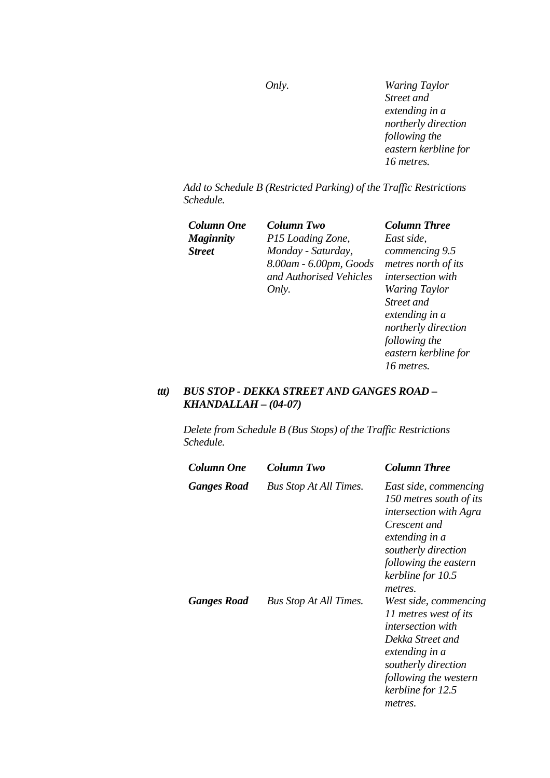*Only. Waring Taylor Street and extending in a northerly direction following the eastern kerbline for 16 metres.* 

*Add to Schedule B (Restricted Parking) of the Traffic Restrictions Schedule.* 

*Maginnity Street*

*Column One Column Two Column Three P15 Loading Zone, Monday - Saturday, 8.00am - 6.00pm, Goods and Authorised Vehicles Only.* 

*East side, commencing 9.5 metres north of its intersection with Waring Taylor Street and extending in a northerly direction following the eastern kerbline for 16 metres.* 

## *ttt) BUS STOP - DEKKA STREET AND GANGES ROAD – KHANDALLAH – (04-07)*

*Delete from Schedule B (Bus Stops) of the Traffic Restrictions Schedule.* 

| Column One  | Column Two                    | Column Three                                                                                                                                                                                        |
|-------------|-------------------------------|-----------------------------------------------------------------------------------------------------------------------------------------------------------------------------------------------------|
| Ganges Road | <b>Bus Stop At All Times.</b> | East side, commencing<br>150 metres south of its<br><i>intersection with Agra</i><br>Crescent and<br>extending in a<br>southerly direction<br>following the eastern<br>kerbline for 10.5<br>metres. |
| Ganges Road | <b>Bus Stop At All Times.</b> | West side, commencing<br>11 metres west of its<br><i>intersection with</i><br>Dekka Street and<br>extending in a<br>southerly direction<br>following the western<br>kerbline for 12.5<br>metres.    |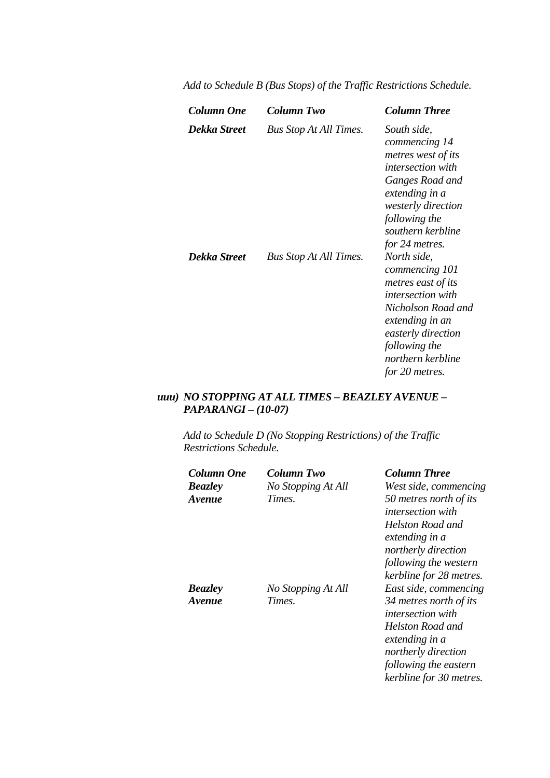| Column One   | Column Two                    | <b>Column Three</b>                                                                                                                                                                                                      |
|--------------|-------------------------------|--------------------------------------------------------------------------------------------------------------------------------------------------------------------------------------------------------------------------|
| Dekka Street | <b>Bus Stop At All Times.</b> | South side,<br>commencing 14<br>metres west of its<br><i>intersection with</i><br>Ganges Road and<br>extending in a<br><i>westerly direction</i><br>following the<br>southern kerbline                                   |
| Dekka Street | <b>Bus Stop At All Times.</b> | for 24 metres.<br>North side,<br>commencing 101<br>metres east of its<br><i>intersection with</i><br>Nicholson Road and<br>extending in an<br>easterly direction<br>following the<br>northern kerbline<br>for 20 metres. |

*Add to Schedule B (Bus Stops) of the Traffic Restrictions Schedule.* 

## *uuu) NO STOPPING AT ALL TIMES – BEAZLEY AVENUE – PAPARANGI – (10-07)*

*Add to Schedule D (No Stopping Restrictions) of the Traffic Restrictions Schedule.* 

| <b>Column One</b>    | Column Two         | <b>Column Three</b>                                |
|----------------------|--------------------|----------------------------------------------------|
| <b>Beazley</b>       | No Stopping At All | West side, commencing                              |
| <i><b>Avenue</b></i> | Times.             | 50 metres north of its<br><i>intersection with</i> |
|                      |                    | Helston Road and<br>extending in a                 |
|                      |                    | northerly direction<br>following the western       |
|                      |                    | kerbline for 28 metres.                            |
| <b>Beazley</b>       | No Stopping At All | East side, commencing                              |
| <i><b>Avenue</b></i> | Times.             | 34 metres north of its<br>intersection with        |
|                      |                    | Helston Road and<br>extending in a                 |
|                      |                    | northerly direction                                |
|                      |                    | following the eastern                              |

*kerbline for 30 metres.*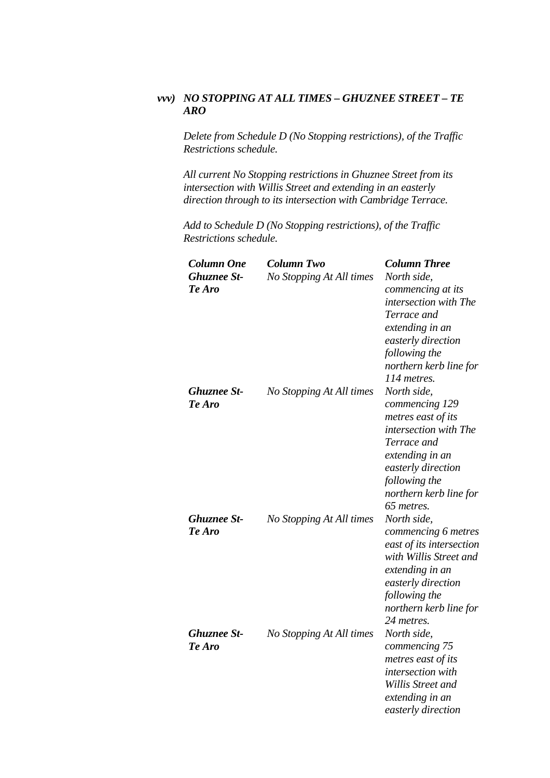## *vvv) NO STOPPING AT ALL TIMES – GHUZNEE STREET – TE ARO*

*Delete from Schedule D (No Stopping restrictions), of the Traffic Restrictions schedule.*

*All current No Stopping restrictions in Ghuznee Street from its intersection with Willis Street and extending in an easterly direction through to its intersection with Cambridge Terrace.*

| <b>Column One</b><br><b>Ghuznee St-</b><br>Te Aro | <b>Column Two</b><br>No Stopping At All times | <b>Column Three</b><br>North side,<br>commencing at its<br>intersection with The<br>Terrace and<br>extending in an<br>easterly direction<br>following the<br>northern kerb line for<br>114 metres. |
|---------------------------------------------------|-----------------------------------------------|----------------------------------------------------------------------------------------------------------------------------------------------------------------------------------------------------|
| <b>Ghuznee St-</b><br>Te Aro                      | No Stopping At All times                      | North side,<br>commencing 129<br>metres east of its<br>intersection with The<br>Terrace and<br>extending in an<br>easterly direction<br>following the<br>northern kerb line for<br>65 metres.      |
| <b>Ghuznee St-</b><br>Te Aro                      | No Stopping At All times                      | North side,<br>commencing 6 metres<br>east of its intersection<br>with Willis Street and<br>extending in an<br>easterly direction<br>following the<br>northern kerb line for<br>24 metres.         |
| <b>Ghuznee St-</b><br>Te Aro                      | No Stopping At All times                      | North side,<br>commencing 75<br>metres east of its<br>intersection with<br>Willis Street and<br>extending in an<br>easterly direction                                                              |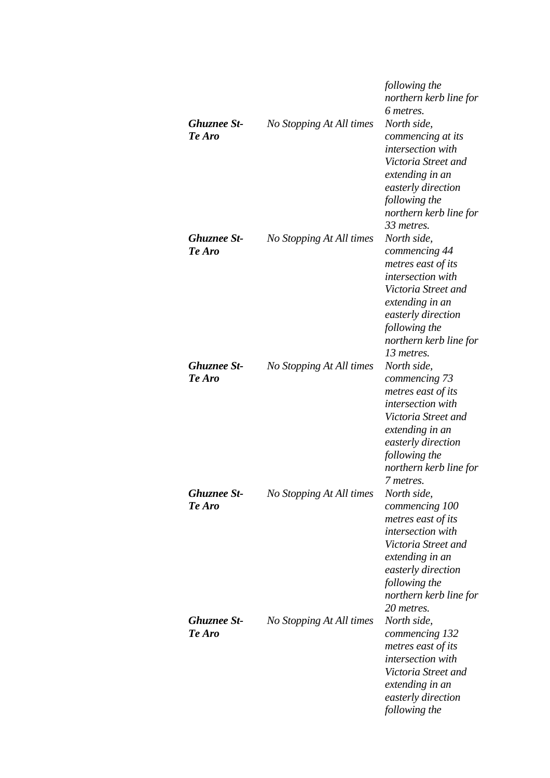| <b>Ghuznee St-</b><br>Te Aro | No Stopping At All times | following the<br>northern kerb line for<br>6 metres.<br>North side,<br>commencing at its<br>intersection with<br>Victoria Street and<br>extending in an<br>easterly direction<br>following the<br>northern kerb line for |
|------------------------------|--------------------------|--------------------------------------------------------------------------------------------------------------------------------------------------------------------------------------------------------------------------|
| <b>Ghuznee St-</b><br>Te Aro | No Stopping At All times | 33 metres.<br>North side,<br>commencing 44<br>metres east of its<br>intersection with<br>Victoria Street and<br>extending in an<br>easterly direction<br>following the<br>northern kerb line for<br>13 metres.           |
| <b>Ghuznee St-</b><br>Te Aro | No Stopping At All times | North side,<br>commencing 73<br>metres east of its<br>intersection with<br>Victoria Street and<br>extending in an<br>easterly direction<br>following the<br>northern kerb line for<br>7 metres.                          |
| <b>Ghuznee St-</b><br>Te Aro | No Stopping At All times | North side,<br>commencing 100<br>metres east of its<br>intersection with<br>Victoria Street and<br>extending in an<br>easterly direction<br>following the<br>northern kerb line for<br>20 metres.                        |
| <b>Ghuznee St-</b><br>Te Aro | No Stopping At All times | North side,<br>commencing 132<br>metres east of its<br>intersection with<br>Victoria Street and<br>extending in an<br>easterly direction<br>following the                                                                |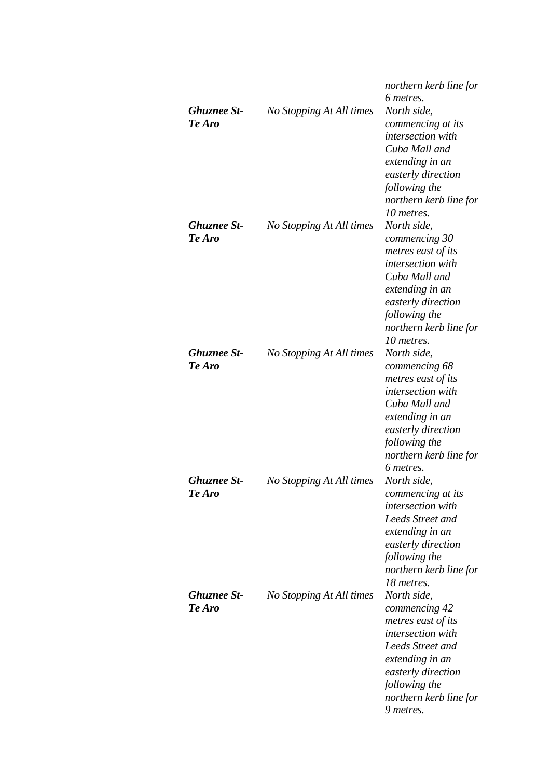|                    |                          | northern kerb line for<br>6 metres. |
|--------------------|--------------------------|-------------------------------------|
| <b>Ghuznee St-</b> | No Stopping At All times | North side,                         |
| Te Aro             |                          | commencing at its                   |
|                    |                          | <i>intersection</i> with            |
|                    |                          | Cuba Mall and                       |
|                    |                          | extending in an                     |
|                    |                          | easterly direction                  |
|                    |                          | following the                       |
|                    |                          | northern kerb line for              |
|                    |                          | 10 metres.                          |
| <b>Ghuznee St-</b> | No Stopping At All times | North side,                         |
| Te Aro             |                          | commencing 30                       |
|                    |                          | metres east of its                  |
|                    |                          | intersection with                   |
|                    |                          | Cuba Mall and                       |
|                    |                          | extending in an                     |
|                    |                          | easterly direction                  |
|                    |                          | following the                       |
|                    |                          | northern kerb line for              |
|                    |                          | 10 metres.                          |
| <b>Ghuznee St-</b> | No Stopping At All times | North side,                         |
| Te Aro             |                          | commencing 68                       |
|                    |                          | metres east of its                  |
|                    |                          | intersection with                   |
|                    |                          | Cuba Mall and                       |
|                    |                          | extending in an                     |
|                    |                          | easterly direction                  |
|                    |                          | following the                       |
|                    |                          | northern kerb line for              |
| <b>Ghuznee St-</b> |                          | 6 metres.                           |
| Te Aro             | No Stopping At All times | North side,<br>commencing at its    |
|                    |                          | intersection with                   |
|                    |                          | <b>Leeds Street and</b>             |
|                    |                          | extending in an                     |
|                    |                          | easterly direction                  |
|                    |                          | following the                       |
|                    |                          | northern kerb line for              |
|                    |                          | 18 metres.                          |
| <b>Ghuznee St-</b> | No Stopping At All times | North side,                         |
| Te Aro             |                          | commencing 42                       |
|                    |                          | metres east of its                  |
|                    |                          | intersection with                   |
|                    |                          | <b>Leeds Street and</b>             |
|                    |                          | extending in an                     |
|                    |                          | easterly direction                  |
|                    |                          | following the                       |
|                    |                          | northern kerb line for              |
|                    |                          | 9 metres.                           |
|                    |                          |                                     |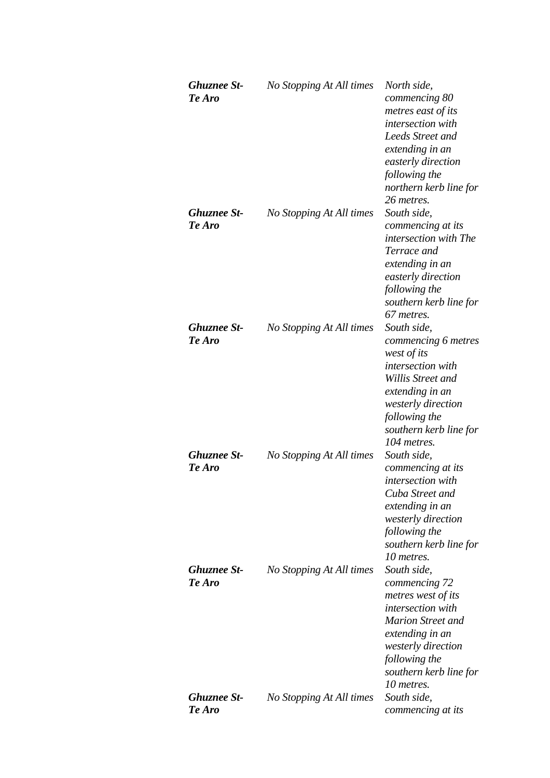| <b>Ghuznee St-</b><br>Te Aro | No Stopping At All times | North side,<br>commencing 80<br>metres east of its<br>intersection with<br>Leeds Street and<br>extending in an<br>easterly direction<br>following the<br>northern kerb line for<br>26 metres.         |
|------------------------------|--------------------------|-------------------------------------------------------------------------------------------------------------------------------------------------------------------------------------------------------|
| <b>Ghuznee St-</b><br>Te Aro | No Stopping At All times | South side,<br>commencing at its<br>intersection with The<br>Terrace and<br>extending in an<br>easterly direction<br>following the<br>southern kerb line for<br>67 metres.                            |
| <b>Ghuznee St-</b><br>Te Aro | No Stopping At All times | South side,<br>commencing 6 metres<br>west of its<br>intersection with<br>Willis Street and<br>extending in an<br>westerly direction<br>following the<br>southern kerb line for<br>104 metres.        |
| <b>Ghuznee St-</b><br>Te Aro | No Stopping At All times | South side,<br>commencing at its<br>intersection with<br>Cuba Street and<br>extending in an<br>westerly direction<br>following the<br>southern kerb line for<br>10 metres.                            |
| <b>Ghuznee St-</b><br>Te Aro | No Stopping At All times | South side,<br>commencing 72<br>metres west of its<br>intersection with<br><b>Marion Street and</b><br>extending in an<br>westerly direction<br>following the<br>southern kerb line for<br>10 metres. |
| <b>Ghuznee St-</b><br>Te Aro | No Stopping At All times | South side,<br>commencing at its                                                                                                                                                                      |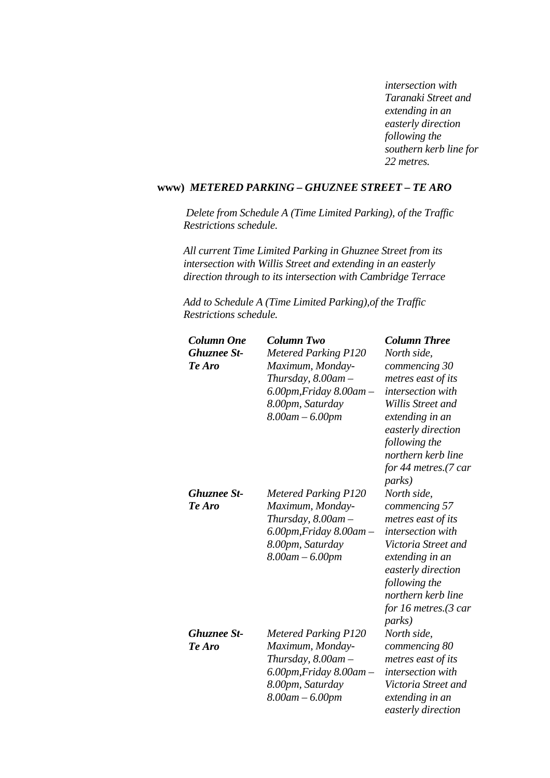*intersection with Taranaki Street and extending in an easterly direction following the southern kerb line for 22 metres.* 

## **www)** *METERED PARKING – GHUZNEE STREET – TE ARO*

 *Delete from Schedule A (Time Limited Parking), of the Traffic Restrictions schedule.* 

*All current Time Limited Parking in Ghuznee Street from its intersection with Willis Street and extending in an easterly direction through to its intersection with Cambridge Terrace*

*Add to Schedule A (Time Limited Parking),of the Traffic Restrictions schedule.* 

| <b>Column Two</b>           | <b>Column Three</b>                              |
|-----------------------------|--------------------------------------------------|
| <b>Metered Parking P120</b> | North side,                                      |
| Maximum, Monday-            | commencing 30                                    |
| Thursday, $8.00$ am $-$     | metres east of its                               |
|                             | <i>intersection with</i>                         |
| 8.00pm, Saturday            | Willis Street and                                |
| $8.00$ am $- 6.00$ pm       | extending in an<br>easterly direction            |
|                             | following the                                    |
|                             | northern kerb line                               |
|                             | for 44 metres.(7 car                             |
|                             | <i>parks</i> )                                   |
| <b>Metered Parking P120</b> | North side,                                      |
| Maximum, Monday-            | commencing 57                                    |
| Thursday, $8.00$ am $-$     | metres east of its                               |
| 6.00pm, Friday 8.00am –     | intersection with                                |
| 8.00pm, Saturday            | Victoria Street and<br>extending in an           |
|                             | easterly direction                               |
|                             | following the                                    |
|                             | northern kerb line                               |
|                             | for 16 metres. $(3 \text{ car})$                 |
|                             | <i>parks</i> )                                   |
| <b>Metered Parking P120</b> | North side,                                      |
| Maximum, Monday-            | commencing 80                                    |
| Thursday, $8.00$ am $-$     | metres east of its                               |
| 6.00pm, Friday 8.00am –     | intersection with                                |
| 8.00pm, Saturday            | Victoria Street and                              |
| $8.00$ am $- 6.00$ pm       | extending in an<br>easterly direction            |
|                             | 6.00pm, Friday 8.00am –<br>$8.00$ am $- 6.00$ pm |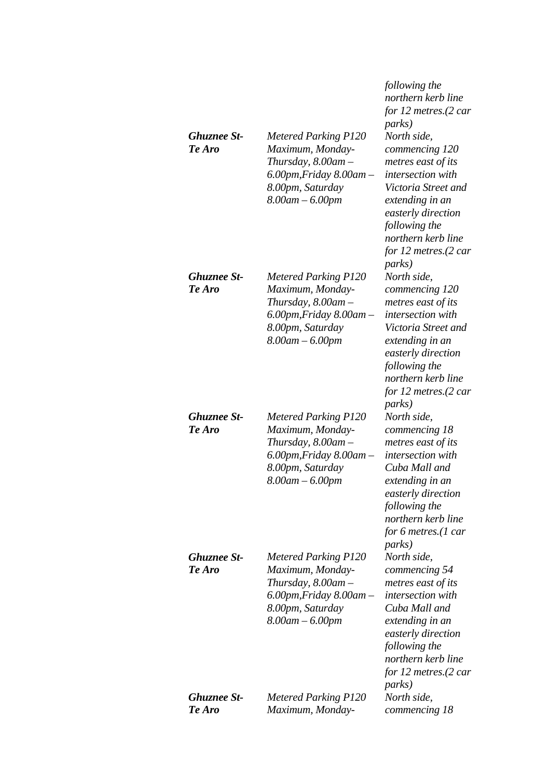| <b>Ghuznee St-</b><br>Te Aro | <b>Metered Parking P120</b><br>Maximum, Monday-<br>Thursday, $8.00$ am $-$<br>$6.00$ pm, Friday $8.00$ am $-$<br>8.00pm, Saturday<br>$8.00$ am $- 6.00$ pm | following the<br>northern kerb line<br>for $12$ metres. $(2 \text{ car})$<br><i>parks</i> )<br>North side,<br>commencing 120<br>metres east of its<br>intersection with<br>Victoria Street and<br>extending in an<br>easterly direction<br>following the<br>northern kerb line<br>for 12 metres. $(2 \text{ car})$<br><i>parks</i> ) |
|------------------------------|------------------------------------------------------------------------------------------------------------------------------------------------------------|--------------------------------------------------------------------------------------------------------------------------------------------------------------------------------------------------------------------------------------------------------------------------------------------------------------------------------------|
| <b>Ghuznee St-</b><br>Te Aro | <b>Metered Parking P120</b><br>Maximum, Monday-<br>Thursday, $8.00$ am $-$<br>$6.00$ pm, Friday $8.00$ am $-$<br>8.00pm, Saturday<br>$8.00$ am $- 6.00$ pm | North side.<br>commencing 120<br>metres east of its<br>intersection with<br>Victoria Street and<br>extending in an<br>easterly direction<br>following the<br>northern kerb line<br>for 12 metres.(2 car<br><i>parks</i> )                                                                                                            |
| <b>Ghuznee St-</b><br>Te Aro | <b>Metered Parking P120</b><br>Maximum, Monday-<br>Thursday, $8.00$ am $-$<br>$6.00$ pm, Friday $8.00$ am $-$<br>8.00pm, Saturday<br>$8.00$ am $- 6.00$ pm | North side,<br>commencing 18<br>metres east of its<br>intersection with<br>Cuba Mall and<br>extending in an<br>easterly direction<br>following the<br>northern kerb line<br>for 6 metres.(1 car<br><i>parks</i> )                                                                                                                    |
| <b>Ghuznee St-</b><br>Te Aro | <b>Metered Parking P120</b><br>Maximum, Monday-<br>Thursday, 8.00am -<br>$6.00$ pm, Friday $8.00$ am $-$<br>8.00pm, Saturday<br>$8.00$ am $- 6.00$ pm      | North side,<br>commencing 54<br>metres east of its<br>intersection with<br>Cuba Mall and<br>extending in an<br>easterly direction<br>following the<br>northern kerb line<br>for 12 metres.(2 car<br><i>parks</i> )                                                                                                                   |
| <b>Ghuznee St-</b><br>Te Aro | <b>Metered Parking P120</b><br>Maximum, Monday-                                                                                                            | North side,<br>commencing 18                                                                                                                                                                                                                                                                                                         |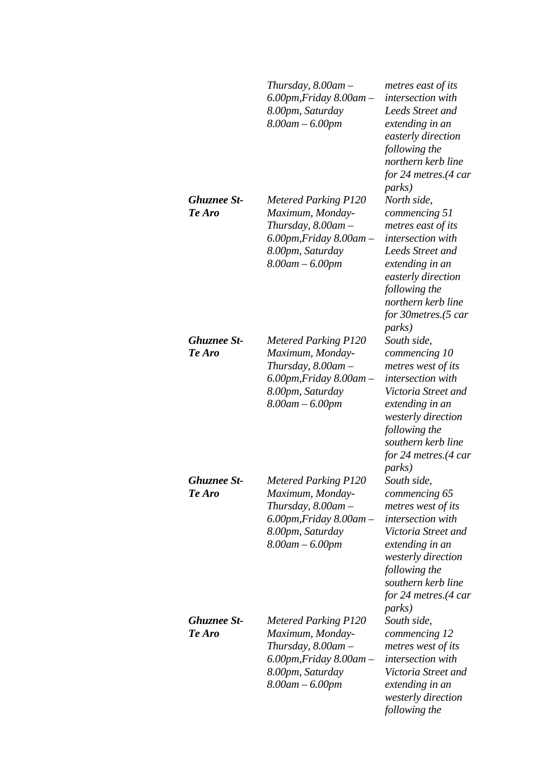|                              | Thursday, $8.00$ am $-$<br>$6.00$ pm, Friday $8.00$ am $-$<br>8.00pm, Saturday<br>$8.00$ am $- 6.00$ pm                                                    | metres east of its<br>intersection with<br>Leeds Street and<br>extending in an<br>easterly direction<br>following the<br>northern kerb line<br>for 24 metres.(4 car<br><i>parks</i> )                                                  |
|------------------------------|------------------------------------------------------------------------------------------------------------------------------------------------------------|----------------------------------------------------------------------------------------------------------------------------------------------------------------------------------------------------------------------------------------|
| Ghuznee St-<br>Te Aro        | <b>Metered Parking P120</b><br>Maximum, Monday-<br>Thursday, $8.00$ am $-$<br>$6.00$ pm, Friday $8.00$ am $-$<br>8.00pm, Saturday<br>$8.00$ am $- 6.00$ pm | North side,<br>commencing 51<br>metres east of its<br>intersection with<br>Leeds Street and<br>extending in an<br>easterly direction<br>following the<br>northern kerb line<br>for 30 metres. (5 car<br><i>parks</i> )                 |
| Ghuznee St-<br>Te Aro        | <b>Metered Parking P120</b><br>Maximum, Monday-<br>Thursday, $8.00$ am $-$<br>$6.00$ pm, Friday $8.00$ am $-$<br>8.00pm, Saturday<br>$8.00$ am $- 6.00$ pm | South side,<br>commencing 10<br>metres west of its<br>intersection with<br>Victoria Street and<br>extending in an<br>westerly direction<br>following the<br>southern kerb line<br>for 24 metres.(4 car<br><i>parks</i> )               |
| <b>Ghuznee St-</b><br>Te Aro | <b>Metered Parking P120</b><br>Maximum, Monday-<br>Thursday, $8.00$ am $-$<br>$6.00$ pm, Friday $8.00$ am $-$<br>8.00pm, Saturday<br>$8.00$ am $- 6.00$ pm | South side,<br>commencing 65<br>metres west of its<br><i>intersection</i> with<br>Victoria Street and<br>extending in an<br><i>westerly direction</i><br>following the<br>southern kerb line<br>for 24 metres.(4 car<br><i>parks</i> ) |
| Ghuznee St-<br>Te Aro        | <b>Metered Parking P120</b><br>Maximum, Monday-<br>Thursday, $8.00$ am $-$<br>$6.00$ pm, Friday $8.00$ am $-$<br>8.00pm, Saturday<br>$8.00$ am $- 6.00$ pm | South side,<br>commencing 12<br>metres west of its<br><i>intersection</i> with<br>Victoria Street and<br>extending in an<br>westerly direction<br>following the                                                                        |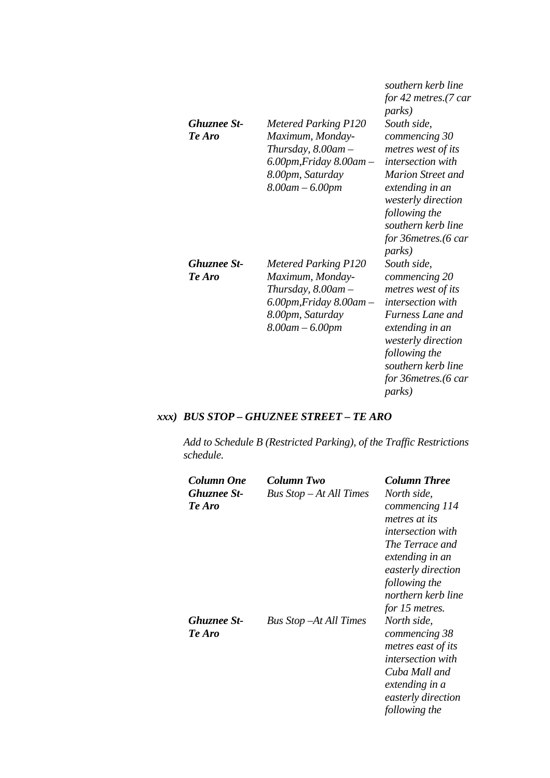| <b>Ghuznee St-</b><br>Te Aro | <b>Metered Parking P120</b><br>Maximum, Monday-<br>Thursday, $8.00$ am $-$<br>$6.00$ pm, Friday $8.00$ am $-$<br>8.00pm, Saturday<br>$8.00$ am $- 6.00$ pm | southern kerb line<br>for 42 metres.(7 car<br><i>parks</i> )<br>South side,<br>commencing 30<br>metres west of its<br><i>intersection with</i><br><b>Marion Street and</b><br>extending in an<br><i>westerly direction</i><br>following the<br>southern kerb line<br>for 36 metres. (6 car<br><i>parks</i> ) |
|------------------------------|------------------------------------------------------------------------------------------------------------------------------------------------------------|--------------------------------------------------------------------------------------------------------------------------------------------------------------------------------------------------------------------------------------------------------------------------------------------------------------|
| <b>Ghuznee St-</b><br>Te Aro | <b>Metered Parking P120</b><br>Maximum, Monday-<br>Thursday, $8.00$ am $-$<br>6.00pm,Friday 8.00am –<br>8.00pm, Saturday<br>$8.00$ am $- 6.00$ pm          | South side,<br>commencing 20<br>metres west of its<br><i>intersection with</i><br>Furness Lane and<br>extending in an<br>westerly direction<br>following the<br>southern kerb line<br>for 36 metres. (6 car<br><i>parks</i> )                                                                                |

# *xxx) BUS STOP – GHUZNEE STREET – TE ARO*

*Add to Schedule B (Restricted Parking), of the Traffic Restrictions schedule.* 

| Column One<br><b>Ghuznee St-</b><br>Te Aro | Column Two<br>Bus Stop - At All Times | <b>Column Three</b><br>North side,<br>commencing 114<br>metres at its<br><i>intersection with</i><br>The Terrace and<br>extending in an<br>easterly direction<br>following the<br>northern kerb line<br>for 15 metres. |
|--------------------------------------------|---------------------------------------|------------------------------------------------------------------------------------------------------------------------------------------------------------------------------------------------------------------------|
| <b>Ghuznee St-</b><br>Te Aro               | <b>Bus Stop – At All Times</b>        | North side,<br>commencing 38<br>metres east of its<br><i>intersection with</i><br>Cuba Mall and<br>extending in a<br>easterly direction<br>following the                                                               |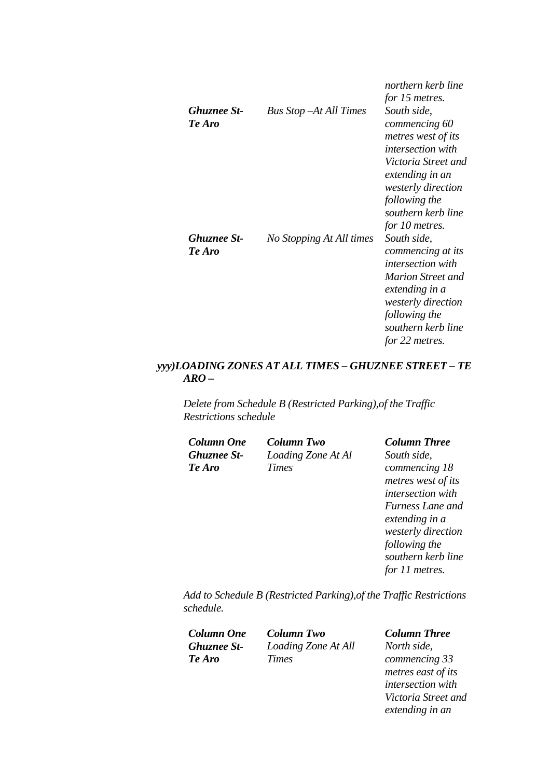|                              |                                | northern kerb line<br>for 15 metres.                                                                                                                                                                           |
|------------------------------|--------------------------------|----------------------------------------------------------------------------------------------------------------------------------------------------------------------------------------------------------------|
| <b>Ghuznee St-</b><br>Te Aro | <b>Bus Stop – At All Times</b> | South side,<br>commencing 60<br>metres west of its<br><i>intersection</i> with<br>Victoria Street and<br>extending in an<br><i>westerly direction</i><br>following the<br>southern kerb line<br>for 10 metres. |
| <b>Ghuznee St-</b><br>Te Aro | No Stopping At All times       | South side,<br>commencing at its<br><i>intersection with</i><br><b>Marion Street and</b><br>extending in a<br><i>westerly direction</i><br>following the<br>southern kerb line<br>for 22 metres.               |

# *yyy)LOADING ZONES AT ALL TIMES – GHUZNEE STREET – TE ARO –*

*Delete from Schedule B (Restricted Parking),of the Traffic Restrictions schedule* 

| <b>Column One</b>  | <b>Column Two</b>  | <b>Column Three</b> |
|--------------------|--------------------|---------------------|
| <b>Ghuznee St-</b> | Loading Zone At Al | South side,         |
| Te Aro             | <b>Times</b>       | commencing 18       |
|                    |                    | metres west of its  |
|                    |                    | intersection with   |
|                    |                    | Furness Lane and    |
|                    |                    | extending in a      |
|                    |                    | westerly direction  |
|                    |                    | following the       |

*Add to Schedule B (Restricted Parking),of the Traffic Restrictions schedule.* 

*Column One Column Two Column Three Ghuznee St-Te Aro*

*Loading Zone At All Times* 

*southern kerb line for 11 metres.* 

*North side, commencing 33 metres east of its intersection with Victoria Street and extending in an*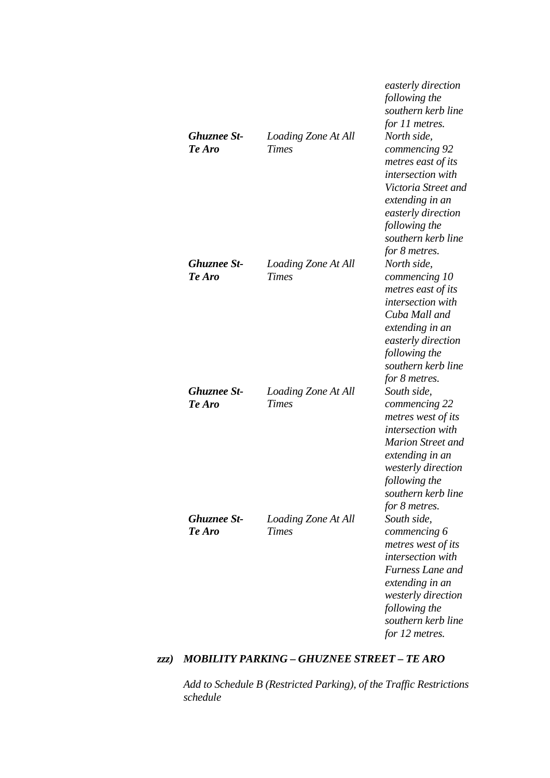|                              |                                     | easterly direction<br>following the<br>southern kerb line<br>for 11 metres.                                                                                                                                        |
|------------------------------|-------------------------------------|--------------------------------------------------------------------------------------------------------------------------------------------------------------------------------------------------------------------|
| <b>Ghuznee St-</b><br>Te Aro | Loading Zone At All<br><b>Times</b> | North side,<br>commencing 92<br>metres east of its<br><i>intersection</i> with<br>Victoria Street and<br>extending in an<br>easterly direction<br>following the<br>southern kerb line<br>for 8 metres.             |
| Ghuznee St-<br>Te Aro        | Loading Zone At All<br><b>Times</b> | North side,<br>commencing 10<br>metres east of its<br><i>intersection</i> with<br>Cuba Mall and<br>extending in an<br>easterly direction<br>following the<br>southern kerb line<br>for 8 metres.                   |
| Ghuznee St-<br>Te Aro        | Loading Zone At All<br><b>Times</b> | South side,<br>commencing 22<br>metres west of its<br><i>intersection</i> with<br><b>Marion Street and</b><br>extending in an<br><i>westerly direction</i><br>following the<br>southern kerb line<br>for 8 metres. |
| Ghuznee St-<br>Te Aro        | Loading Zone At All<br><b>Times</b> | South side,<br>commencing 6<br>metres west of its<br><i>intersection</i> with<br>Furness Lane and<br>extending in an<br>westerly direction<br>following the<br>southern kerb line<br>for 12 metres.                |

## *zzz) MOBILITY PARKING – GHUZNEE STREET – TE ARO*

*Add to Schedule B (Restricted Parking), of the Traffic Restrictions schedule*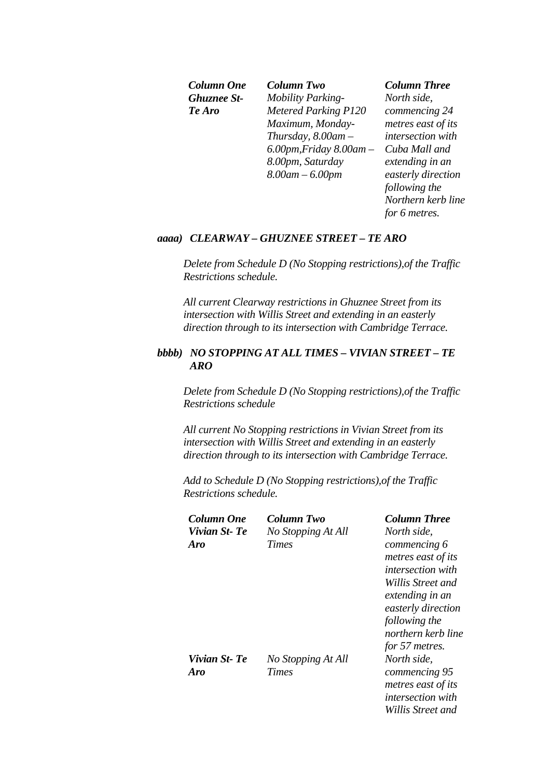*Ghuznee St-Te Aro*

*Column One Column Two Column Three Mobility Parking-Metered Parking P120 Maximum, Monday-Thursday, 8.00am – 6.00pm,Friday 8.00am – 8.00pm, Saturday 8.00am – 6.00pm* 

*North side, commencing 24 metres east of its intersection with Cuba Mall and extending in an easterly direction following the Northern kerb line for 6 metres.* 

### *aaaa) CLEARWAY – GHUZNEE STREET – TE ARO*

*Delete from Schedule D (No Stopping restrictions),of the Traffic Restrictions schedule.* 

*All current Clearway restrictions in Ghuznee Street from its intersection with Willis Street and extending in an easterly direction through to its intersection with Cambridge Terrace.*

## *bbbb) NO STOPPING AT ALL TIMES – VIVIAN STREET – TE ARO*

*Delete from Schedule D (No Stopping restrictions),of the Traffic Restrictions schedule* 

*All current No Stopping restrictions in Vivian Street from its intersection with Willis Street and extending in an easterly direction through to its intersection with Cambridge Terrace.*

*Add to Schedule D (No Stopping restrictions),of the Traffic Restrictions schedule.* 

| Column One   | Column Two         | <b>Column Three</b>      |
|--------------|--------------------|--------------------------|
| Vivian St-Te | No Stopping At All | North side,              |
| Aro          | Times              | commencing 6             |
|              |                    | metres east of its       |
|              |                    | <i>intersection with</i> |
|              |                    | Willis Street and        |
|              |                    | extending in an          |
|              |                    | easterly direction       |
|              |                    | following the            |
|              |                    | northern kerb line       |
|              |                    | for 57 metres.           |
| Vivian St-Te | No Stopping At All | North side,              |
| Aro          | <b>Times</b>       | commencing 95            |
|              |                    | metres east of its       |
|              |                    | <i>intersection</i> with |
|              |                    | Willis Street and        |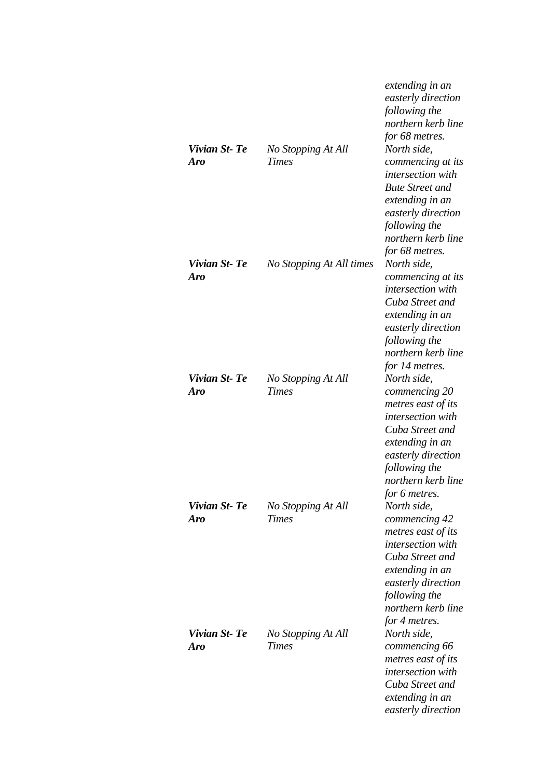|                            |                                    | extending in an<br>easterly direction<br>following the<br>northern kerb line<br>for 68 metres.                                                                                              |
|----------------------------|------------------------------------|---------------------------------------------------------------------------------------------------------------------------------------------------------------------------------------------|
| Vivian St-Te<br>Aro        | No Stopping At All<br><b>Times</b> | North side,<br>commencing at its<br>intersection with<br><b>Bute Street and</b><br>extending in an<br>easterly direction<br>following the<br>northern kerb line<br>for 68 metres.           |
| Vivian St-Te<br><b>Aro</b> | No Stopping At All times           | North side,<br>commencing at its<br>intersection with<br>Cuba Street and<br>extending in an<br>easterly direction<br>following the<br>northern kerb line<br>for 14 metres.                  |
| Vivian St-Te<br><b>Aro</b> | No Stopping At All<br><b>Times</b> | North side,<br>commencing 20<br>metres east of its<br>intersection with<br>Cuba Street and<br>extending in an<br>easterly direction<br>following the<br>northern kerb line<br>for 6 metres. |
| Vivian St-Te<br><b>Aro</b> | No Stopping At All<br><b>Times</b> | North side,<br>commencing 42<br>metres east of its<br>intersection with<br>Cuba Street and<br>extending in an<br>easterly direction<br>following the<br>northern kerb line<br>for 4 metres. |
| Vivian St-Te<br><b>Aro</b> | No Stopping At All<br><b>Times</b> | North side,<br>commencing 66<br>metres east of its<br>intersection with<br>Cuba Street and<br>extending in an<br>easterly direction                                                         |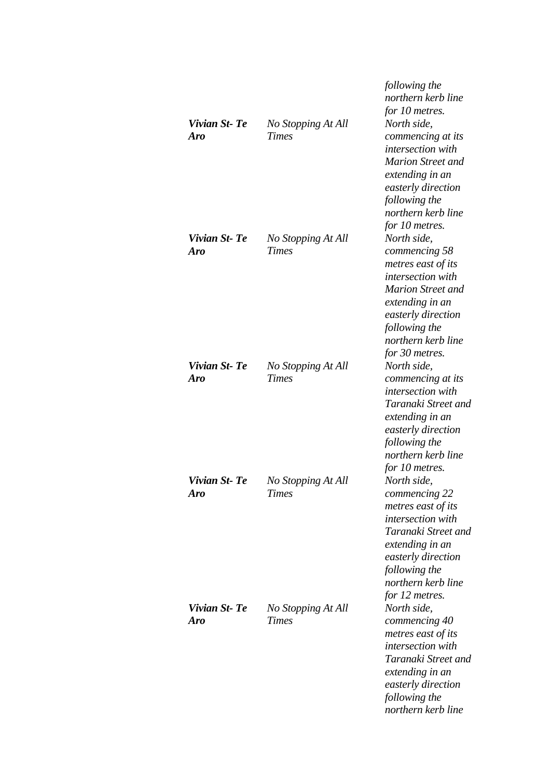| Vivian St-Te<br><b>Aro</b> | No Stopping At All<br><b>Times</b> | following the<br>northern kerb line<br>for 10 metres.<br>North side,<br>commencing at its<br>intersection with<br><b>Marion Street and</b><br>extending in an<br>easterly direction<br>following the<br>northern kerb line<br>for 10 metres. |
|----------------------------|------------------------------------|----------------------------------------------------------------------------------------------------------------------------------------------------------------------------------------------------------------------------------------------|
| Vivian St-Te<br><b>Aro</b> | No Stopping At All<br><b>Times</b> | North side,<br>commencing 58<br>metres east of its<br>intersection with<br><b>Marion Street and</b><br>extending in an<br>easterly direction<br>following the<br>northern kerb line<br>for 30 metres.                                        |
| Vivian St-Te<br>Aro        | No Stopping At All<br><b>Times</b> | North side,<br>commencing at its<br>intersection with<br>Taranaki Street and<br>extending in an<br>easterly direction<br>following the<br>northern kerb line<br>for 10 metres.                                                               |
| Vivian St-Te<br><b>Aro</b> | No Stopping At All<br>Times        | North side,<br>commencing 22<br>metres east of its<br>intersection with<br>Taranaki Street and<br>extending in an<br>easterly direction<br>following the<br>northern kerb line<br>for 12 metres.                                             |
| Vivian St-Te<br><b>Aro</b> | No Stopping At All<br><b>Times</b> | North side,<br>commencing 40<br>metres east of its<br>intersection with<br>Taranaki Street and<br>extending in an<br>easterly direction<br>following the<br>northern kerb line                                                               |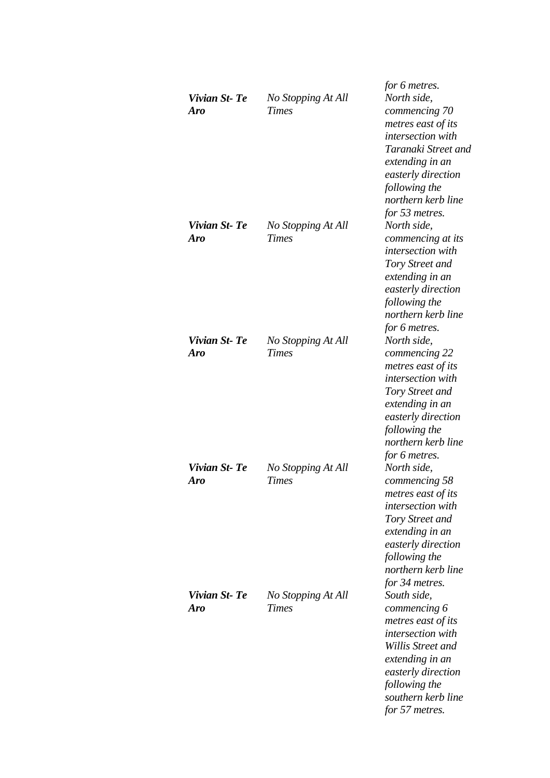| Vivian St-Te<br><b>Aro</b> | No Stopping At All<br><b>Times</b> | for 6 metres.<br>North side,<br>commencing 70<br>metres east of its<br><i>intersection</i> with<br>Taranaki Street and<br>extending in an<br>easterly direction<br>following the<br>northern kerb line |
|----------------------------|------------------------------------|--------------------------------------------------------------------------------------------------------------------------------------------------------------------------------------------------------|
| Vivian St-Te<br>Aro        | No Stopping At All<br><b>Times</b> | for 53 metres.<br>North side,<br>commencing at its<br>intersection with<br>Tory Street and<br>extending in an<br>easterly direction<br>following the<br>northern kerb line<br>for 6 metres.            |
| Vivian St-Te<br><b>Aro</b> | No Stopping At All<br><b>Times</b> | North side,<br>commencing 22<br>metres east of its<br>intersection with<br>Tory Street and<br>extending in an<br>easterly direction<br>following the<br>northern kerb line<br>for 6 metres.            |
| Vivian St-Te<br>Aro        | No Stopping At All<br><b>Times</b> | North side,<br>commencing 58<br>metres east of its<br><i>intersection</i> with<br>Tory Street and<br>extending in an<br>easterly direction<br>following the<br>northern kerb line<br>for 34 metres.    |
| Vivian St-Te<br><b>Aro</b> | No Stopping At All<br><b>Times</b> | South side,<br>commencing 6<br>metres east of its<br>intersection with<br>Willis Street and<br>extending in an<br>easterly direction<br>following the<br>southern kerb line<br>for 57 metres.          |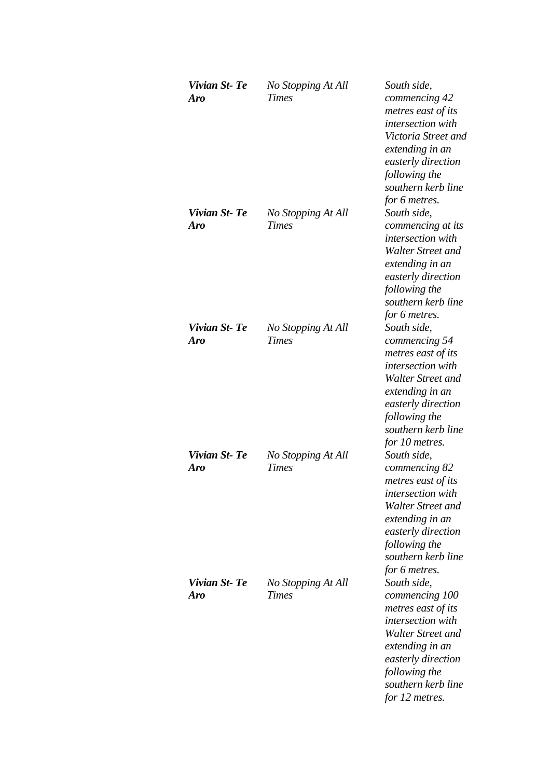| Vivian St-Te<br><b>Aro</b> | No Stopping At All<br><b>Times</b> | South side,<br>commencing 42<br>metres east of its<br>intersection with<br>Victoria Street and<br>extending in an<br>easterly direction<br>following the<br>southern kerb line                         |
|----------------------------|------------------------------------|--------------------------------------------------------------------------------------------------------------------------------------------------------------------------------------------------------|
| Vivian St-Te<br>Aro        | No Stopping At All<br><b>Times</b> | for 6 metres.<br>South side,<br>commencing at its<br>intersection with<br>Walter Street and<br>extending in an<br>easterly direction<br>following the<br>southern kerb line<br>for 6 metres.           |
| Vivian St-Te<br>Aro        | No Stopping At All<br><b>Times</b> | South side,<br>commencing 54<br>metres east of its<br>intersection with<br>Walter Street and<br>extending in an<br>easterly direction<br>following the<br>southern kerb line<br>for 10 metres.         |
| Vivian St-Te<br>Aro        | No Stopping At All<br><b>Times</b> | South side,<br>commencing 82<br>metres east of its<br>intersection with<br>Walter Street and<br>extending in an<br>easterly direction<br>following the<br>southern kerb line<br>for 6 metres.          |
| Vivian St-Te<br>Aro        | No Stopping At All<br><b>Times</b> | South side,<br>commencing 100<br>metres east of its<br><i>intersection</i> with<br>Walter Street and<br>extending in an<br>easterly direction<br>following the<br>southern kerb line<br>for 12 metres. |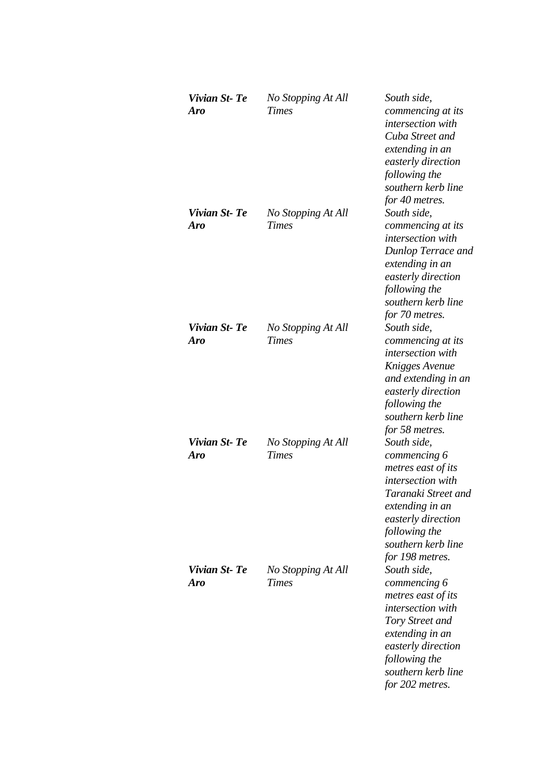| Vivian St-Te<br><b>Aro</b> | No Stopping At All<br><b>Times</b> | South side,<br>commencing at its<br><i>intersection</i> with<br>Cuba Street and<br>extending in an<br>easterly direction<br>following the<br>southern kerb line<br>for 40 metres.                |
|----------------------------|------------------------------------|--------------------------------------------------------------------------------------------------------------------------------------------------------------------------------------------------|
| Vivian St-Te<br><b>Aro</b> | No Stopping At All<br><b>Times</b> | South side,<br>commencing at its<br>intersection with<br>Dunlop Terrace and<br>extending in an<br>easterly direction<br>following the<br>southern kerb line<br>for 70 metres.                    |
| Vivian St-Te<br>Aro        | No Stopping At All<br><b>Times</b> | South side,<br>commencing at its<br><i>intersection</i> with<br>Knigges Avenue<br>and extending in an<br>easterly direction<br>following the<br>southern kerb line<br>for 58 metres.             |
| Vivian St-Te<br><b>Aro</b> | No Stopping At All<br><b>Times</b> | South side,<br>commencing 6<br>metres east of its<br>intersection with<br>Taranaki Street and<br>extending in an<br>easterly direction<br>following the<br>southern kerb line<br>for 198 metres. |
| Vivian St-Te<br>Aro        | No Stopping At All<br><b>Times</b> | South side,<br>commencing 6<br>metres east of its<br>intersection with<br>Tory Street and<br>extending in an<br>easterly direction<br>following the<br>southern kerb line<br>for 202 metres.     |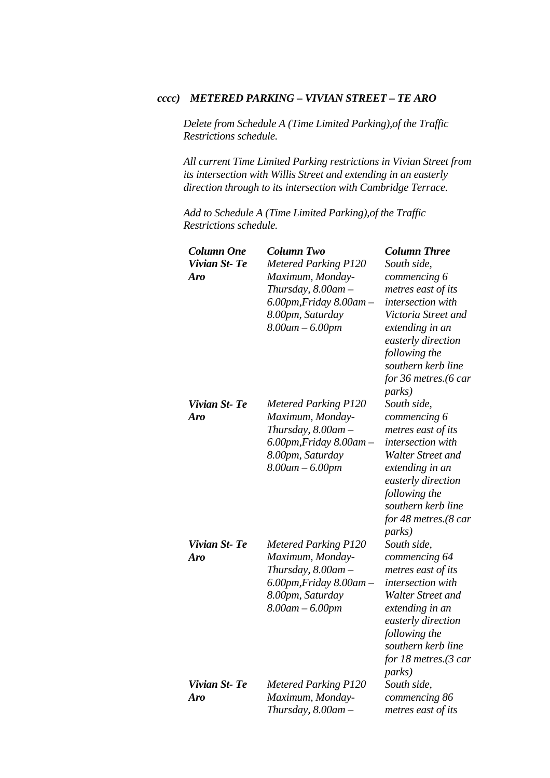## *cccc) METERED PARKING – VIVIAN STREET – TE ARO*

*Delete from Schedule A (Time Limited Parking),of the Traffic Restrictions schedule.* 

*All current Time Limited Parking restrictions in Vivian Street from its intersection with Willis Street and extending in an easterly direction through to its intersection with Cambridge Terrace.*

*Add to Schedule A (Time Limited Parking),of the Traffic Restrictions schedule.* 

| <b>Column Two</b><br><b>Column One</b>      | <b>Column Three</b>                    |
|---------------------------------------------|----------------------------------------|
| Vivian St-Te<br><b>Metered Parking P120</b> | South side,                            |
| Maximum, Monday-<br>Aro                     | commencing 6                           |
| Thursday, 8.00am -                          | metres east of its                     |
| $6.00$ pm, Friday $8.00$ am $-$             | intersection with                      |
| 8.00pm, Saturday                            | Victoria Street and                    |
| $8.00$ am $- 6.00$ pm                       | extending in an<br>easterly direction  |
|                                             | following the                          |
|                                             | southern kerb line                     |
|                                             | for 36 metres.(6 car<br><i>parks</i> ) |
| Vivian St-Te<br><b>Metered Parking P120</b> | South side,                            |
| Maximum, Monday-<br><b>Aro</b>              | commencing 6                           |
| Thursday, 8.00am -                          | metres east of its                     |
| $6.00$ pm, Friday $8.00$ am $-$             | intersection with                      |
| 8.00pm, Saturday                            | Walter Street and                      |
| $8.00$ am $- 6.00$ pm                       | extending in an                        |
|                                             | easterly direction                     |
|                                             | following the                          |
|                                             | southern kerb line                     |
|                                             | for 48 metres.(8 car<br><i>parks</i> ) |
| Vivian St-Te<br><b>Metered Parking P120</b> | South side,                            |
| Maximum, Monday-<br><b>Aro</b>              | commencing 64                          |
| Thursday, $8.00$ am $-$                     | metres east of its                     |
| $6.00$ pm, Friday $8.00$ am $-$             | intersection with                      |
| 8.00pm, Saturday                            | Walter Street and                      |
| $8.00$ am $- 6.00$ pm                       | extending in an                        |
|                                             | easterly direction                     |
|                                             | following the                          |
|                                             | southern kerb line                     |
|                                             | for 18 metres.(3 car                   |
|                                             | <i>parks</i> )                         |
| Vivian St-Te<br><b>Metered Parking P120</b> | South side,                            |
| Maximum, Monday-<br><b>Aro</b>              | commencing 86                          |
| Thursday, $8.00$ am $-$                     | metres east of its                     |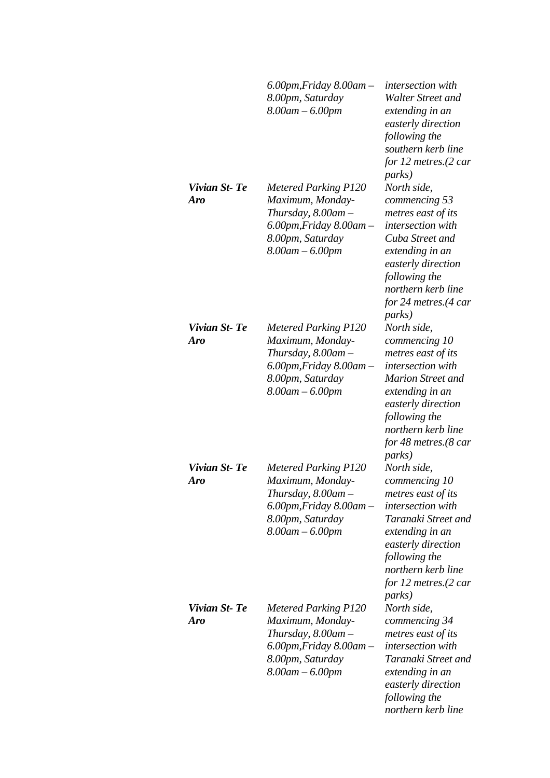|                            | $6.00$ pm, Friday $8.00$ am $-$<br>8.00pm, Saturday<br>$8.00$ am $- 6.00$ pm                                                                               | <i>intersection</i> with<br>Walter Street and<br>extending in an<br>easterly direction<br>following the<br>southern kerb line<br>for 12 metres. $(2 \text{ car})$                                                                                  |
|----------------------------|------------------------------------------------------------------------------------------------------------------------------------------------------------|----------------------------------------------------------------------------------------------------------------------------------------------------------------------------------------------------------------------------------------------------|
| Vivian St-Te<br>Aro        | <b>Metered Parking P120</b><br>Maximum, Monday-<br>Thursday, $8.00$ am $-$<br>$6.00$ pm, Friday $8.00$ am -<br>8.00pm, Saturday<br>$8.00$ am $- 6.00$ pm   | <i>parks</i> )<br>North side,<br>commencing 53<br>metres east of its<br>intersection with<br>Cuba Street and<br>extending in an<br>easterly direction<br>following the<br>northern kerb line<br>for 24 metres. $(4 \text{ car})$<br><i>parks</i> ) |
| Vivian St-Te<br><b>Aro</b> | <b>Metered Parking P120</b><br>Maximum, Monday-<br>Thursday, $8.00$ am $-$<br>$6.00$ pm, Friday $8.00$ am $-$<br>8.00pm, Saturday<br>$8.00$ am $- 6.00$ pm | North side,<br>commencing 10<br>metres east of its<br>intersection with<br><b>Marion Street and</b><br>extending in an<br>easterly direction<br>following the<br>northern kerb line<br>for 48 metres.(8 car<br><i>parks</i> )                      |
| Vivian St-Te<br>Aro        | <b>Metered Parking P120</b><br>Maximum, Monday-<br>Thursday, 8.00am –<br>$6.00$ pm, Friday $8.00$ am $-$<br>8.00pm, Saturday<br>$8.00$ am $- 6.00$ pm      | North side,<br>commencing 10<br>metres east of its<br>intersection with<br>Taranaki Street and<br>extending in an<br>easterly direction<br>following the<br>northern kerb line<br>for 12 metres.(2 car<br><i>parks</i> )                           |
| Vivian St-Te<br>Aro        | <b>Metered Parking P120</b><br>Maximum, Monday-<br>Thursday, $8.00$ am $-$<br>$6.00$ pm, Friday $8.00$ am $-$<br>8.00pm, Saturday<br>$8.00$ am $- 6.00$ pm | North side,<br>commencing 34<br>metres east of its<br>intersection with<br>Taranaki Street and<br>extending in an<br>easterly direction<br>following the<br>northern kerb line                                                                     |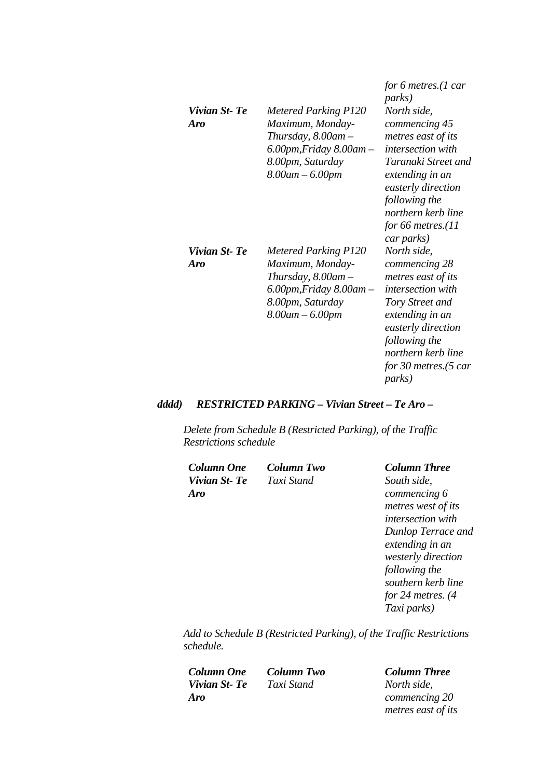| Vivian St-Te<br>Aro | <b>Metered Parking P120</b><br>Maximum, Monday-<br>Thursday, $8.00$ am $-$<br>6.00pm, Friday 8.00am –<br>8.00pm, Saturday<br>$8.00$ am $- 6.00$ pm | for 6 metres. $(1 \text{ car})$<br><i>parks</i> )<br>North side,<br>commencing 45<br>metres east of its<br><i>intersection with</i><br>Taranaki Street and<br>extending in an<br>easterly direction<br>following the<br>northern kerb line<br>for 66 metres. $(11)$<br>car parks) |
|---------------------|----------------------------------------------------------------------------------------------------------------------------------------------------|-----------------------------------------------------------------------------------------------------------------------------------------------------------------------------------------------------------------------------------------------------------------------------------|
| Vivian St-Te<br>Aro | <b>Metered Parking P120</b><br>Maximum, Monday-<br>Thursday, $8.00$ am $-$<br>6.00pm,Friday 8.00am –<br>8.00pm, Saturday<br>$8.00$ am $- 6.00$ pm  | North side,<br>commencing 28<br>metres east of its<br><i>intersection with</i><br>Tory Street and<br>extending in an<br>easterly direction<br>following the<br>northern kerb line<br>for 30 metres. $(5 \text{ car})$<br><i>parks</i> )                                           |

## *dddd) RESTRICTED PARKING – Vivian Street – Te Aro –*

*Delete from Schedule B (Restricted Parking), of the Traffic Restrictions schedule* 

| Column One   | Column Two | <b>Column Three</b>      |
|--------------|------------|--------------------------|
| Vivian St-Te | Taxi Stand | South side,              |
| Aro          |            | commencing 6             |
|              |            | metres west of its       |
|              |            | <i>intersection with</i> |
|              |            | Dunlop Terrace and       |
|              |            | extending in an          |
|              |            | westerly direction       |
|              |            | following the            |
|              |            | southern kerb line       |
|              |            | for 24 metres. $(4)$     |
|              |            | Taxi parks)              |

*Add to Schedule B (Restricted Parking), of the Traffic Restrictions schedule.* 

*Column One Column Two Column Three Vivian St- Te Aro*

*North side, commencing 20 metres east of its*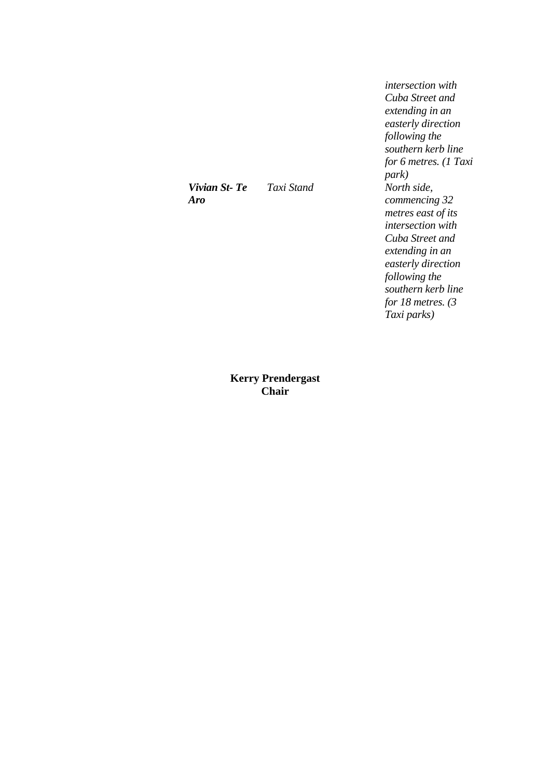*Vivian St- Te Aro*

*intersection with Cuba Street and extending in an easterly direction following the southern kerb line for 6 metres. (1 Taxi park) Taxi Stand North side, commencing 32 metres east of its intersection with Cuba Street and extending in an easterly direction following the southern kerb line for 18 metres. (3 Taxi parks)* 

**Kerry Prendergast Chair**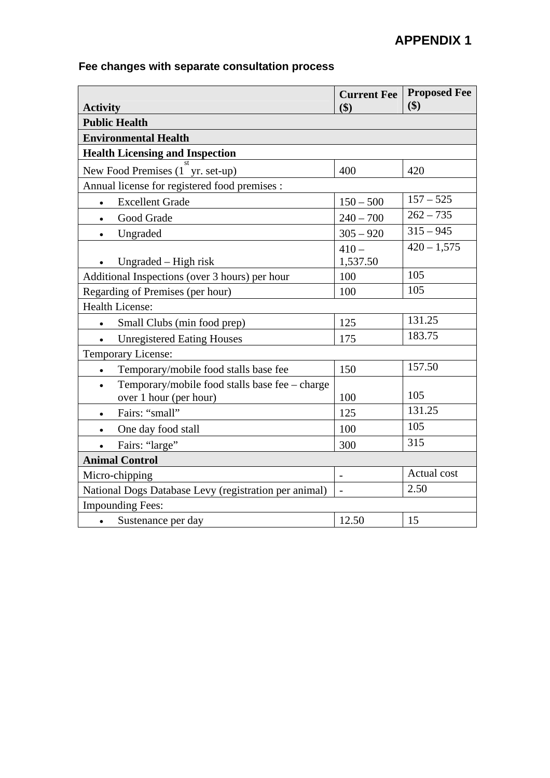# **APPENDIX 1**

# **Fee changes with separate consultation process**

| <b>Activity</b>                                                                       | <b>Current Fee</b><br>\$) | <b>Proposed Fee</b><br>\$) |  |
|---------------------------------------------------------------------------------------|---------------------------|----------------------------|--|
| <b>Public Health</b>                                                                  |                           |                            |  |
| <b>Environmental Health</b>                                                           |                           |                            |  |
| <b>Health Licensing and Inspection</b>                                                |                           |                            |  |
| New Food Premises (1 yr. set-up)                                                      | 400                       | 420                        |  |
| Annual license for registered food premises :                                         |                           |                            |  |
| <b>Excellent Grade</b>                                                                | $150 - 500$               | $157 - 525$                |  |
| Good Grade<br>$\bullet$                                                               | $240 - 700$               | $\overline{262} - 735$     |  |
| Ungraded<br>$\bullet$                                                                 | $305 - 920$               | $315 - 945$                |  |
| Ungraded – High risk                                                                  | $410 -$<br>1,537.50       | $420 - 1,575$              |  |
| Additional Inspections (over 3 hours) per hour                                        | 100                       | 105                        |  |
| Regarding of Premises (per hour)                                                      | 100                       | 105                        |  |
| <b>Health License:</b>                                                                |                           |                            |  |
| Small Clubs (min food prep)                                                           | 125                       | 131.25                     |  |
| <b>Unregistered Eating Houses</b>                                                     | 175                       | 183.75                     |  |
| Temporary License:                                                                    |                           |                            |  |
| Temporary/mobile food stalls base fee<br>$\bullet$                                    | 150                       | 157.50                     |  |
| Temporary/mobile food stalls base fee - charge<br>$\bullet$<br>over 1 hour (per hour) | 100                       | 105                        |  |
| Fairs: "small"<br>$\bullet$                                                           | 125                       | 131.25                     |  |
| One day food stall<br>$\bullet$                                                       | 100                       | 105                        |  |
| Fairs: "large"                                                                        | 300                       | 315                        |  |
| <b>Animal Control</b>                                                                 |                           |                            |  |
| Micro-chipping                                                                        | $\overline{\phantom{a}}$  | Actual cost                |  |
| National Dogs Database Levy (registration per animal)                                 | $\overline{a}$            | 2.50                       |  |
| <b>Impounding Fees:</b>                                                               |                           |                            |  |
| Sustenance per day<br>$\bullet$                                                       | 12.50                     | 15                         |  |